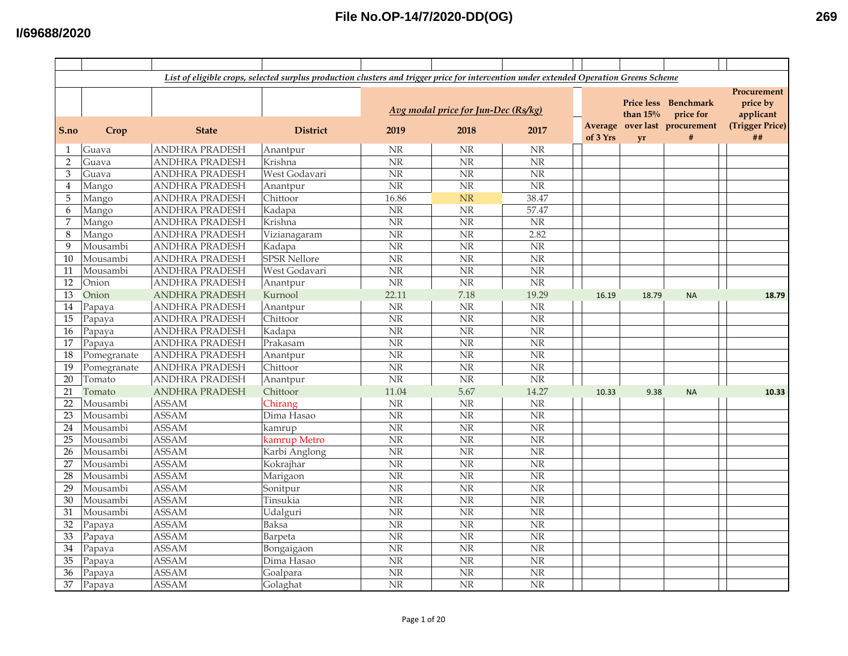|                |             |                       | List of eligible crops, selected surplus production clusters and trigger price for intervention under extended Operation Greens Scheme |                        |                                     |                        |          |            |                               |                 |
|----------------|-------------|-----------------------|----------------------------------------------------------------------------------------------------------------------------------------|------------------------|-------------------------------------|------------------------|----------|------------|-------------------------------|-----------------|
|                |             |                       |                                                                                                                                        |                        |                                     |                        |          |            |                               | Procurement     |
|                |             |                       |                                                                                                                                        |                        |                                     |                        |          |            | Price less Benchmark          | price by        |
|                |             |                       |                                                                                                                                        |                        | Avg modal price for Jun-Dec (Rs/kg) |                        |          | than $15%$ | price for                     | applicant       |
|                |             |                       |                                                                                                                                        |                        |                                     |                        |          |            | Average over last procurement | (Trigger Price) |
| S.no           | Crop        | <b>State</b>          | <b>District</b>                                                                                                                        | 2019                   | 2018                                | 2017                   | of 3 Yrs | <b>vr</b>  | #                             | ##              |
| 1              | Guava       | <b>ANDHRA PRADESH</b> | Anantpur                                                                                                                               | <b>NR</b>              | NR                                  | <b>NR</b>              |          |            |                               |                 |
| $\overline{2}$ | Guava       | <b>ANDHRA PRADESH</b> | Krishna                                                                                                                                | $\overline{\text{NR}}$ | $\overline{\text{NR}}$              | $\overline{\text{NR}}$ |          |            |                               |                 |
| $\mathfrak{B}$ | Guava       | <b>ANDHRA PRADESH</b> | West Godavari                                                                                                                          | $\rm{NR}$              | $\overline{\text{NR}}$              | $\overline{\text{NR}}$ |          |            |                               |                 |
| 4              | Mango       | <b>ANDHRA PRADESH</b> | Anantpur                                                                                                                               | $\overline{\text{NR}}$ | $\overline{\text{NR}}$              | $\overline{\text{NR}}$ |          |            |                               |                 |
| 5              | Mango       | <b>ANDHRA PRADESH</b> | Chittoor                                                                                                                               | 16.86                  | NR                                  | 38.47                  |          |            |                               |                 |
| 6              | Mango       | <b>ANDHRA PRADESH</b> | Kadapa                                                                                                                                 | NR                     | NR                                  | 57.47                  |          |            |                               |                 |
| $\overline{7}$ | Mango       | <b>ANDHRA PRADESH</b> | Krishna                                                                                                                                | $\rm{NR}$              | NR                                  | $\rm{NR}$              |          |            |                               |                 |
| 8              | Mango       | <b>ANDHRA PRADESH</b> | Vizianagaram                                                                                                                           | <b>NR</b>              | NR                                  | 2.82                   |          |            |                               |                 |
| 9              | Mousambi    | <b>ANDHRA PRADESH</b> | Kadapa                                                                                                                                 | <b>NR</b>              | NR                                  | NR                     |          |            |                               |                 |
| 10             | Mousambi    | <b>ANDHRA PRADESH</b> | <b>SPSR Nellore</b>                                                                                                                    | $\overline{\text{NR}}$ | $\overline{\text{NR}}$              | $\overline{\text{NR}}$ |          |            |                               |                 |
| 11             | Mousambi    | <b>ANDHRA PRADESH</b> | West Godavari                                                                                                                          | $\rm{NR}$              | NR                                  | $\rm NR$               |          |            |                               |                 |
| 12             | Onion       | <b>ANDHRA PRADESH</b> | Anantpur                                                                                                                               | $\overline{\text{NR}}$ | $\overline{\text{NR}}$              | N <sub>R</sub>         |          |            |                               |                 |
| 13             | Onion       | <b>ANDHRA PRADESH</b> | Kurnool                                                                                                                                | 22.11                  | 7.18                                | 19.29                  | 16.19    | 18.79      | <b>NA</b>                     | 18.79           |
| $14\,$         | Papaya      | <b>ANDHRA PRADESH</b> | Anantpur                                                                                                                               | <b>NR</b>              | <b>NR</b>                           | $\rm NR$               |          |            |                               |                 |
| 15             | Papaya      | <b>ANDHRA PRADESH</b> | Chittoor                                                                                                                               | $\overline{\text{NR}}$ | $\overline{\text{NR}}$              | $\overline{\text{NR}}$ |          |            |                               |                 |
| 16             | Papaya      | <b>ANDHRA PRADESH</b> | Kadapa                                                                                                                                 | $\rm{NR}$              | NR                                  | NR                     |          |            |                               |                 |
| 17             | Papaya      | <b>ANDHRA PRADESH</b> | Prakasam                                                                                                                               | $\rm{NR}$              | NR                                  | NR                     |          |            |                               |                 |
| 18             | Pomegranate | <b>ANDHRA PRADESH</b> | Anantpur                                                                                                                               | NR                     | $\overline{\text{NR}}$              | NR                     |          |            |                               |                 |
| 19             | Pomegranate | <b>ANDHRA PRADESH</b> | Chittoor                                                                                                                               | <b>NR</b>              | $\rm{NR}$                           | NR                     |          |            |                               |                 |
| 20             | Tomato      | <b>ANDHRA PRADESH</b> | Anantpur                                                                                                                               | $\rm{NR}$              | NR                                  | NR                     |          |            |                               |                 |
| 21             | Tomato      | <b>ANDHRA PRADESH</b> | Chittoor                                                                                                                               | 11.04                  | 5.67                                | 14.27                  | 10.33    | 9.38       | <b>NA</b>                     | 10.33           |
| 22             | Mousambi    | <b>ASSAM</b>          | Chirang                                                                                                                                | <b>NR</b>              | <b>NR</b>                           | <b>NR</b>              |          |            |                               |                 |
| 23             | Mousambi    | <b>ASSAM</b>          | Dima Hasao                                                                                                                             | $\rm{NR}$              | $\overline{\text{NR}}$              | NR                     |          |            |                               |                 |
| 24             | Mousambi    | <b>ASSAM</b>          | kamrup                                                                                                                                 | $\overline{\text{NR}}$ | $\overline{\text{NR}}$              | $\overline{\text{NR}}$ |          |            |                               |                 |
| 25             | Mousambi    | <b>ASSAM</b>          | kamrup Metro                                                                                                                           | <b>NR</b>              | N <sub>R</sub>                      | N <sub>R</sub>         |          |            |                               |                 |
| 26             | Mousambi    | <b>ASSAM</b>          | Karbi Anglong                                                                                                                          | $\rm{NR}$              | $\overline{\text{NR}}$              | $\overline{\text{NR}}$ |          |            |                               |                 |
| 27             | Mousambi    | <b>ASSAM</b>          | Kokrajhar                                                                                                                              | $\overline{\text{NR}}$ | $\overline{\text{NR}}$              | $\overline{\text{NR}}$ |          |            |                               |                 |
| 28             | Mousambi    | <b>ASSAM</b>          | Marigaon                                                                                                                               | <b>NR</b>              | NR                                  | NR                     |          |            |                               |                 |
| 29             | Mousambi    | <b>ASSAM</b>          | Sonitpur                                                                                                                               | $\rm{NR}$              | NR                                  | NR                     |          |            |                               |                 |
| 30             | Mousambi    | <b>ASSAM</b>          | Tinsukia                                                                                                                               | $\rm{NR}$              | NR                                  | NR                     |          |            |                               |                 |
| 31             | Mousambi    | <b>ASSAM</b>          | Udalguri                                                                                                                               | $\rm{NR}$              | $\overline{\text{NR}}$              | $\overline{\text{NR}}$ |          |            |                               |                 |
| 32             | Papaya      | <b>ASSAM</b>          | Baksa                                                                                                                                  | $\rm{NR}$              | NR                                  | NR                     |          |            |                               |                 |
| 33             | Papaya      | <b>ASSAM</b>          | Barpeta                                                                                                                                | NR                     | $\overline{\text{NR}}$              | NR                     |          |            |                               |                 |
| 34             | Papaya      | <b>ASSAM</b>          | Bongaigaon                                                                                                                             | $\overline{\text{NR}}$ | $\overline{\text{NR}}$              | $\overline{\text{NR}}$ |          |            |                               |                 |
| 35             | Papaya      | <b>ASSAM</b>          | Dima Hasao                                                                                                                             | $\overline{\text{NR}}$ | $\overline{\text{NR}}$              | $\overline{\text{NR}}$ |          |            |                               |                 |
| 36             | Papaya      | <b>ASSAM</b>          | Goalpara                                                                                                                               | $\overline{\text{NR}}$ | $\overline{\text{NR}}$              | NR                     |          |            |                               |                 |
| 37             | Papaya      | <b>ASSAM</b>          | Golaghat                                                                                                                               | <b>NR</b>              | $\overline{\text{NR}}$              | $\overline{\text{NR}}$ |          |            |                               |                 |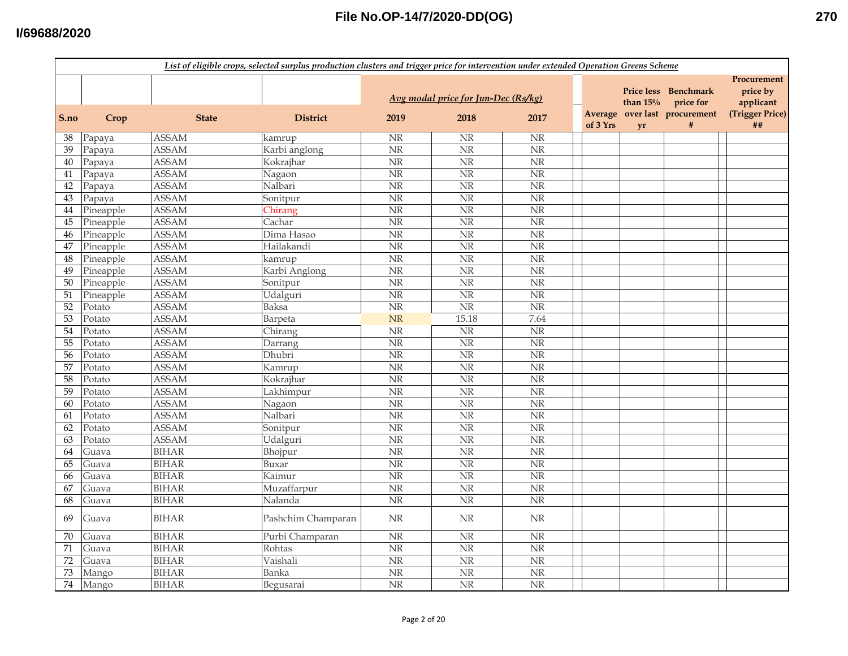|                 | List of eligible crops, selected surplus production clusters and trigger price for intervention under extended Operation Greens Scheme |              |                    |                        |                                     |                        |                     |                                  |                               |                                      |  |
|-----------------|----------------------------------------------------------------------------------------------------------------------------------------|--------------|--------------------|------------------------|-------------------------------------|------------------------|---------------------|----------------------------------|-------------------------------|--------------------------------------|--|
|                 |                                                                                                                                        |              |                    |                        | Avg modal price for Jun-Dec (Rs/kg) |                        |                     | <b>Price less</b><br>than $15\%$ | Benchmark<br>price for        | Procurement<br>price by<br>applicant |  |
| S.no            | Crop                                                                                                                                   | <b>State</b> | <b>District</b>    | 2019                   | 2018                                | 2017                   | Average<br>of 3 Yrs | yr                               | over last procurement<br>$\#$ | (Trigger Price)<br>##                |  |
| 38              | Papaya                                                                                                                                 | <b>ASSAM</b> | kamrup             | $\rm{NR}$              | <b>NR</b>                           | <b>NR</b>              |                     |                                  |                               |                                      |  |
| 39              | Papaya                                                                                                                                 | <b>ASSAM</b> | Karbi anglong      | $\overline{\text{NR}}$ | N <sub>R</sub>                      | $\overline{\text{NR}}$ |                     |                                  |                               |                                      |  |
| 40              | Papaya                                                                                                                                 | <b>ASSAM</b> | Kokrajhar          | $\overline{\text{NR}}$ | $\overline{\text{NR}}$              | $\overline{\text{NR}}$ |                     |                                  |                               |                                      |  |
| 41              | Papaya                                                                                                                                 | <b>ASSAM</b> | Nagaon             | $\rm{NR}$              | N <sub>R</sub>                      | $\overline{\text{NR}}$ |                     |                                  |                               |                                      |  |
| 42              | Papaya                                                                                                                                 | <b>ASSAM</b> | Nalbari            | $\overline{\text{NR}}$ | $\overline{\text{NR}}$              | $\overline{\text{NR}}$ |                     |                                  |                               |                                      |  |
| 43              | Papaya                                                                                                                                 | <b>ASSAM</b> | Sonitpur           | $\overline{\text{NR}}$ | <b>NR</b>                           | $\overline{\text{NR}}$ |                     |                                  |                               |                                      |  |
| 44              | Pineapple                                                                                                                              | <b>ASSAM</b> | Chirang            | NR                     | $\overline{\text{NR}}$              | NR                     |                     |                                  |                               |                                      |  |
| 45              | Pineapple                                                                                                                              | <b>ASSAM</b> | Cachar             | $\rm{NR}$              | NR                                  | NR                     |                     |                                  |                               |                                      |  |
| 46              | Pineapple                                                                                                                              | <b>ASSAM</b> | Dima Hasao         | NR                     | <b>NR</b>                           | $\overline{\text{NR}}$ |                     |                                  |                               |                                      |  |
| 47              | Pineapple                                                                                                                              | <b>ASSAM</b> | Hailakandi         | NR                     | <b>NR</b>                           | NR                     |                     |                                  |                               |                                      |  |
| 48              | Pineapple                                                                                                                              | <b>ASSAM</b> | kamrup             | NR                     | $\overline{\text{NR}}$              | $\overline{\text{NR}}$ |                     |                                  |                               |                                      |  |
| 49              | Pineapple                                                                                                                              | <b>ASSAM</b> | Karbi Anglong      | $\overline{\text{NR}}$ | $\overline{\text{NR}}$              | $\overline{\text{NR}}$ |                     |                                  |                               |                                      |  |
| 50              | Pineapple                                                                                                                              | <b>ASSAM</b> | Sonitpur           | $\overline{\text{NR}}$ | $\overline{\text{NR}}$              | $\overline{\text{NR}}$ |                     |                                  |                               |                                      |  |
| 51              | Pineapple                                                                                                                              | <b>ASSAM</b> | Udalguri           | $\overline{\text{NR}}$ | $\overline{\text{NR}}$              | $\overline{\text{NR}}$ |                     |                                  |                               |                                      |  |
| 52              | Potato                                                                                                                                 | <b>ASSAM</b> | Baksa              | $\overline{\text{NR}}$ | $\overline{\text{NR}}$              | $\overline{\text{NR}}$ |                     |                                  |                               |                                      |  |
| $\overline{53}$ | Potato                                                                                                                                 | <b>ASSAM</b> | Barpeta            | NR                     | 15.18                               | 7.64                   |                     |                                  |                               |                                      |  |
| 54              | Potato                                                                                                                                 | <b>ASSAM</b> | Chirang            | $\rm{NR}$              | NR                                  | NR                     |                     |                                  |                               |                                      |  |
| 55              | Potato                                                                                                                                 | <b>ASSAM</b> | Darrang            | NR                     | NR                                  | NR                     |                     |                                  |                               |                                      |  |
| 56              | Potato                                                                                                                                 | <b>ASSAM</b> | Dhubri             | NR                     | <b>NR</b>                           | <b>NR</b>              |                     |                                  |                               |                                      |  |
| 57              | Potato                                                                                                                                 | <b>ASSAM</b> | Kamrup             | NR                     | NR                                  | NR                     |                     |                                  |                               |                                      |  |
| 58              | Potato                                                                                                                                 | <b>ASSAM</b> | Kokrajhar          | NR                     | $\overline{\text{NR}}$              | $\overline{\text{NR}}$ |                     |                                  |                               |                                      |  |
| 59              | Potato                                                                                                                                 | <b>ASSAM</b> | Lakhimpur          | $\overline{\text{NR}}$ | NR                                  | $\overline{\text{NR}}$ |                     |                                  |                               |                                      |  |
| 60              | Potato                                                                                                                                 | <b>ASSAM</b> | Nagaon             | $\rm{NR}$              | <b>NR</b>                           | $\overline{\text{NR}}$ |                     |                                  |                               |                                      |  |
| 61              | Potato                                                                                                                                 | <b>ASSAM</b> | Nalbari            | $\overline{\text{NR}}$ | NR                                  | $\overline{\text{NR}}$ |                     |                                  |                               |                                      |  |
| 62              | Potato                                                                                                                                 | <b>ASSAM</b> | Sonitpur           | $\overline{\text{NR}}$ | $\overline{\text{NR}}$              | $\overline{\text{NR}}$ |                     |                                  |                               |                                      |  |
| 63              | Potato                                                                                                                                 | <b>ASSAM</b> | Udalguri           | $\overline{\text{NR}}$ | $\overline{\text{NR}}$              | $\overline{\text{NR}}$ |                     |                                  |                               |                                      |  |
| 64              | Guava                                                                                                                                  | <b>BIHAR</b> | Bhojpur            | $\overline{\text{NR}}$ | $\overline{\text{NR}}$              | $\overline{\text{NR}}$ |                     |                                  |                               |                                      |  |
| 65              | Guava                                                                                                                                  | <b>BIHAR</b> | Buxar              | $\overline{\text{NR}}$ | $\overline{\text{NR}}$              | $\overline{\text{NR}}$ |                     |                                  |                               |                                      |  |
| 66              | Guava                                                                                                                                  | <b>BIHAR</b> | Kaimur             | $\rm{NR}$              | NR                                  | NR                     |                     |                                  |                               |                                      |  |
| 67              | Guava                                                                                                                                  | <b>BIHAR</b> | Muzaffarpur        | NR                     | NR                                  | NR                     |                     |                                  |                               |                                      |  |
| 68              | Guava                                                                                                                                  | <b>BIHAR</b> | Nalanda            | NR                     | NR                                  | $\overline{\text{NR}}$ |                     |                                  |                               |                                      |  |
| 69              | Guava                                                                                                                                  | <b>BIHAR</b> | Pashchim Champaran | $\rm{NR}$              | <b>NR</b>                           | $\rm{NR}$              |                     |                                  |                               |                                      |  |
| 70              | Guava                                                                                                                                  | <b>BIHAR</b> | Purbi Champaran    | NR                     | <b>NR</b>                           | NR                     |                     |                                  |                               |                                      |  |
| 71              | Guava                                                                                                                                  | <b>BIHAR</b> | Rohtas             | $\overline{\text{NR}}$ | $\overline{\text{NR}}$              | $\overline{\text{NR}}$ |                     |                                  |                               |                                      |  |
| 72              | Guava                                                                                                                                  | <b>BIHAR</b> | Vaishali           | $\rm{NR}$              | $\overline{\text{NR}}$              | $\rm NR$               |                     |                                  |                               |                                      |  |
| 73              | Mango                                                                                                                                  | <b>BIHAR</b> | Banka              | $\rm{NR}$              | $\overline{\text{NR}}$              | $\overline{\text{NR}}$ |                     |                                  |                               |                                      |  |
| 74              | Mango                                                                                                                                  | <b>BIHAR</b> | Begusarai          | $\overline{\text{NR}}$ | $\overline{\text{NR}}$              | $\overline{\text{NR}}$ |                     |                                  |                               |                                      |  |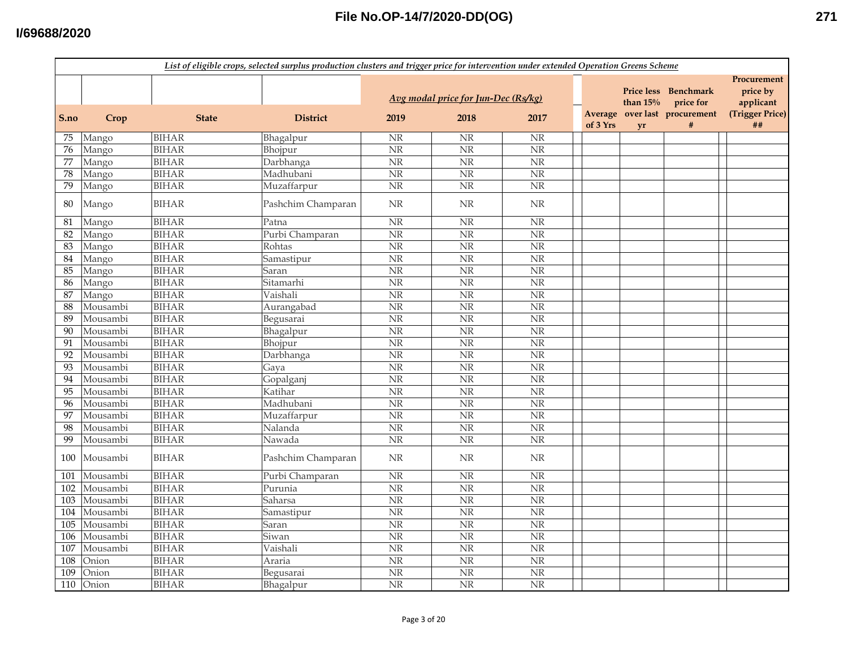#### **I/69688/2020**

| Procurement<br>Price less Benchmark<br>price by<br>Avg modal price for Jun-Dec (Rs/kg)<br>than $15%$<br>price for<br>applicant<br>Average over last procurement<br>(Trigger Price)<br><b>District</b><br>2019<br>2018<br>2017<br>S.no<br>Crop<br><b>State</b><br>of 3 Yrs<br>$\#$<br>##<br><b>vr</b><br>Mango<br><b>BIHAR</b><br>NR<br><b>NR</b><br>$\rm{NR}$<br>75<br>Bhagalpur<br><b>BIHAR</b><br>$\overline{\text{NR}}$<br>N <sub>R</sub><br>$\overline{\text{NR}}$<br>Mango<br>Bhojpur<br>76<br><b>BIHAR</b><br>NR<br>$\overline{\text{NR}}$<br>$\overline{\text{NR}}$<br>Darbhanga<br>77<br>Mango<br><b>BIHAR</b><br>$\overline{\text{NR}}$<br>$\overline{\text{NR}}$<br>$\overline{\text{NR}}$<br>78<br>Madhubani<br>Mango<br><b>BIHAR</b><br>$\overline{\text{NR}}$<br>NR<br>Muzaffarpur<br>NR<br>79<br>Mango<br><b>BIHAR</b><br>Pashchim Champaran<br><b>NR</b><br><b>NR</b><br><b>NR</b><br>80<br>Mango<br><b>BIHAR</b><br>NR<br>Patna<br>$\rm{NR}$<br>NR<br>81<br>Mango<br><b>BIHAR</b><br>$\overline{\text{NR}}$<br>N <sub>R</sub><br>$\overline{\text{NR}}$<br>Purbi Champaran<br>82<br>Mango<br><b>BIHAR</b><br>Rohtas<br>NR<br>NR<br>NR<br>83<br>Mango<br>$\overline{\text{NR}}$<br><b>BIHAR</b><br>NR<br>NR<br>84<br>Mango<br>Samastipur<br><b>BIHAR</b><br>$\overline{\text{NR}}$<br>$\overline{\text{NR}}$<br>$\overline{\text{NR}}$<br>85<br>Mango<br>Saran<br><b>BIHAR</b><br>Sitamarhi<br>$\overline{\text{NR}}$<br>$\overline{\text{NR}}$<br>$\overline{\text{NR}}$<br>86<br>Mango<br><b>BIHAR</b><br>Vaishali<br>$\overline{\text{NR}}$<br>N <sub>R</sub><br>$\overline{\text{NR}}$<br>87<br>Mango<br><b>BIHAR</b><br>$\overline{\text{NR}}$<br>NR<br>88<br>Mousambi<br>Aurangabad<br>$\overline{\text{NR}}$<br><b>BIHAR</b><br>$\overline{\text{NR}}$<br>$\overline{\text{NR}}$<br>$\overline{\text{NR}}$<br>Mousambi<br>89<br>Begusarai<br><b>BIHAR</b><br>$\overline{\text{NR}}$<br>$\overline{\text{NR}}$<br>90<br>Mousambi<br>Bhagalpur<br>NR<br>Mousambi<br><b>BIHAR</b><br>NR<br>$\rm NR$<br>$\rm{NR}$<br>Bhojpur<br>91<br><b>BIHAR</b><br>NR<br>NR<br>NR<br>92<br>Mousambi<br>Darbhanga<br><b>BIHAR</b><br>$\overline{\text{NR}}$<br>NR<br>$\rm{NR}$<br>93<br>Mousambi<br>Gaya<br><b>BIHAR</b><br>Mousambi<br>NR<br>NR<br><b>NR</b><br>94<br>Gopalganj<br><b>BIHAR</b><br>N <sub>R</sub><br>$\overline{\text{NR}}$<br>Katihar<br><b>NR</b><br>95<br>Mousambi<br><b>BIHAR</b><br><b>NR</b><br><b>NR</b><br>$\overline{\text{NR}}$<br>96<br>Mousambi<br>Madhubani<br><b>BIHAR</b><br>$\overline{\text{NR}}$<br>Mousambi<br>$\overline{\text{NR}}$<br>$\overline{\text{NR}}$<br>97<br>Muzaffarpur<br><b>BIHAR</b><br>$\overline{\text{NR}}$<br>NR<br>$\overline{\text{NR}}$<br>Mousambi<br>98<br>Nalanda<br><b>BIHAR</b><br>$\overline{\text{NR}}$<br>NR<br>NR<br>99<br>Mousambi<br>Nawada<br><b>BIHAR</b><br>Mousambi<br>Pashchim Champaran<br>$\ensuremath{\text{NR}}\xspace$<br>$\rm NR$<br><b>NR</b><br>100<br><b>BIHAR</b><br><b>NR</b><br>$\overline{\text{NR}}$<br>Mousambi<br>Purbi Champaran<br>NR<br>101<br>Mousambi<br><b>BIHAR</b><br>NR<br>$\rm NR$<br>102<br>Purunia<br>$\rm{NR}$<br>Mousambi<br><b>BIHAR</b><br>NR<br>$\rm{NR}$<br>$\rm{NR}$<br>103<br>Saharsa<br><b>BIHAR</b><br><b>NR</b><br>NR<br><b>NR</b><br>Mousambi<br>104<br>Samastipur<br><b>BIHAR</b><br>NR<br>NR<br><b>NR</b><br>105<br>Mousambi<br>Saran<br>Mousambi<br><b>BIHAR</b><br>Siwan<br>NR<br>$\overline{\text{NR}}$<br>NR<br>106<br><b>BIHAR</b><br>$\overline{\text{NR}}$<br>NR<br>$\overline{\text{NR}}$<br>107<br>Mousambi<br>Vaishali<br>$\overline{\text{NR}}$<br><b>BIHAR</b><br><b>NR</b><br>$\overline{\text{NR}}$<br>108<br>Onion<br>Araria<br>$\overline{\text{NR}}$<br>$\overline{\text{NR}}$<br><b>BIHAR</b><br>$\overline{\text{NR}}$<br>109<br>Onion<br>Begusarai |     | List of eligible crops, selected surplus production clusters and trigger price for intervention under extended Operation Greens Scheme |              |           |                        |                        |                        |  |  |  |  |  |
|-------------------------------------------------------------------------------------------------------------------------------------------------------------------------------------------------------------------------------------------------------------------------------------------------------------------------------------------------------------------------------------------------------------------------------------------------------------------------------------------------------------------------------------------------------------------------------------------------------------------------------------------------------------------------------------------------------------------------------------------------------------------------------------------------------------------------------------------------------------------------------------------------------------------------------------------------------------------------------------------------------------------------------------------------------------------------------------------------------------------------------------------------------------------------------------------------------------------------------------------------------------------------------------------------------------------------------------------------------------------------------------------------------------------------------------------------------------------------------------------------------------------------------------------------------------------------------------------------------------------------------------------------------------------------------------------------------------------------------------------------------------------------------------------------------------------------------------------------------------------------------------------------------------------------------------------------------------------------------------------------------------------------------------------------------------------------------------------------------------------------------------------------------------------------------------------------------------------------------------------------------------------------------------------------------------------------------------------------------------------------------------------------------------------------------------------------------------------------------------------------------------------------------------------------------------------------------------------------------------------------------------------------------------------------------------------------------------------------------------------------------------------------------------------------------------------------------------------------------------------------------------------------------------------------------------------------------------------------------------------------------------------------------------------------------------------------------------------------------------------------------------------------------------------------------------------------------------------------------------------------------------------------------------------------------------------------------------------------------------------------------------------------------------------------------------------------------------------------------------------------------------------------------------------------------------------------------------------------------------------------------------------------------------------------------------------------------------------------------------------------------------------------------------------------|-----|----------------------------------------------------------------------------------------------------------------------------------------|--------------|-----------|------------------------|------------------------|------------------------|--|--|--|--|--|
|                                                                                                                                                                                                                                                                                                                                                                                                                                                                                                                                                                                                                                                                                                                                                                                                                                                                                                                                                                                                                                                                                                                                                                                                                                                                                                                                                                                                                                                                                                                                                                                                                                                                                                                                                                                                                                                                                                                                                                                                                                                                                                                                                                                                                                                                                                                                                                                                                                                                                                                                                                                                                                                                                                                                                                                                                                                                                                                                                                                                                                                                                                                                                                                                                                                                                                                                                                                                                                                                                                                                                                                                                                                                                                                                                                                                 |     |                                                                                                                                        |              |           |                        |                        |                        |  |  |  |  |  |
|                                                                                                                                                                                                                                                                                                                                                                                                                                                                                                                                                                                                                                                                                                                                                                                                                                                                                                                                                                                                                                                                                                                                                                                                                                                                                                                                                                                                                                                                                                                                                                                                                                                                                                                                                                                                                                                                                                                                                                                                                                                                                                                                                                                                                                                                                                                                                                                                                                                                                                                                                                                                                                                                                                                                                                                                                                                                                                                                                                                                                                                                                                                                                                                                                                                                                                                                                                                                                                                                                                                                                                                                                                                                                                                                                                                                 |     |                                                                                                                                        |              |           |                        |                        |                        |  |  |  |  |  |
|                                                                                                                                                                                                                                                                                                                                                                                                                                                                                                                                                                                                                                                                                                                                                                                                                                                                                                                                                                                                                                                                                                                                                                                                                                                                                                                                                                                                                                                                                                                                                                                                                                                                                                                                                                                                                                                                                                                                                                                                                                                                                                                                                                                                                                                                                                                                                                                                                                                                                                                                                                                                                                                                                                                                                                                                                                                                                                                                                                                                                                                                                                                                                                                                                                                                                                                                                                                                                                                                                                                                                                                                                                                                                                                                                                                                 |     |                                                                                                                                        |              |           |                        |                        |                        |  |  |  |  |  |
|                                                                                                                                                                                                                                                                                                                                                                                                                                                                                                                                                                                                                                                                                                                                                                                                                                                                                                                                                                                                                                                                                                                                                                                                                                                                                                                                                                                                                                                                                                                                                                                                                                                                                                                                                                                                                                                                                                                                                                                                                                                                                                                                                                                                                                                                                                                                                                                                                                                                                                                                                                                                                                                                                                                                                                                                                                                                                                                                                                                                                                                                                                                                                                                                                                                                                                                                                                                                                                                                                                                                                                                                                                                                                                                                                                                                 |     |                                                                                                                                        |              |           |                        |                        |                        |  |  |  |  |  |
|                                                                                                                                                                                                                                                                                                                                                                                                                                                                                                                                                                                                                                                                                                                                                                                                                                                                                                                                                                                                                                                                                                                                                                                                                                                                                                                                                                                                                                                                                                                                                                                                                                                                                                                                                                                                                                                                                                                                                                                                                                                                                                                                                                                                                                                                                                                                                                                                                                                                                                                                                                                                                                                                                                                                                                                                                                                                                                                                                                                                                                                                                                                                                                                                                                                                                                                                                                                                                                                                                                                                                                                                                                                                                                                                                                                                 |     |                                                                                                                                        |              |           |                        |                        |                        |  |  |  |  |  |
|                                                                                                                                                                                                                                                                                                                                                                                                                                                                                                                                                                                                                                                                                                                                                                                                                                                                                                                                                                                                                                                                                                                                                                                                                                                                                                                                                                                                                                                                                                                                                                                                                                                                                                                                                                                                                                                                                                                                                                                                                                                                                                                                                                                                                                                                                                                                                                                                                                                                                                                                                                                                                                                                                                                                                                                                                                                                                                                                                                                                                                                                                                                                                                                                                                                                                                                                                                                                                                                                                                                                                                                                                                                                                                                                                                                                 |     |                                                                                                                                        |              |           |                        |                        |                        |  |  |  |  |  |
|                                                                                                                                                                                                                                                                                                                                                                                                                                                                                                                                                                                                                                                                                                                                                                                                                                                                                                                                                                                                                                                                                                                                                                                                                                                                                                                                                                                                                                                                                                                                                                                                                                                                                                                                                                                                                                                                                                                                                                                                                                                                                                                                                                                                                                                                                                                                                                                                                                                                                                                                                                                                                                                                                                                                                                                                                                                                                                                                                                                                                                                                                                                                                                                                                                                                                                                                                                                                                                                                                                                                                                                                                                                                                                                                                                                                 |     |                                                                                                                                        |              |           |                        |                        |                        |  |  |  |  |  |
|                                                                                                                                                                                                                                                                                                                                                                                                                                                                                                                                                                                                                                                                                                                                                                                                                                                                                                                                                                                                                                                                                                                                                                                                                                                                                                                                                                                                                                                                                                                                                                                                                                                                                                                                                                                                                                                                                                                                                                                                                                                                                                                                                                                                                                                                                                                                                                                                                                                                                                                                                                                                                                                                                                                                                                                                                                                                                                                                                                                                                                                                                                                                                                                                                                                                                                                                                                                                                                                                                                                                                                                                                                                                                                                                                                                                 |     |                                                                                                                                        |              |           |                        |                        |                        |  |  |  |  |  |
|                                                                                                                                                                                                                                                                                                                                                                                                                                                                                                                                                                                                                                                                                                                                                                                                                                                                                                                                                                                                                                                                                                                                                                                                                                                                                                                                                                                                                                                                                                                                                                                                                                                                                                                                                                                                                                                                                                                                                                                                                                                                                                                                                                                                                                                                                                                                                                                                                                                                                                                                                                                                                                                                                                                                                                                                                                                                                                                                                                                                                                                                                                                                                                                                                                                                                                                                                                                                                                                                                                                                                                                                                                                                                                                                                                                                 |     |                                                                                                                                        |              |           |                        |                        |                        |  |  |  |  |  |
|                                                                                                                                                                                                                                                                                                                                                                                                                                                                                                                                                                                                                                                                                                                                                                                                                                                                                                                                                                                                                                                                                                                                                                                                                                                                                                                                                                                                                                                                                                                                                                                                                                                                                                                                                                                                                                                                                                                                                                                                                                                                                                                                                                                                                                                                                                                                                                                                                                                                                                                                                                                                                                                                                                                                                                                                                                                                                                                                                                                                                                                                                                                                                                                                                                                                                                                                                                                                                                                                                                                                                                                                                                                                                                                                                                                                 |     |                                                                                                                                        |              |           |                        |                        |                        |  |  |  |  |  |
|                                                                                                                                                                                                                                                                                                                                                                                                                                                                                                                                                                                                                                                                                                                                                                                                                                                                                                                                                                                                                                                                                                                                                                                                                                                                                                                                                                                                                                                                                                                                                                                                                                                                                                                                                                                                                                                                                                                                                                                                                                                                                                                                                                                                                                                                                                                                                                                                                                                                                                                                                                                                                                                                                                                                                                                                                                                                                                                                                                                                                                                                                                                                                                                                                                                                                                                                                                                                                                                                                                                                                                                                                                                                                                                                                                                                 |     |                                                                                                                                        |              |           |                        |                        |                        |  |  |  |  |  |
|                                                                                                                                                                                                                                                                                                                                                                                                                                                                                                                                                                                                                                                                                                                                                                                                                                                                                                                                                                                                                                                                                                                                                                                                                                                                                                                                                                                                                                                                                                                                                                                                                                                                                                                                                                                                                                                                                                                                                                                                                                                                                                                                                                                                                                                                                                                                                                                                                                                                                                                                                                                                                                                                                                                                                                                                                                                                                                                                                                                                                                                                                                                                                                                                                                                                                                                                                                                                                                                                                                                                                                                                                                                                                                                                                                                                 |     |                                                                                                                                        |              |           |                        |                        |                        |  |  |  |  |  |
|                                                                                                                                                                                                                                                                                                                                                                                                                                                                                                                                                                                                                                                                                                                                                                                                                                                                                                                                                                                                                                                                                                                                                                                                                                                                                                                                                                                                                                                                                                                                                                                                                                                                                                                                                                                                                                                                                                                                                                                                                                                                                                                                                                                                                                                                                                                                                                                                                                                                                                                                                                                                                                                                                                                                                                                                                                                                                                                                                                                                                                                                                                                                                                                                                                                                                                                                                                                                                                                                                                                                                                                                                                                                                                                                                                                                 |     |                                                                                                                                        |              |           |                        |                        |                        |  |  |  |  |  |
|                                                                                                                                                                                                                                                                                                                                                                                                                                                                                                                                                                                                                                                                                                                                                                                                                                                                                                                                                                                                                                                                                                                                                                                                                                                                                                                                                                                                                                                                                                                                                                                                                                                                                                                                                                                                                                                                                                                                                                                                                                                                                                                                                                                                                                                                                                                                                                                                                                                                                                                                                                                                                                                                                                                                                                                                                                                                                                                                                                                                                                                                                                                                                                                                                                                                                                                                                                                                                                                                                                                                                                                                                                                                                                                                                                                                 |     |                                                                                                                                        |              |           |                        |                        |                        |  |  |  |  |  |
|                                                                                                                                                                                                                                                                                                                                                                                                                                                                                                                                                                                                                                                                                                                                                                                                                                                                                                                                                                                                                                                                                                                                                                                                                                                                                                                                                                                                                                                                                                                                                                                                                                                                                                                                                                                                                                                                                                                                                                                                                                                                                                                                                                                                                                                                                                                                                                                                                                                                                                                                                                                                                                                                                                                                                                                                                                                                                                                                                                                                                                                                                                                                                                                                                                                                                                                                                                                                                                                                                                                                                                                                                                                                                                                                                                                                 |     |                                                                                                                                        |              |           |                        |                        |                        |  |  |  |  |  |
|                                                                                                                                                                                                                                                                                                                                                                                                                                                                                                                                                                                                                                                                                                                                                                                                                                                                                                                                                                                                                                                                                                                                                                                                                                                                                                                                                                                                                                                                                                                                                                                                                                                                                                                                                                                                                                                                                                                                                                                                                                                                                                                                                                                                                                                                                                                                                                                                                                                                                                                                                                                                                                                                                                                                                                                                                                                                                                                                                                                                                                                                                                                                                                                                                                                                                                                                                                                                                                                                                                                                                                                                                                                                                                                                                                                                 |     |                                                                                                                                        |              |           |                        |                        |                        |  |  |  |  |  |
|                                                                                                                                                                                                                                                                                                                                                                                                                                                                                                                                                                                                                                                                                                                                                                                                                                                                                                                                                                                                                                                                                                                                                                                                                                                                                                                                                                                                                                                                                                                                                                                                                                                                                                                                                                                                                                                                                                                                                                                                                                                                                                                                                                                                                                                                                                                                                                                                                                                                                                                                                                                                                                                                                                                                                                                                                                                                                                                                                                                                                                                                                                                                                                                                                                                                                                                                                                                                                                                                                                                                                                                                                                                                                                                                                                                                 |     |                                                                                                                                        |              |           |                        |                        |                        |  |  |  |  |  |
|                                                                                                                                                                                                                                                                                                                                                                                                                                                                                                                                                                                                                                                                                                                                                                                                                                                                                                                                                                                                                                                                                                                                                                                                                                                                                                                                                                                                                                                                                                                                                                                                                                                                                                                                                                                                                                                                                                                                                                                                                                                                                                                                                                                                                                                                                                                                                                                                                                                                                                                                                                                                                                                                                                                                                                                                                                                                                                                                                                                                                                                                                                                                                                                                                                                                                                                                                                                                                                                                                                                                                                                                                                                                                                                                                                                                 |     |                                                                                                                                        |              |           |                        |                        |                        |  |  |  |  |  |
|                                                                                                                                                                                                                                                                                                                                                                                                                                                                                                                                                                                                                                                                                                                                                                                                                                                                                                                                                                                                                                                                                                                                                                                                                                                                                                                                                                                                                                                                                                                                                                                                                                                                                                                                                                                                                                                                                                                                                                                                                                                                                                                                                                                                                                                                                                                                                                                                                                                                                                                                                                                                                                                                                                                                                                                                                                                                                                                                                                                                                                                                                                                                                                                                                                                                                                                                                                                                                                                                                                                                                                                                                                                                                                                                                                                                 |     |                                                                                                                                        |              |           |                        |                        |                        |  |  |  |  |  |
|                                                                                                                                                                                                                                                                                                                                                                                                                                                                                                                                                                                                                                                                                                                                                                                                                                                                                                                                                                                                                                                                                                                                                                                                                                                                                                                                                                                                                                                                                                                                                                                                                                                                                                                                                                                                                                                                                                                                                                                                                                                                                                                                                                                                                                                                                                                                                                                                                                                                                                                                                                                                                                                                                                                                                                                                                                                                                                                                                                                                                                                                                                                                                                                                                                                                                                                                                                                                                                                                                                                                                                                                                                                                                                                                                                                                 |     |                                                                                                                                        |              |           |                        |                        |                        |  |  |  |  |  |
|                                                                                                                                                                                                                                                                                                                                                                                                                                                                                                                                                                                                                                                                                                                                                                                                                                                                                                                                                                                                                                                                                                                                                                                                                                                                                                                                                                                                                                                                                                                                                                                                                                                                                                                                                                                                                                                                                                                                                                                                                                                                                                                                                                                                                                                                                                                                                                                                                                                                                                                                                                                                                                                                                                                                                                                                                                                                                                                                                                                                                                                                                                                                                                                                                                                                                                                                                                                                                                                                                                                                                                                                                                                                                                                                                                                                 |     |                                                                                                                                        |              |           |                        |                        |                        |  |  |  |  |  |
|                                                                                                                                                                                                                                                                                                                                                                                                                                                                                                                                                                                                                                                                                                                                                                                                                                                                                                                                                                                                                                                                                                                                                                                                                                                                                                                                                                                                                                                                                                                                                                                                                                                                                                                                                                                                                                                                                                                                                                                                                                                                                                                                                                                                                                                                                                                                                                                                                                                                                                                                                                                                                                                                                                                                                                                                                                                                                                                                                                                                                                                                                                                                                                                                                                                                                                                                                                                                                                                                                                                                                                                                                                                                                                                                                                                                 |     |                                                                                                                                        |              |           |                        |                        |                        |  |  |  |  |  |
|                                                                                                                                                                                                                                                                                                                                                                                                                                                                                                                                                                                                                                                                                                                                                                                                                                                                                                                                                                                                                                                                                                                                                                                                                                                                                                                                                                                                                                                                                                                                                                                                                                                                                                                                                                                                                                                                                                                                                                                                                                                                                                                                                                                                                                                                                                                                                                                                                                                                                                                                                                                                                                                                                                                                                                                                                                                                                                                                                                                                                                                                                                                                                                                                                                                                                                                                                                                                                                                                                                                                                                                                                                                                                                                                                                                                 |     |                                                                                                                                        |              |           |                        |                        |                        |  |  |  |  |  |
|                                                                                                                                                                                                                                                                                                                                                                                                                                                                                                                                                                                                                                                                                                                                                                                                                                                                                                                                                                                                                                                                                                                                                                                                                                                                                                                                                                                                                                                                                                                                                                                                                                                                                                                                                                                                                                                                                                                                                                                                                                                                                                                                                                                                                                                                                                                                                                                                                                                                                                                                                                                                                                                                                                                                                                                                                                                                                                                                                                                                                                                                                                                                                                                                                                                                                                                                                                                                                                                                                                                                                                                                                                                                                                                                                                                                 |     |                                                                                                                                        |              |           |                        |                        |                        |  |  |  |  |  |
|                                                                                                                                                                                                                                                                                                                                                                                                                                                                                                                                                                                                                                                                                                                                                                                                                                                                                                                                                                                                                                                                                                                                                                                                                                                                                                                                                                                                                                                                                                                                                                                                                                                                                                                                                                                                                                                                                                                                                                                                                                                                                                                                                                                                                                                                                                                                                                                                                                                                                                                                                                                                                                                                                                                                                                                                                                                                                                                                                                                                                                                                                                                                                                                                                                                                                                                                                                                                                                                                                                                                                                                                                                                                                                                                                                                                 |     |                                                                                                                                        |              |           |                        |                        |                        |  |  |  |  |  |
|                                                                                                                                                                                                                                                                                                                                                                                                                                                                                                                                                                                                                                                                                                                                                                                                                                                                                                                                                                                                                                                                                                                                                                                                                                                                                                                                                                                                                                                                                                                                                                                                                                                                                                                                                                                                                                                                                                                                                                                                                                                                                                                                                                                                                                                                                                                                                                                                                                                                                                                                                                                                                                                                                                                                                                                                                                                                                                                                                                                                                                                                                                                                                                                                                                                                                                                                                                                                                                                                                                                                                                                                                                                                                                                                                                                                 |     |                                                                                                                                        |              |           |                        |                        |                        |  |  |  |  |  |
|                                                                                                                                                                                                                                                                                                                                                                                                                                                                                                                                                                                                                                                                                                                                                                                                                                                                                                                                                                                                                                                                                                                                                                                                                                                                                                                                                                                                                                                                                                                                                                                                                                                                                                                                                                                                                                                                                                                                                                                                                                                                                                                                                                                                                                                                                                                                                                                                                                                                                                                                                                                                                                                                                                                                                                                                                                                                                                                                                                                                                                                                                                                                                                                                                                                                                                                                                                                                                                                                                                                                                                                                                                                                                                                                                                                                 |     |                                                                                                                                        |              |           |                        |                        |                        |  |  |  |  |  |
|                                                                                                                                                                                                                                                                                                                                                                                                                                                                                                                                                                                                                                                                                                                                                                                                                                                                                                                                                                                                                                                                                                                                                                                                                                                                                                                                                                                                                                                                                                                                                                                                                                                                                                                                                                                                                                                                                                                                                                                                                                                                                                                                                                                                                                                                                                                                                                                                                                                                                                                                                                                                                                                                                                                                                                                                                                                                                                                                                                                                                                                                                                                                                                                                                                                                                                                                                                                                                                                                                                                                                                                                                                                                                                                                                                                                 |     |                                                                                                                                        |              |           |                        |                        |                        |  |  |  |  |  |
|                                                                                                                                                                                                                                                                                                                                                                                                                                                                                                                                                                                                                                                                                                                                                                                                                                                                                                                                                                                                                                                                                                                                                                                                                                                                                                                                                                                                                                                                                                                                                                                                                                                                                                                                                                                                                                                                                                                                                                                                                                                                                                                                                                                                                                                                                                                                                                                                                                                                                                                                                                                                                                                                                                                                                                                                                                                                                                                                                                                                                                                                                                                                                                                                                                                                                                                                                                                                                                                                                                                                                                                                                                                                                                                                                                                                 |     |                                                                                                                                        |              |           |                        |                        |                        |  |  |  |  |  |
|                                                                                                                                                                                                                                                                                                                                                                                                                                                                                                                                                                                                                                                                                                                                                                                                                                                                                                                                                                                                                                                                                                                                                                                                                                                                                                                                                                                                                                                                                                                                                                                                                                                                                                                                                                                                                                                                                                                                                                                                                                                                                                                                                                                                                                                                                                                                                                                                                                                                                                                                                                                                                                                                                                                                                                                                                                                                                                                                                                                                                                                                                                                                                                                                                                                                                                                                                                                                                                                                                                                                                                                                                                                                                                                                                                                                 |     |                                                                                                                                        |              |           |                        |                        |                        |  |  |  |  |  |
|                                                                                                                                                                                                                                                                                                                                                                                                                                                                                                                                                                                                                                                                                                                                                                                                                                                                                                                                                                                                                                                                                                                                                                                                                                                                                                                                                                                                                                                                                                                                                                                                                                                                                                                                                                                                                                                                                                                                                                                                                                                                                                                                                                                                                                                                                                                                                                                                                                                                                                                                                                                                                                                                                                                                                                                                                                                                                                                                                                                                                                                                                                                                                                                                                                                                                                                                                                                                                                                                                                                                                                                                                                                                                                                                                                                                 |     |                                                                                                                                        |              |           |                        |                        |                        |  |  |  |  |  |
|                                                                                                                                                                                                                                                                                                                                                                                                                                                                                                                                                                                                                                                                                                                                                                                                                                                                                                                                                                                                                                                                                                                                                                                                                                                                                                                                                                                                                                                                                                                                                                                                                                                                                                                                                                                                                                                                                                                                                                                                                                                                                                                                                                                                                                                                                                                                                                                                                                                                                                                                                                                                                                                                                                                                                                                                                                                                                                                                                                                                                                                                                                                                                                                                                                                                                                                                                                                                                                                                                                                                                                                                                                                                                                                                                                                                 |     |                                                                                                                                        |              |           |                        |                        |                        |  |  |  |  |  |
|                                                                                                                                                                                                                                                                                                                                                                                                                                                                                                                                                                                                                                                                                                                                                                                                                                                                                                                                                                                                                                                                                                                                                                                                                                                                                                                                                                                                                                                                                                                                                                                                                                                                                                                                                                                                                                                                                                                                                                                                                                                                                                                                                                                                                                                                                                                                                                                                                                                                                                                                                                                                                                                                                                                                                                                                                                                                                                                                                                                                                                                                                                                                                                                                                                                                                                                                                                                                                                                                                                                                                                                                                                                                                                                                                                                                 |     |                                                                                                                                        |              |           |                        |                        |                        |  |  |  |  |  |
|                                                                                                                                                                                                                                                                                                                                                                                                                                                                                                                                                                                                                                                                                                                                                                                                                                                                                                                                                                                                                                                                                                                                                                                                                                                                                                                                                                                                                                                                                                                                                                                                                                                                                                                                                                                                                                                                                                                                                                                                                                                                                                                                                                                                                                                                                                                                                                                                                                                                                                                                                                                                                                                                                                                                                                                                                                                                                                                                                                                                                                                                                                                                                                                                                                                                                                                                                                                                                                                                                                                                                                                                                                                                                                                                                                                                 |     |                                                                                                                                        |              |           |                        |                        |                        |  |  |  |  |  |
|                                                                                                                                                                                                                                                                                                                                                                                                                                                                                                                                                                                                                                                                                                                                                                                                                                                                                                                                                                                                                                                                                                                                                                                                                                                                                                                                                                                                                                                                                                                                                                                                                                                                                                                                                                                                                                                                                                                                                                                                                                                                                                                                                                                                                                                                                                                                                                                                                                                                                                                                                                                                                                                                                                                                                                                                                                                                                                                                                                                                                                                                                                                                                                                                                                                                                                                                                                                                                                                                                                                                                                                                                                                                                                                                                                                                 |     |                                                                                                                                        |              |           |                        |                        |                        |  |  |  |  |  |
|                                                                                                                                                                                                                                                                                                                                                                                                                                                                                                                                                                                                                                                                                                                                                                                                                                                                                                                                                                                                                                                                                                                                                                                                                                                                                                                                                                                                                                                                                                                                                                                                                                                                                                                                                                                                                                                                                                                                                                                                                                                                                                                                                                                                                                                                                                                                                                                                                                                                                                                                                                                                                                                                                                                                                                                                                                                                                                                                                                                                                                                                                                                                                                                                                                                                                                                                                                                                                                                                                                                                                                                                                                                                                                                                                                                                 |     |                                                                                                                                        |              |           |                        |                        |                        |  |  |  |  |  |
|                                                                                                                                                                                                                                                                                                                                                                                                                                                                                                                                                                                                                                                                                                                                                                                                                                                                                                                                                                                                                                                                                                                                                                                                                                                                                                                                                                                                                                                                                                                                                                                                                                                                                                                                                                                                                                                                                                                                                                                                                                                                                                                                                                                                                                                                                                                                                                                                                                                                                                                                                                                                                                                                                                                                                                                                                                                                                                                                                                                                                                                                                                                                                                                                                                                                                                                                                                                                                                                                                                                                                                                                                                                                                                                                                                                                 |     |                                                                                                                                        |              |           |                        |                        |                        |  |  |  |  |  |
|                                                                                                                                                                                                                                                                                                                                                                                                                                                                                                                                                                                                                                                                                                                                                                                                                                                                                                                                                                                                                                                                                                                                                                                                                                                                                                                                                                                                                                                                                                                                                                                                                                                                                                                                                                                                                                                                                                                                                                                                                                                                                                                                                                                                                                                                                                                                                                                                                                                                                                                                                                                                                                                                                                                                                                                                                                                                                                                                                                                                                                                                                                                                                                                                                                                                                                                                                                                                                                                                                                                                                                                                                                                                                                                                                                                                 | 110 | Onion                                                                                                                                  | <b>BIHAR</b> | Bhagalpur | $\overline{\text{NR}}$ | $\overline{\text{NR}}$ | $\overline{\text{NR}}$ |  |  |  |  |  |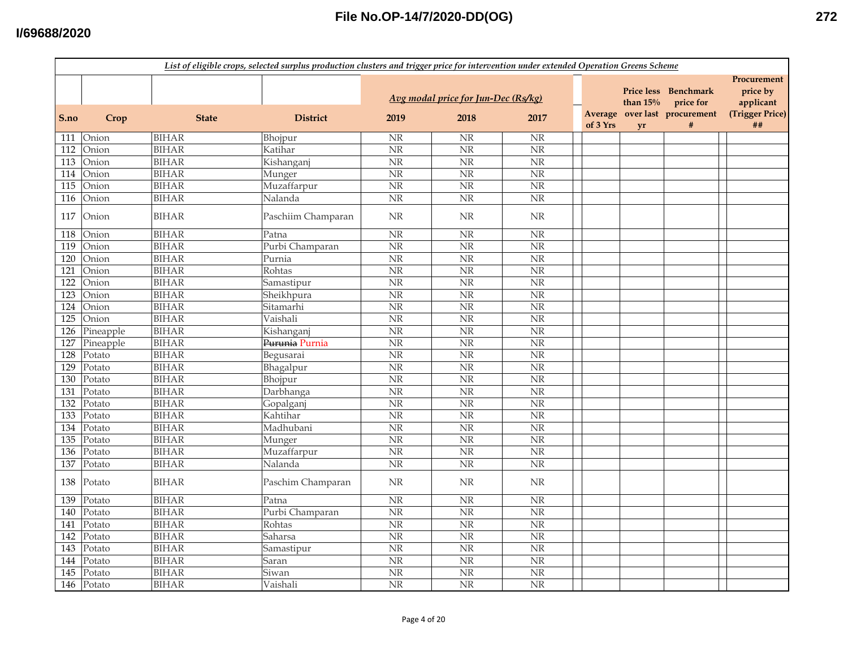#### **I/69688/2020**

|                   | List of eligible crops, selected surplus production clusters and trigger price for intervention under extended Operation Greens Scheme |              |                    |                        |                                             |                        |                     |                         |                                                                    |                                                               |  |
|-------------------|----------------------------------------------------------------------------------------------------------------------------------------|--------------|--------------------|------------------------|---------------------------------------------|------------------------|---------------------|-------------------------|--------------------------------------------------------------------|---------------------------------------------------------------|--|
| S.no              | Crop                                                                                                                                   | <b>State</b> | <b>District</b>    | 2019                   | Avg modal price for Jun-Dec (Rs/kg)<br>2018 | 2017                   | Average<br>of 3 Yrs | than $15%$<br><b>vr</b> | Price less Benchmark<br>price for<br>over last procurement<br>$\#$ | Procurement<br>price by<br>applicant<br>(Trigger Price)<br>## |  |
|                   | 111 Onion                                                                                                                              | <b>BIHAR</b> | Bhojpur            | NR                     | <b>NR</b>                                   | $\rm{NR}$              |                     |                         |                                                                    |                                                               |  |
| 112               | Onion                                                                                                                                  | <b>BIHAR</b> | Katihar            | $\overline{\text{NR}}$ | $\overline{\text{NR}}$                      | N <sub>R</sub>         |                     |                         |                                                                    |                                                               |  |
| $\overline{113}$  | Onion                                                                                                                                  | <b>BIHAR</b> | Kishanganj         | $\overline{\text{NR}}$ | NR                                          | $\overline{\text{NR}}$ |                     |                         |                                                                    |                                                               |  |
| 114               | Onion                                                                                                                                  | <b>BIHAR</b> | Munger             | $\overline{\text{NR}}$ | $\overline{\text{NR}}$                      | NR                     |                     |                         |                                                                    |                                                               |  |
| $\frac{115}{115}$ | Onion                                                                                                                                  | <b>BIHAR</b> | Muzaffarpur        | $\overline{\text{NR}}$ | NR                                          | NR                     |                     |                         |                                                                    |                                                               |  |
| 116               | Onion                                                                                                                                  | <b>BIHAR</b> | Nalanda            | NR                     | NR                                          | NR                     |                     |                         |                                                                    |                                                               |  |
| 117               | Onion                                                                                                                                  | <b>BIHAR</b> | Paschiim Champaran | $\rm{NR}$              | <b>NR</b>                                   | <b>NR</b>              |                     |                         |                                                                    |                                                               |  |
| 118               | Onion                                                                                                                                  | <b>BIHAR</b> | Patna              | NR                     | NR                                          | NR                     |                     |                         |                                                                    |                                                               |  |
| 119               | Onion                                                                                                                                  | <b>BIHAR</b> | Purbi Champaran    | NR                     | NR                                          | NR                     |                     |                         |                                                                    |                                                               |  |
| 120               | Onion                                                                                                                                  | <b>BIHAR</b> | Purnia             | NR                     | NR                                          | $\overline{\text{NR}}$ |                     |                         |                                                                    |                                                               |  |
| 121               | Onion                                                                                                                                  | <b>BIHAR</b> | Rohtas             | $\overline{\text{NR}}$ | $\overline{\text{NR}}$                      | $\overline{\text{NR}}$ |                     |                         |                                                                    |                                                               |  |
| 122               | Onion                                                                                                                                  | <b>BIHAR</b> | Samastipur         | $\overline{\text{NR}}$ | $\overline{\text{NR}}$                      | $\overline{\text{NR}}$ |                     |                         |                                                                    |                                                               |  |
| 123               | Onion                                                                                                                                  | <b>BIHAR</b> | Sheikhpura         | $\overline{\text{NR}}$ | $\overline{\text{NR}}$                      | N <sub>R</sub>         |                     |                         |                                                                    |                                                               |  |
| 124               | Onion                                                                                                                                  | <b>BIHAR</b> | Sitamarhi          | $\overline{\text{NR}}$ | $\overline{\text{NR}}$                      | NR                     |                     |                         |                                                                    |                                                               |  |
| $\overline{125}$  | Onion                                                                                                                                  | <b>BIHAR</b> | Vaishali           | $\overline{\text{NR}}$ | <b>NR</b>                                   | $\overline{\text{NR}}$ |                     |                         |                                                                    |                                                               |  |
| 126               | Pineapple                                                                                                                              | <b>BIHAR</b> | Kishanganj         | $\overline{\text{NR}}$ | $\overline{\text{NR}}$                      | $\overline{\text{NR}}$ |                     |                         |                                                                    |                                                               |  |
| 127               | Pineapple                                                                                                                              | <b>BIHAR</b> | Purunia Purnia     | NR                     | NR                                          | NR                     |                     |                         |                                                                    |                                                               |  |
| 128               | Potato                                                                                                                                 | <b>BIHAR</b> | Begusarai          | NR                     | NR                                          | NR                     |                     |                         |                                                                    |                                                               |  |
| 129               | Potato                                                                                                                                 | <b>BIHAR</b> | Bhagalpur          | <b>NR</b>              | NR                                          | NR                     |                     |                         |                                                                    |                                                               |  |
| 130               | Potato                                                                                                                                 | <b>BIHAR</b> | Bhojpur            | $\overline{\text{NR}}$ | $\overline{\text{NR}}$                      | $\overline{\text{NR}}$ |                     |                         |                                                                    |                                                               |  |
| 131               | Potato                                                                                                                                 | <b>BIHAR</b> | Darbhanga          | $\overline{\text{NR}}$ | N <sub>R</sub>                              | $\overline{\text{NR}}$ |                     |                         |                                                                    |                                                               |  |
| 132               | Potato                                                                                                                                 | <b>BIHAR</b> | Gopalganj          | NR                     | $\overline{\text{NR}}$                      | $\overline{\text{NR}}$ |                     |                         |                                                                    |                                                               |  |
| 133               | Potato                                                                                                                                 | <b>BIHAR</b> | Kahtihar           | $\overline{\text{NR}}$ | $\overline{\text{NR}}$                      | $\overline{\text{NR}}$ |                     |                         |                                                                    |                                                               |  |
| 134               | Potato                                                                                                                                 | <b>BIHAR</b> | Madhubani          | $\overline{\text{NR}}$ | $\overline{\text{NR}}$                      | $\overline{\text{NR}}$ |                     |                         |                                                                    |                                                               |  |
| $\frac{135}{2}$   | Potato                                                                                                                                 | <b>BIHAR</b> | Munger             | $\overline{\text{NR}}$ | $\overline{\text{NR}}$                      | N <sub>R</sub>         |                     |                         |                                                                    |                                                               |  |
| 136               | Potato                                                                                                                                 | <b>BIHAR</b> | Muzaffarpur        | $\overline{\text{NR}}$ | $\overline{\text{NR}}$                      | NR                     |                     |                         |                                                                    |                                                               |  |
| 137               | Potato                                                                                                                                 | <b>BIHAR</b> | Nalanda            | $\overline{\text{NR}}$ | $\overline{\text{NR}}$                      | $\overline{\text{NR}}$ |                     |                         |                                                                    |                                                               |  |
| 138               | Potato                                                                                                                                 | <b>BIHAR</b> | Paschim Champaran  | $\rm{NR}$              | $\rm NR$                                    | $\rm{NR}$              |                     |                         |                                                                    |                                                               |  |
| 139               | Potato                                                                                                                                 | <b>BIHAR</b> | Patna              | $\rm{NR}$              | $\rm{NR}$                                   | $\rm{NR}$              |                     |                         |                                                                    |                                                               |  |
| 140               | Potato                                                                                                                                 | <b>BIHAR</b> | Purbi Champaran    | NR                     | <b>NR</b>                                   | NR                     |                     |                         |                                                                    |                                                               |  |
| 141               | Potato                                                                                                                                 | <b>BIHAR</b> | Rohtas             | NR                     | NR                                          | NR                     |                     |                         |                                                                    |                                                               |  |
| 142               | Potato                                                                                                                                 | <b>BIHAR</b> | Saharsa            | NR                     | NR                                          | NR                     |                     |                         |                                                                    |                                                               |  |
| 143               | Potato                                                                                                                                 | <b>BIHAR</b> | Samastipur         | NR                     | $\overline{\text{NR}}$                      | $\overline{\text{NR}}$ |                     |                         |                                                                    |                                                               |  |
| 144               | Potato                                                                                                                                 | <b>BIHAR</b> | Saran              | <b>NR</b>              | $\overline{\text{NR}}$                      | $\overline{\text{NR}}$ |                     |                         |                                                                    |                                                               |  |
| 145               | Potato                                                                                                                                 | <b>BIHAR</b> | Siwan              | $\overline{\text{NR}}$ | $\overline{\text{NR}}$                      | $\overline{\text{NR}}$ |                     |                         |                                                                    |                                                               |  |
| 146               | Potato                                                                                                                                 | <b>BIHAR</b> | Vaishali           | $\overline{\text{NR}}$ | $\overline{\text{NR}}$                      | $\overline{\text{NR}}$ |                     |                         |                                                                    |                                                               |  |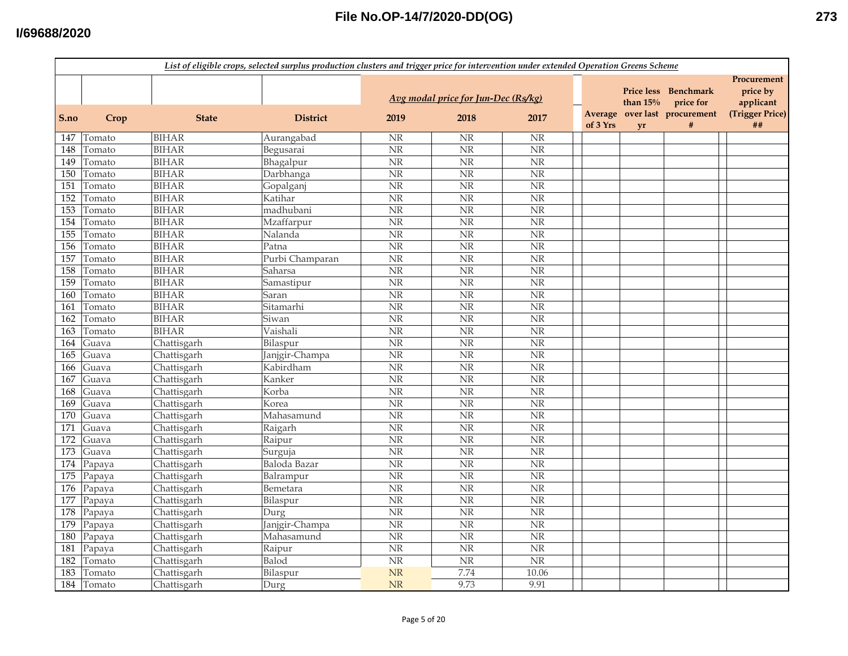|      | List of eligible crops, selected surplus production clusters and trigger price for intervention under extended Operation Greens Scheme |              |                 |                                     |                        |                        |                     |                                 |                            |                                      |  |
|------|----------------------------------------------------------------------------------------------------------------------------------------|--------------|-----------------|-------------------------------------|------------------------|------------------------|---------------------|---------------------------------|----------------------------|--------------------------------------|--|
|      |                                                                                                                                        |              |                 | Avg modal price for Jun-Dec (Rs/kg) |                        |                        |                     | <b>Price less</b><br>than $15%$ | Benchmark<br>price for     | Procurement<br>price by<br>applicant |  |
| S.no | Crop                                                                                                                                   | <b>State</b> | <b>District</b> | 2019                                | 2018                   | 2017                   | Average<br>of 3 Yrs | yr                              | over last procurement<br># | (Trigger Price)<br>##                |  |
| 147  | Tomato                                                                                                                                 | <b>BIHAR</b> | Aurangabad      | NR                                  | <b>NR</b>              | <b>NR</b>              |                     |                                 |                            |                                      |  |
| 148  | Tomato                                                                                                                                 | <b>BIHAR</b> | Begusarai       | $\overline{\text{NR}}$              | $\overline{\text{NR}}$ | $\overline{\text{NR}}$ |                     |                                 |                            |                                      |  |
| 149  | Tomato                                                                                                                                 | <b>BIHAR</b> | Bhagalpur       | $\overline{\text{NR}}$              | $\overline{\text{NR}}$ | $\overline{\text{NR}}$ |                     |                                 |                            |                                      |  |
| 150  | Tomato                                                                                                                                 | <b>BIHAR</b> | Darbhanga       | NR                                  | N <sub>R</sub>         | $\overline{\text{NR}}$ |                     |                                 |                            |                                      |  |
| 151  | Tomato                                                                                                                                 | <b>BIHAR</b> | Gopalganj       | $\overline{\text{NR}}$              | $\overline{\text{NR}}$ | $\overline{\text{NR}}$ |                     |                                 |                            |                                      |  |
| 152  | Tomato                                                                                                                                 | <b>BIHAR</b> | Katihar         | $\overline{\text{NR}}$              | $\overline{\text{NR}}$ | $\overline{\text{NR}}$ |                     |                                 |                            |                                      |  |
| 153  | Tomato                                                                                                                                 | <b>BIHAR</b> | madhubani       | NR                                  | $\overline{\text{NR}}$ | NR                     |                     |                                 |                            |                                      |  |
| 154  | Tomato                                                                                                                                 | <b>BIHAR</b> | Mzaffarpur      | NR                                  | $\rm NR$               | NR                     |                     |                                 |                            |                                      |  |
| 155  | Tomato                                                                                                                                 | <b>BIHAR</b> | Nalanda         | NR                                  | <b>NR</b>              | NR                     |                     |                                 |                            |                                      |  |
| 156  | Tomato                                                                                                                                 | <b>BIHAR</b> | Patna           | NR                                  | NR                     | NR                     |                     |                                 |                            |                                      |  |
| 157  | Tomato                                                                                                                                 | <b>BIHAR</b> | Purbi Champaran | NR                                  | NR                     | $\overline{\text{NR}}$ |                     |                                 |                            |                                      |  |
| 158  | Tomato                                                                                                                                 | <b>BIHAR</b> | Saharsa         | $\overline{\text{NR}}$              | NR                     | $\overline{\text{NR}}$ |                     |                                 |                            |                                      |  |
| 159  | Tomato                                                                                                                                 | <b>BIHAR</b> | Samastipur      | $\overline{\text{NR}}$              | $\overline{\text{NR}}$ | N <sub>R</sub>         |                     |                                 |                            |                                      |  |
| 160  | Tomato                                                                                                                                 | <b>BIHAR</b> | Saran           | $\overline{\text{NR}}$              | <b>NR</b>              | NR                     |                     |                                 |                            |                                      |  |
| 161  | Tomato                                                                                                                                 | <b>BIHAR</b> | Sitamarhi       | $\overline{\text{NR}}$              | $\overline{\text{NR}}$ | $\overline{\text{NR}}$ |                     |                                 |                            |                                      |  |
| 162  | Tomato                                                                                                                                 | <b>BIHAR</b> | Siwan           | $\overline{\text{NR}}$              | NR                     | $\overline{\text{NR}}$ |                     |                                 |                            |                                      |  |
| 163  | Tomato                                                                                                                                 | <b>BIHAR</b> | Vaishali        | NR                                  | NR                     | NR                     |                     |                                 |                            |                                      |  |
| 164  | Guava                                                                                                                                  | Chattisgarh  | Bilaspur        | NR                                  | NR                     | NR                     |                     |                                 |                            |                                      |  |
| 165  | Guava                                                                                                                                  | Chattisgarh  | Janjgir-Champa  | NR                                  | <b>NR</b>              | NR                     |                     |                                 |                            |                                      |  |
| 166  | Guava                                                                                                                                  | Chattisgarh  | Kabirdham       | NR                                  | NR                     | NR                     |                     |                                 |                            |                                      |  |
| 167  | Guava                                                                                                                                  | Chattisgarh  | Kanker          | NR                                  | $\overline{\text{NR}}$ | $\overline{\text{NR}}$ |                     |                                 |                            |                                      |  |
| 168  | Guava                                                                                                                                  | Chattisgarh  | Korba           | $\overline{\text{NR}}$              | $\overline{\text{NR}}$ | $\overline{\text{NR}}$ |                     |                                 |                            |                                      |  |
| 169  | Guava                                                                                                                                  | Chattisgarh  | Korea           | NR                                  | NR                     | NR                     |                     |                                 |                            |                                      |  |
| 170  | Guava                                                                                                                                  | Chattisgarh  | Mahasamund      | $\overline{\text{NR}}$              | N <sub>R</sub>         | $\overline{\text{NR}}$ |                     |                                 |                            |                                      |  |
| 171  | Guava                                                                                                                                  | Chattisgarh  | Raigarh         | $\overline{\text{NR}}$              | $\overline{\text{NR}}$ | $\overline{\text{NR}}$ |                     |                                 |                            |                                      |  |
| 172  | Guava                                                                                                                                  | Chattisgarh  | Raipur          | $\overline{\text{NR}}$              | $\overline{\text{NR}}$ | $\overline{\text{NR}}$ |                     |                                 |                            |                                      |  |
| 173  | Guava                                                                                                                                  | Chattisgarh  | Surguja         | $\overline{\text{NR}}$              | $\overline{\text{NR}}$ | NR                     |                     |                                 |                            |                                      |  |
| 174  | Papaya                                                                                                                                 | Chattisgarh  | Baloda Bazar    | $\overline{\text{NR}}$              | $\overline{\text{NR}}$ | $\overline{\text{NR}}$ |                     |                                 |                            |                                      |  |
| 175  | Papaya                                                                                                                                 | Chattisgarh  | Balrampur       | NR                                  | NR                     | NR                     |                     |                                 |                            |                                      |  |
| 176  | Papaya                                                                                                                                 | Chattisgarh  | Bemetara        | NR                                  | NR                     | NR                     |                     |                                 |                            |                                      |  |
| 177  | Papaya                                                                                                                                 | Chattisgarh  | Bilaspur        | NR                                  | <b>NR</b>              | NR                     |                     |                                 |                            |                                      |  |
| 178  | Papaya                                                                                                                                 | Chattisgarh  | Durg            | NR                                  | NR                     | NR                     |                     |                                 |                            |                                      |  |
| 179  | Papaya                                                                                                                                 | Chattisgarh  | Janjgir-Champa  | NR                                  | NR                     | NR                     |                     |                                 |                            |                                      |  |
| 180  | Papaya                                                                                                                                 | Chattisgarh  | Mahasamund      | NR                                  | $\overline{\text{NR}}$ | $\overline{\text{NR}}$ |                     |                                 |                            |                                      |  |
| 181  | Papaya                                                                                                                                 | Chattisgarh  | Raipur          | $\overline{\text{NR}}$              | $\overline{\text{NR}}$ | $\overline{\text{NR}}$ |                     |                                 |                            |                                      |  |
| 182  | Tomato                                                                                                                                 | Chattisgarh  | Balod           | $\overline{\text{NR}}$              | $\rm{NR}$              | $\overline{\text{NR}}$ |                     |                                 |                            |                                      |  |
| 183  | Tomato                                                                                                                                 | Chattisgarh  | Bilaspur        | NR                                  | 7.74                   | 10.06                  |                     |                                 |                            |                                      |  |
| 184  | Tomato                                                                                                                                 | Chattisgarh  | Durg            | <b>NR</b>                           | 9.73                   | 9.91                   |                     |                                 |                            |                                      |  |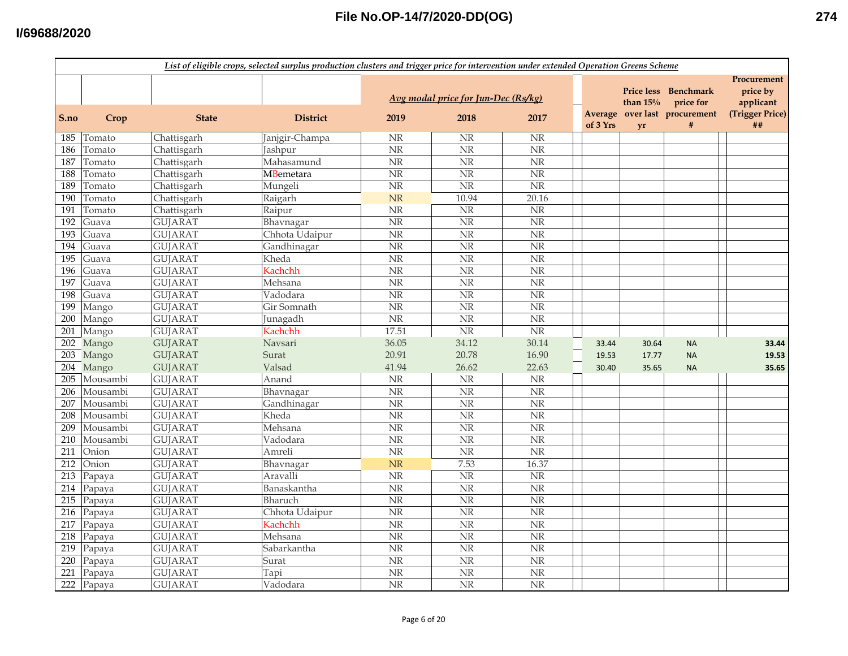|      | List of eligible crops, selected surplus production clusters and trigger price for intervention under extended Operation Greens Scheme |                |                   |                                 |                                             |                        |          |                                       |                                                                 |                                                               |
|------|----------------------------------------------------------------------------------------------------------------------------------------|----------------|-------------------|---------------------------------|---------------------------------------------|------------------------|----------|---------------------------------------|-----------------------------------------------------------------|---------------------------------------------------------------|
| S.no | Crop                                                                                                                                   | <b>State</b>   | <b>District</b>   | 2019                            | Avg modal price for Jun-Dec (Rs/kg)<br>2018 | 2017                   | of 3 Yrs | <b>Price less</b><br>than $15%$<br>yr | Benchmark<br>price for<br>Average over last procurement<br>$\#$ | Procurement<br>price by<br>applicant<br>(Trigger Price)<br>## |
| 185  | Tomato                                                                                                                                 | Chattisgarh    | Janjgir-Champa    | <b>NR</b>                       | <b>NR</b>                                   | <b>NR</b>              |          |                                       |                                                                 |                                                               |
| 186  | Tomato                                                                                                                                 | Chattisgarh    | Jashpur           | $\overline{\text{NR}}$          | N <sub>R</sub>                              | $\overline{\text{NR}}$ |          |                                       |                                                                 |                                                               |
| 187  | Tomato                                                                                                                                 | Chattisgarh    | Mahasamund        | N <sub>R</sub>                  | $\overline{\text{NR}}$                      | $\overline{\text{NR}}$ |          |                                       |                                                                 |                                                               |
| 188  | Tomato                                                                                                                                 | Chattisgarh    | <b>MB</b> emetara | $\rm{NR}$                       | $\overline{\text{NR}}$                      | NR                     |          |                                       |                                                                 |                                                               |
| 189  | Tomato                                                                                                                                 | Chattisgarh    | Mungeli           | NR                              | $\overline{\text{NR}}$                      | $\overline{\text{NR}}$ |          |                                       |                                                                 |                                                               |
| 190  | Tomato                                                                                                                                 | Chattisgarh    | Raigarh           | NR                              | 10.94                                       | 20.16                  |          |                                       |                                                                 |                                                               |
| 191  | Tomato                                                                                                                                 | Chattisgarh    | Raipur            | $\rm{NR}$                       | $\rm{NR}$                                   | $\rm{NR}$              |          |                                       |                                                                 |                                                               |
| 192  | Guava                                                                                                                                  | <b>GUJARAT</b> | Bhavnagar         | NR                              | NR                                          | NR                     |          |                                       |                                                                 |                                                               |
| 193  | Guava                                                                                                                                  | <b>GUJARAT</b> | Chhota Udaipur    | NR                              | <b>NR</b>                                   | $\overline{\text{NR}}$ |          |                                       |                                                                 |                                                               |
| 194  | Guava                                                                                                                                  | <b>GUJARAT</b> | Gandhinagar       | NR                              | <b>NR</b>                                   | NR                     |          |                                       |                                                                 |                                                               |
| 195  | Guava                                                                                                                                  | <b>GUJARAT</b> | Kheda             | <b>NR</b>                       | $\overline{\text{NR}}$                      | $\overline{\text{NR}}$ |          |                                       |                                                                 |                                                               |
| 196  | Guava                                                                                                                                  | <b>GUJARAT</b> | Kachchh           | $\rm{NR}$                       | $\overline{\text{NR}}$                      | $\overline{\text{NR}}$ |          |                                       |                                                                 |                                                               |
| 197  | Guava                                                                                                                                  | <b>GUJARAT</b> | Mehsana           | $\overline{\text{NR}}$          | $\overline{\text{NR}}$                      | $\overline{\text{NR}}$ |          |                                       |                                                                 |                                                               |
| 198  | Guava                                                                                                                                  | <b>GUJARAT</b> | Vadodara          | <b>NR</b>                       | $\overline{\text{NR}}$                      | $\rm{NR}$              |          |                                       |                                                                 |                                                               |
| 199  | Mango                                                                                                                                  | <b>GUJARAT</b> | Gir Somnath       | $\overline{\text{NR}}$          | N <sub>R</sub>                              | $\overline{\text{NR}}$ |          |                                       |                                                                 |                                                               |
| 200  | Mango                                                                                                                                  | <b>GUJARAT</b> | Junagadh          | NR                              | $\overline{\text{NR}}$                      | NR                     |          |                                       |                                                                 |                                                               |
| 201  | Mango                                                                                                                                  | <b>GUJARAT</b> | Kachchh           | 17.51                           | NR                                          | $\overline{\text{NR}}$ |          |                                       |                                                                 |                                                               |
| 202  | Mango                                                                                                                                  | <b>GUJARAT</b> | Navsari           | 36.05                           | 34.12                                       | 30.14                  | 33.44    | 30.64                                 | <b>NA</b>                                                       | 33.44                                                         |
| 203  | Mango                                                                                                                                  | <b>GUJARAT</b> | Surat             | 20.91                           | 20.78                                       | 16.90                  | 19.53    | 17.77                                 | <b>NA</b>                                                       | 19.53                                                         |
|      | 204 Mango                                                                                                                              | <b>GUJARAT</b> | Valsad            | 41.94                           | 26.62                                       | 22.63                  | 30.40    | 35.65                                 | <b>NA</b>                                                       | 35.65                                                         |
| 205  | Mousambi                                                                                                                               | <b>GUJARAT</b> | Anand             | $\rm{NR}$                       | $\rm NR$                                    | $\rm{NR}$              |          |                                       |                                                                 |                                                               |
| 206  | Mousambi                                                                                                                               | <b>GUJARAT</b> | Bhavnagar         | <b>NR</b>                       | NR                                          | $\overline{\text{NR}}$ |          |                                       |                                                                 |                                                               |
| 207  | Mousambi                                                                                                                               | <b>GUJARAT</b> | Gandhinagar       | NR                              | <b>NR</b>                                   | $\overline{\text{NR}}$ |          |                                       |                                                                 |                                                               |
| 208  | Mousambi                                                                                                                               | <b>GUJARAT</b> | Kheda             | $\rm{NR}$                       | $\overline{\text{NR}}$                      | $\rm NR$               |          |                                       |                                                                 |                                                               |
| 209  | Mousambi                                                                                                                               | <b>GUJARAT</b> | Mehsana           | <b>NR</b>                       | $\overline{\text{NR}}$                      | $\overline{\text{NR}}$ |          |                                       |                                                                 |                                                               |
| 210  | Mousambi                                                                                                                               | <b>GUJARAT</b> | Vadodara          | $\rm{NR}$                       | NR                                          | $\overline{\text{NR}}$ |          |                                       |                                                                 |                                                               |
| 211  | Onion                                                                                                                                  | <b>GUJARAT</b> | Amreli            | NR                              | <b>NR</b>                                   | $\overline{\text{NR}}$ |          |                                       |                                                                 |                                                               |
| 212  | Onion                                                                                                                                  | <b>GUJARAT</b> | Bhavnagar         | <b>NR</b>                       | 7.53                                        | 16.37                  |          |                                       |                                                                 |                                                               |
| 213  | Papaya                                                                                                                                 | <b>GUJARAT</b> | Aravalli          | $\rm NR$                        | NR                                          | NR                     |          |                                       |                                                                 |                                                               |
| 214  | Papaya                                                                                                                                 | <b>GUJARAT</b> | Banaskantha       | $\ensuremath{\text{NR}}\xspace$ | <b>NR</b>                                   | $\rm NR$               |          |                                       |                                                                 |                                                               |
| 215  | Papaya                                                                                                                                 | <b>GUJARAT</b> | Bharuch           | NR                              | NR                                          | NR                     |          |                                       |                                                                 |                                                               |
| 216  | Papaya                                                                                                                                 | <b>GUJARAT</b> | Chhota Udaipur    | NR                              | NR                                          | NR                     |          |                                       |                                                                 |                                                               |
|      | 217 Papaya                                                                                                                             | <b>GUJARAT</b> | Kachchh           | <b>NR</b>                       | <b>NR</b>                                   | NR                     |          |                                       |                                                                 |                                                               |
| 218  | Papaya                                                                                                                                 | <b>GUJARAT</b> | Mehsana           | NR                              | <b>NR</b>                                   | $\overline{\text{NR}}$ |          |                                       |                                                                 |                                                               |
| 219  | Papaya                                                                                                                                 | <b>GUJARAT</b> | Sabarkantha       | <b>NR</b>                       | NR                                          | $\overline{\text{NR}}$ |          |                                       |                                                                 |                                                               |
| 220  | Papaya                                                                                                                                 | <b>GUJARAT</b> | Surat             | $\ensuremath{\text{NR}}\xspace$ | <b>NR</b>                                   | $\rm NR$               |          |                                       |                                                                 |                                                               |
| 221  | Papaya                                                                                                                                 | <b>GUJARAT</b> | Tapi              | $\rm{NR}$                       | $\rm{NR}$                                   | NR                     |          |                                       |                                                                 |                                                               |
|      | 222 Papaya                                                                                                                             | <b>GUJARAT</b> | Vadodara          | $\rm{NR}$                       | $\overline{\text{NR}}$                      | $\overline{\text{NR}}$ |          |                                       |                                                                 |                                                               |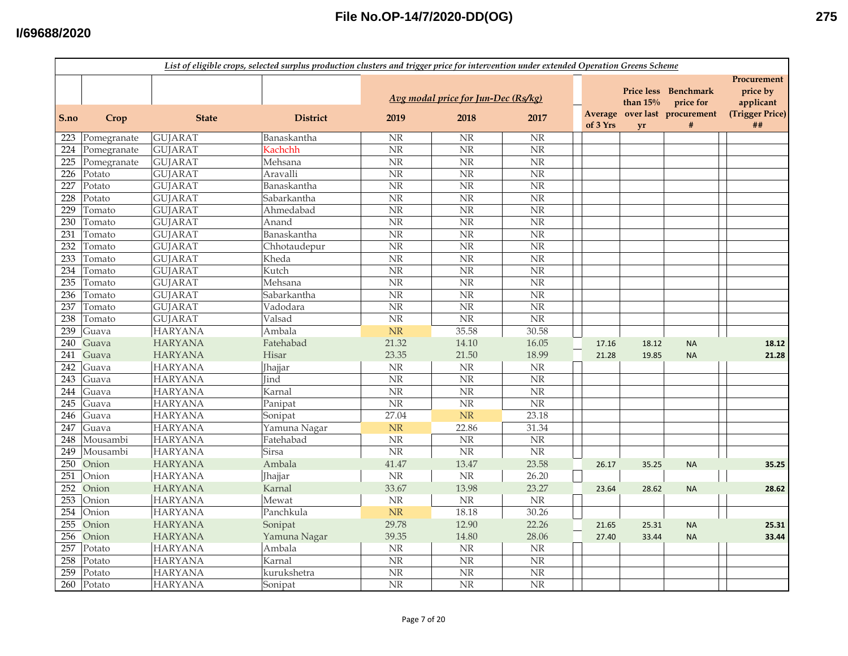|      | List of eligible crops, selected surplus production clusters and trigger price for intervention under extended Operation Greens Scheme |                |                 |                        |                                     |                        |                     |                                  |                               |                                      |
|------|----------------------------------------------------------------------------------------------------------------------------------------|----------------|-----------------|------------------------|-------------------------------------|------------------------|---------------------|----------------------------------|-------------------------------|--------------------------------------|
|      |                                                                                                                                        |                |                 |                        | Avg modal price for Jun-Dec (Rs/kg) |                        |                     | <b>Price less</b><br>than $15\%$ | <b>Benchmark</b><br>price for | Procurement<br>price by<br>applicant |
| S.no | Crop                                                                                                                                   | <b>State</b>   | <b>District</b> | 2019                   | 2018                                | 2017                   | Average<br>of 3 Yrs | yr                               | over last procurement<br>#    | (Trigger Price)<br>##                |
| 223  | Pomegranate                                                                                                                            | <b>GUJARAT</b> | Banaskantha     | <b>NR</b>              | <b>NR</b>                           | <b>NR</b>              |                     |                                  |                               |                                      |
| 224  | Pomegranate                                                                                                                            | <b>GUJARAT</b> | Kachchh         | $\rm{NR}$              | $\overline{\text{NR}}$              | $\overline{\text{NR}}$ |                     |                                  |                               |                                      |
| 225  | Pomegranate                                                                                                                            | <b>GUJARAT</b> | Mehsana         | $\overline{\text{NR}}$ | $\overline{\text{NR}}$              | $\overline{\text{NR}}$ |                     |                                  |                               |                                      |
| 226  | Potato                                                                                                                                 | <b>GUJARAT</b> | Aravalli        | $\rm{NR}$              | N <sub>R</sub>                      | $\overline{\text{NR}}$ |                     |                                  |                               |                                      |
| 227  | Potato                                                                                                                                 | <b>GUJARAT</b> | Banaskantha     | $\overline{\text{NR}}$ | $\overline{\text{NR}}$              | $\overline{\text{NR}}$ |                     |                                  |                               |                                      |
| 228  | Potato                                                                                                                                 | <b>GUJARAT</b> | Sabarkantha     | NR                     | <b>NR</b>                           | $\overline{\text{NR}}$ |                     |                                  |                               |                                      |
| 229  | Tomato                                                                                                                                 | <b>GUJARAT</b> | Ahmedabad       | NR                     | $\overline{\text{NR}}$              | NR                     |                     |                                  |                               |                                      |
| 230  | Tomato                                                                                                                                 | <b>GUJARAT</b> | Anand           | $\rm{NR}$              | $\rm NR$                            | NR                     |                     |                                  |                               |                                      |
| 231  | Tomato                                                                                                                                 | <b>GUJARAT</b> | Banaskantha     | NR                     | <b>NR</b>                           | NR                     |                     |                                  |                               |                                      |
| 232  | Tomato                                                                                                                                 | <b>GUJARAT</b> | Chhotaudepur    | $\rm{NR}$              | <b>NR</b>                           | NR                     |                     |                                  |                               |                                      |
| 233  | Tomato                                                                                                                                 | <b>GUJARAT</b> | Kheda           | $\overline{\text{NR}}$ | <b>NR</b>                           | $\overline{\text{NR}}$ |                     |                                  |                               |                                      |
| 234  | Tomato                                                                                                                                 | <b>GUJARAT</b> | Kutch           | $\overline{\text{NR}}$ | $\overline{\text{NR}}$              | $\overline{\text{NR}}$ |                     |                                  |                               |                                      |
| 235  | Tomato                                                                                                                                 | <b>GUJARAT</b> | Mehsana         | $\overline{\text{NR}}$ | <b>NR</b>                           | $\overline{\text{NR}}$ |                     |                                  |                               |                                      |
| 236  | Tomato                                                                                                                                 | <b>GUJARAT</b> | Sabarkantha     | $\overline{\text{NR}}$ | $\overline{\text{NR}}$              | NR                     |                     |                                  |                               |                                      |
| 237  | Tomato                                                                                                                                 | <b>GUJARAT</b> | Vadodara        | $\rm{NR}$              | $\overline{\text{NR}}$              | $\overline{\text{NR}}$ |                     |                                  |                               |                                      |
| 238  | Tomato                                                                                                                                 | <b>GUJARAT</b> | Valsad          | $\overline{\text{NR}}$ | N <sub>R</sub>                      | $\overline{\text{NR}}$ |                     |                                  |                               |                                      |
| 239  | Guava                                                                                                                                  | <b>HARYANA</b> | Ambala          | NR                     | 35.58                               | 30.58                  |                     |                                  |                               |                                      |
| 240  | Guava                                                                                                                                  | <b>HARYANA</b> | Fatehabad       | 21.32                  | 14.10                               | 16.05                  | 17.16               | 18.12                            | <b>NA</b>                     | 18.12                                |
| 241  | Guava                                                                                                                                  | <b>HARYANA</b> | Hisar           | 23.35                  | 21.50                               | 18.99                  | 21.28               | 19.85                            | <b>NA</b>                     | 21.28                                |
| 242  | Guava                                                                                                                                  | <b>HARYANA</b> | Jhajjar         | $\rm{NR}$              | $\rm{NR}$                           | $\rm NR$               |                     |                                  |                               |                                      |
| 243  | Guava                                                                                                                                  | <b>HARYANA</b> | Jind            | NR                     | $\overline{\text{NR}}$              | NR                     |                     |                                  |                               |                                      |
| 244  | Guava                                                                                                                                  | <b>HARYANA</b> | Karnal          | $\overline{\text{NR}}$ | $\overline{\text{NR}}$              | $\overline{\text{NR}}$ |                     |                                  |                               |                                      |
| 245  | Guava                                                                                                                                  | <b>HARYANA</b> | Panipat         | $\rm{NR}$              | NR                                  | $\overline{\text{NR}}$ |                     |                                  |                               |                                      |
| 246  | Guava                                                                                                                                  | <b>HARYANA</b> | Sonipat         | 27.04                  | <b>NR</b>                           | 23.18                  |                     |                                  |                               |                                      |
| 247  | Guava                                                                                                                                  | <b>HARYANA</b> | Yamuna Nagar    | NR                     | 22.86                               | 31.34                  |                     |                                  |                               |                                      |
| 248  | Mousambi                                                                                                                               | <b>HARYANA</b> | Fatehabad       | $\rm{NR}$              | N <sub>R</sub>                      | $\overline{\text{NR}}$ |                     |                                  |                               |                                      |
| 249  | Mousambi                                                                                                                               | <b>HARYANA</b> | <b>Sirsa</b>    | $\overline{\text{NR}}$ | $\overline{\text{NR}}$              | $\overline{\text{NR}}$ |                     |                                  |                               |                                      |
| 250  | Onion                                                                                                                                  | <b>HARYANA</b> | Ambala          | 41.47                  | 13.47                               | 23.58                  | 26.17               | 35.25                            | <b>NA</b>                     | 35.25                                |
| 251  | Onion                                                                                                                                  | <b>HARYANA</b> | <b>Jhajjar</b>  | $\rm{NR}$              | $\rm NR$                            | 26.20                  |                     |                                  |                               |                                      |
| 252  | Onion                                                                                                                                  | <b>HARYANA</b> | Karnal          | 33.67                  | 13.98                               | 23.27                  | 23.64               | 28.62                            | <b>NA</b>                     | 28.62                                |
| 253  | Onion                                                                                                                                  | <b>HARYANA</b> | Mewat           | $\rm{NR}$              | $\rm NR$                            | $\rm{NR}$              |                     |                                  |                               |                                      |
| 254  | Onion                                                                                                                                  | <b>HARYANA</b> | Panchkula       | NR                     | 18.18                               | 30.26                  |                     |                                  |                               |                                      |
| 255  | Onion                                                                                                                                  | <b>HARYANA</b> | Sonipat         | 29.78                  | 12.90                               | 22.26                  | 21.65               | 25.31                            | <b>NA</b>                     | 25.31                                |
| 256  | Onion                                                                                                                                  | <b>HARYANA</b> | Yamuna Nagar    | 39.35                  | 14.80                               | 28.06                  | 27.40               | 33.44                            | <b>NA</b>                     | 33.44                                |
| 257  | Potato                                                                                                                                 | <b>HARYANA</b> | Ambala          | $\rm{NR}$              | NR                                  | <b>NR</b>              |                     |                                  |                               |                                      |
| 258  | Potato                                                                                                                                 | <b>HARYANA</b> | Karnal          | $\rm{NR}$              | $\rm{NR}$                           | $\rm NR$               |                     |                                  |                               |                                      |
| 259  | Potato                                                                                                                                 | <b>HARYANA</b> | kurukshetra     | $\rm{NR}$              | $\overline{\text{NR}}$              | $\overline{\text{NR}}$ |                     |                                  |                               |                                      |
| 260  | Potato                                                                                                                                 | <b>HARYANA</b> | Sonipat         | $\overline{\text{NR}}$ | $\overline{\text{NR}}$              | $\overline{\text{NR}}$ |                     |                                  |                               |                                      |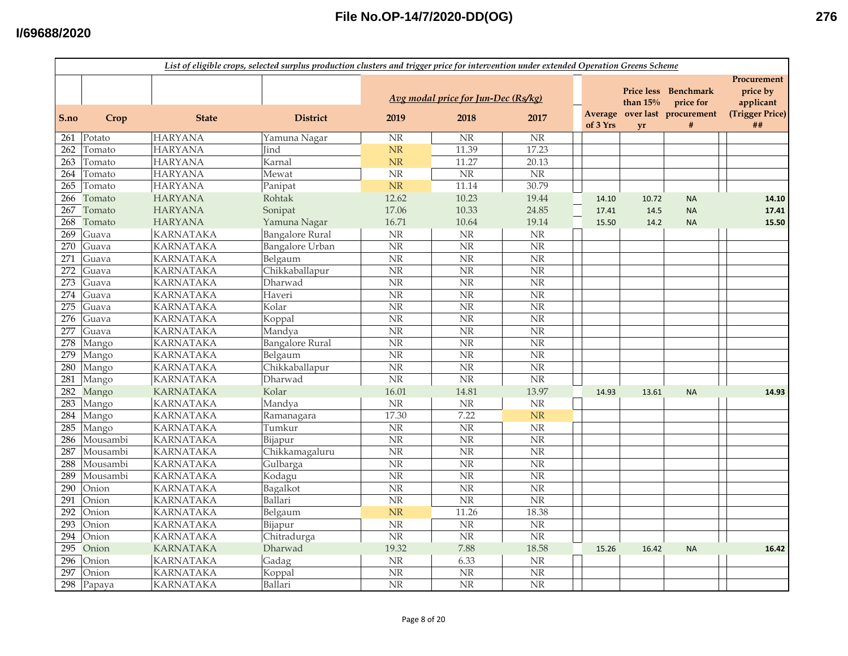|      | List of eligible crops, selected surplus production clusters and trigger price for intervention under extended Operation Greens Scheme |                  |                        |                        |                                             |                        |          |                                       |                                                              |                                                               |
|------|----------------------------------------------------------------------------------------------------------------------------------------|------------------|------------------------|------------------------|---------------------------------------------|------------------------|----------|---------------------------------------|--------------------------------------------------------------|---------------------------------------------------------------|
| S.no | Crop                                                                                                                                   | <b>State</b>     | <b>District</b>        | 2019                   | Avg modal price for Jun-Dec (Rs/kg)<br>2018 | 2017                   | of 3 Yrs | <b>Price less</b><br>than $15%$<br>yr | Benchmark<br>price for<br>Average over last procurement<br># | Procurement<br>price by<br>applicant<br>(Trigger Price)<br>## |
|      | 261 Potato                                                                                                                             | <b>HARYANA</b>   | Yamuna Nagar           | NR                     | <b>NR</b>                                   | <b>NR</b>              |          |                                       |                                                              |                                                               |
| 262  | Tomato                                                                                                                                 | <b>HARYANA</b>   | Jind                   | NR                     | 11.39                                       | 17.23                  |          |                                       |                                                              |                                                               |
| 263  | Tomato                                                                                                                                 | <b>HARYANA</b>   | Karnal                 | <b>NR</b>              | 11.27                                       | 20.13                  |          |                                       |                                                              |                                                               |
| 264  | Tomato                                                                                                                                 | <b>HARYANA</b>   | Mewat                  | $\rm{NR}$              | $\overline{\text{NR}}$                      | N <sub>R</sub>         |          |                                       |                                                              |                                                               |
| 265  | Tomato                                                                                                                                 | <b>HARYANA</b>   | Panipat                | $\rm{NR}$              | 11.14                                       | 30.79                  |          |                                       |                                                              |                                                               |
| 266  | Tomato                                                                                                                                 | <b>HARYANA</b>   | Rohtak                 | 12.62                  | 10.23                                       | 19.44                  | 14.10    | 10.72                                 | <b>NA</b>                                                    | 14.10                                                         |
| 267  | Tomato                                                                                                                                 | <b>HARYANA</b>   | Sonipat                | 17.06                  | 10.33                                       | 24.85                  | 17.41    | 14.5                                  | <b>NA</b>                                                    | 17.41                                                         |
| 268  | Tomato                                                                                                                                 | <b>HARYANA</b>   | Yamuna Nagar           | 16.71                  | 10.64                                       | 19.14                  | 15.50    | 14.2                                  | <b>NA</b>                                                    | 15.50                                                         |
| 269  | Guava                                                                                                                                  | <b>KARNATAKA</b> | <b>Bangalore Rural</b> | NR                     | NR                                          | <b>NR</b>              |          |                                       |                                                              |                                                               |
| 270  | Guava                                                                                                                                  | <b>KARNATAKA</b> | <b>Bangalore Urban</b> | <b>NR</b>              | NR                                          | NR                     |          |                                       |                                                              |                                                               |
| 271  | Guava                                                                                                                                  | <b>KARNATAKA</b> | Belgaum                | NR                     | $\overline{\text{NR}}$                      | $\overline{\text{NR}}$ |          |                                       |                                                              |                                                               |
| 272  | Guava                                                                                                                                  | <b>KARNATAKA</b> | Chikkaballapur         | NR                     | $\overline{\text{NR}}$                      | $\overline{\text{NR}}$ |          |                                       |                                                              |                                                               |
| 273  | Guava                                                                                                                                  | <b>KARNATAKA</b> | Dharwad                | $\overline{\text{NR}}$ | $\overline{\text{NR}}$                      | $\overline{\text{NR}}$ |          |                                       |                                                              |                                                               |
| 274  | Guava                                                                                                                                  | <b>KARNATAKA</b> | Haveri                 | NR                     | $\overline{\text{NR}}$                      | $\rm{NR}$              |          |                                       |                                                              |                                                               |
| 275  | Guava                                                                                                                                  | <b>KARNATAKA</b> | Kolar                  | $\rm{NR}$              | NR                                          | $\rm{NR}$              |          |                                       |                                                              |                                                               |
| 276  | Guava                                                                                                                                  | <b>KARNATAKA</b> | Koppal                 | $\overline{\text{NR}}$ | $\overline{\text{NR}}$                      | $\overline{\text{NR}}$ |          |                                       |                                                              |                                                               |
| 277  | Guava                                                                                                                                  | <b>KARNATAKA</b> | Mandva                 | NR                     | NR                                          | $\rm{NR}$              |          |                                       |                                                              |                                                               |
| 278  | Mango                                                                                                                                  | <b>KARNATAKA</b> | <b>Bangalore Rural</b> | NR                     | NR                                          | $\rm{NR}$              |          |                                       |                                                              |                                                               |
| 279  | Mango                                                                                                                                  | <b>KARNATAKA</b> | Belgaum                | NR                     | NR                                          | NR                     |          |                                       |                                                              |                                                               |
| 280  | Mango                                                                                                                                  | <b>KARNATAKA</b> | Chikkaballapur         | NR                     | NR                                          | $\rm{NR}$              |          |                                       |                                                              |                                                               |
| 281  | Mango                                                                                                                                  | <b>KARNATAKA</b> | Dharwad                | $\overline{\text{NR}}$ | $\overline{\text{NR}}$                      | $\rm{NR}$              |          |                                       |                                                              |                                                               |
| 282  | Mango                                                                                                                                  | <b>KARNATAKA</b> | Kolar                  | 16.01                  | 14.81                                       | 13.97                  | 14.93    | 13.61                                 | <b>NA</b>                                                    | 14.93                                                         |
| 283  | Mango                                                                                                                                  | <b>KARNATAKA</b> | Mandya                 | $\rm{NR}$              | NR                                          | $\rm NR$               |          |                                       |                                                              |                                                               |
| 284  | Mango                                                                                                                                  | <b>KARNATAKA</b> | Ramanagara             | 17.30                  | 7.22                                        | NR                     |          |                                       |                                                              |                                                               |
| 285  | Mango                                                                                                                                  | <b>KARNATAKA</b> | Tumkur                 | $\overline{\text{NR}}$ | $\overline{\text{NR}}$                      | <b>NR</b>              |          |                                       |                                                              |                                                               |
| 286  | Mousambi                                                                                                                               | <b>KARNATAKA</b> | Bijapur                | NR                     | $\overline{\text{NR}}$                      | $\overline{\text{NR}}$ |          |                                       |                                                              |                                                               |
| 287  | Mousambi                                                                                                                               | <b>KARNATAKA</b> | Chikkamagaluru         | NR                     | $\overline{\text{NR}}$                      | $\overline{\text{NR}}$ |          |                                       |                                                              |                                                               |
| 288  | Mousambi                                                                                                                               | <b>KARNATAKA</b> | Gulbarga               | $\overline{\text{NR}}$ | $\overline{\text{NR}}$                      | $\overline{\text{NR}}$ |          |                                       |                                                              |                                                               |
| 289  | Mousambi                                                                                                                               | <b>KARNATAKA</b> | Kodagu                 | NR                     | NR                                          | $\rm{NR}$              |          |                                       |                                                              |                                                               |
| 290  | Onion                                                                                                                                  | <b>KARNATAKA</b> | Bagalkot               | NR                     | NR                                          | $\rm{NR}$              |          |                                       |                                                              |                                                               |
| 291  | Onion                                                                                                                                  | <b>KARNATAKA</b> | Ballari                | NR                     | $\overline{\text{NR}}$                      | NR                     |          |                                       |                                                              |                                                               |
| 292  | Onion                                                                                                                                  | <b>KARNATAKA</b> | Belgaum                | <b>NR</b>              | 11.26                                       | 18.38                  |          |                                       |                                                              |                                                               |
| 293  | Onion                                                                                                                                  | KARNATAKA        | Bijapur                | NR                     | NR                                          | $\rm{NR}$              |          |                                       |                                                              |                                                               |
| 294  | Onion                                                                                                                                  | <b>KARNATAKA</b> | Chitradurga            | <b>NR</b>              | NR                                          | $\overline{\text{NR}}$ |          |                                       |                                                              |                                                               |
| 295  | Onion                                                                                                                                  | <b>KARNATAKA</b> | Dharwad                | 19.32                  | 7.88                                        | 18.58                  | 15.26    | 16.42                                 | <b>NA</b>                                                    | 16.42                                                         |
| 296  | Onion                                                                                                                                  | <b>KARNATAKA</b> | Gadag                  | NR                     | 6.33                                        | <b>NR</b>              |          |                                       |                                                              |                                                               |
| 297  | Onion                                                                                                                                  | <b>KARNATAKA</b> | Koppal                 | $\rm{NR}$              | NR                                          | $\rm{NR}$              |          |                                       |                                                              |                                                               |
| 298  | Papaya                                                                                                                                 | <b>KARNATAKA</b> | Ballari                | $\overline{\text{NR}}$ | $\overline{\text{NR}}$                      | $\overline{\text{NR}}$ |          |                                       |                                                              |                                                               |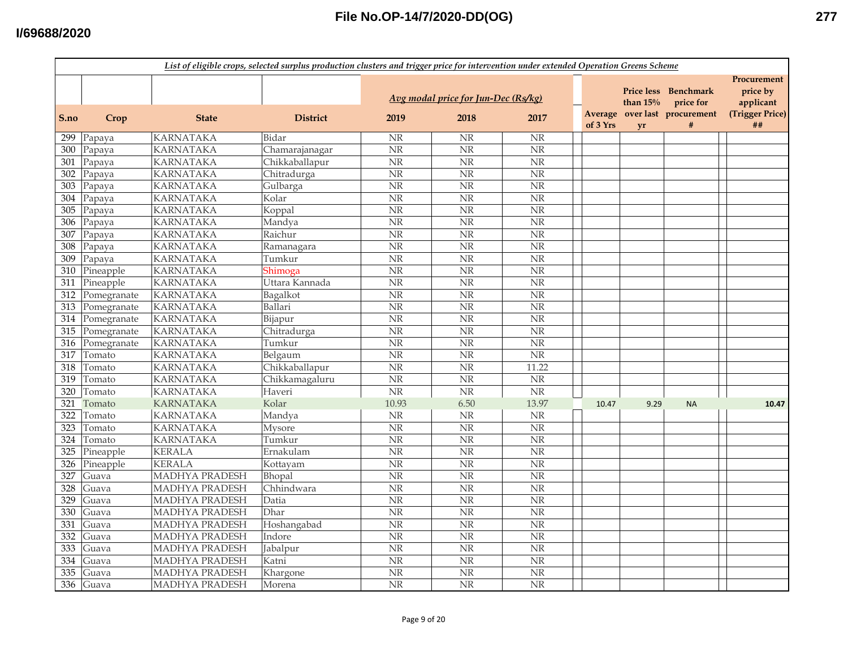|      | List of eligible crops, selected surplus production clusters and trigger price for intervention under extended Operation Greens Scheme |                       |                 |                        |                                             |                        |          |                                       |                                                                 |                                                               |  |
|------|----------------------------------------------------------------------------------------------------------------------------------------|-----------------------|-----------------|------------------------|---------------------------------------------|------------------------|----------|---------------------------------------|-----------------------------------------------------------------|---------------------------------------------------------------|--|
| S.no | Crop                                                                                                                                   | <b>State</b>          | <b>District</b> | 2019                   | Avg modal price for Jun-Dec (Rs/kg)<br>2018 | 2017                   | of 3 Yrs | <b>Price less</b><br>than $15%$<br>yr | Benchmark<br>price for<br>Average over last procurement<br>$\#$ | Procurement<br>price by<br>applicant<br>(Trigger Price)<br>## |  |
| 299  | Papaya                                                                                                                                 | <b>KARNATAKA</b>      | Bidar           | <b>NR</b>              | <b>NR</b>                                   | <b>NR</b>              |          |                                       |                                                                 |                                                               |  |
| 300  | $\overline{P}$ apaya                                                                                                                   | <b>KARNATAKA</b>      | Chamarajanagar  | $\overline{\text{NR}}$ | $\overline{\text{NR}}$                      | $\overline{\text{NR}}$ |          |                                       |                                                                 |                                                               |  |
| 301  | Papaya                                                                                                                                 | <b>KARNATAKA</b>      | Chikkaballapur  | $\overline{\text{NR}}$ | $\overline{\text{NR}}$                      | $\overline{\text{NR}}$ |          |                                       |                                                                 |                                                               |  |
| 302  | Papaya                                                                                                                                 | <b>KARNATAKA</b>      | Chitradurga     | NR                     | NR                                          | $\rm{NR}$              |          |                                       |                                                                 |                                                               |  |
| 303  | Papaya                                                                                                                                 | <b>KARNATAKA</b>      | Gulbarga        | $\overline{\text{NR}}$ | $\overline{\text{NR}}$                      | $\overline{\text{NR}}$ |          |                                       |                                                                 |                                                               |  |
| 304  | Papaya                                                                                                                                 | <b>KARNATAKA</b>      | Kolar           | $\overline{\text{NR}}$ | NR                                          | NR                     |          |                                       |                                                                 |                                                               |  |
| 305  | Papaya                                                                                                                                 | <b>KARNATAKA</b>      | Koppal          | NR                     | NR                                          | NR                     |          |                                       |                                                                 |                                                               |  |
| 306  | Papaya                                                                                                                                 | <b>KARNATAKA</b>      | Mandya          | NR                     | NR                                          | NR                     |          |                                       |                                                                 |                                                               |  |
| 307  | Papaya                                                                                                                                 | <b>KARNATAKA</b>      | Raichur         | <b>NR</b>              | $\overline{\text{NR}}$                      | $\overline{\text{NR}}$ |          |                                       |                                                                 |                                                               |  |
| 308  | Papaya                                                                                                                                 | <b>KARNATAKA</b>      | Ramanagara      | NR                     | NR                                          | $\rm{NR}$              |          |                                       |                                                                 |                                                               |  |
| 309  | Papaya                                                                                                                                 | <b>KARNATAKA</b>      | Tumkur          | <b>NR</b>              | NR                                          | NR                     |          |                                       |                                                                 |                                                               |  |
| 310  | Pineapple                                                                                                                              | <b>KARNATAKA</b>      | Shimoga         | $\overline{\text{NR}}$ | $\overline{\text{NR}}$                      | $\overline{\text{NR}}$ |          |                                       |                                                                 |                                                               |  |
| 311  | Pineapple                                                                                                                              | <b>KARNATAKA</b>      | Uttara Kannada  | $\overline{\text{NR}}$ | $\overline{\text{NR}}$                      | $\overline{\text{NR}}$ |          |                                       |                                                                 |                                                               |  |
| 312  | Pomegranate                                                                                                                            | <b>KARNATAKA</b>      | Bagalkot        | $\overline{\text{NR}}$ | N <sub>R</sub>                              | $\overline{\text{NR}}$ |          |                                       |                                                                 |                                                               |  |
| 313  | Pomegranate                                                                                                                            | <b>KARNATAKA</b>      | Ballari         | $\overline{\text{NR}}$ | $\overline{\text{NR}}$                      | $\overline{\text{NR}}$ |          |                                       |                                                                 |                                                               |  |
|      | 314 Pomegranate                                                                                                                        | <b>KARNATAKA</b>      | Bijapur         | $\overline{\text{NR}}$ | $\overline{\text{NR}}$                      | $\overline{\text{NR}}$ |          |                                       |                                                                 |                                                               |  |
| 315  | Pomegranate                                                                                                                            | <b>KARNATAKA</b>      | Chitradurga     | NR                     | NR                                          | NR                     |          |                                       |                                                                 |                                                               |  |
| 316  | Pomegranate                                                                                                                            | <b>KARNATAKA</b>      | Tumkur          | NR                     | NR                                          | NR                     |          |                                       |                                                                 |                                                               |  |
| 317  | Tomato                                                                                                                                 | <b>KARNATAKA</b>      | Belgaum         | <b>NR</b>              | NR                                          | NR                     |          |                                       |                                                                 |                                                               |  |
| 318  | Tomato                                                                                                                                 | <b>KARNATAKA</b>      | Chikkaballapur  | NR                     | NR                                          | 11.22                  |          |                                       |                                                                 |                                                               |  |
| 319  | Tomato                                                                                                                                 | <b>KARNATAKA</b>      | Chikkamagaluru  | NR                     | NR                                          | NR                     |          |                                       |                                                                 |                                                               |  |
| 320  | Tomato                                                                                                                                 | <b>KARNATAKA</b>      | Haveri          | <b>NR</b>              | NR                                          | NR                     |          |                                       |                                                                 |                                                               |  |
| 321  | Tomato                                                                                                                                 | <b>KARNATAKA</b>      | Kolar           | 10.93                  | 6.50                                        | 13.97                  | 10.47    | 9.29                                  | <b>NA</b>                                                       | 10.47                                                         |  |
| 322  | Tomato                                                                                                                                 | <b>KARNATAKA</b>      | Mandya          | <b>NR</b>              | NR                                          | $\rm NR$               |          |                                       |                                                                 |                                                               |  |
| 323  | Tomato                                                                                                                                 | <b>KARNATAKA</b>      | <b>Mysore</b>   | $\overline{\text{NR}}$ | $\overline{\text{NR}}$                      | $\overline{\text{NR}}$ |          |                                       |                                                                 |                                                               |  |
| 324  | Tomato                                                                                                                                 | <b>KARNATAKA</b>      | Tumkur          | NR                     | $\overline{\text{NR}}$                      | NR                     |          |                                       |                                                                 |                                                               |  |
| 325  | Pineapple                                                                                                                              | <b>KERALA</b>         | Ernakulam       | <b>NR</b>              | $\overline{\text{NR}}$                      | $\overline{\text{NR}}$ |          |                                       |                                                                 |                                                               |  |
| 326  | Pineapple                                                                                                                              | <b>KERALA</b>         | Kottayam        | $\overline{\text{NR}}$ | $\overline{\text{NR}}$                      | $\overline{\text{NR}}$ |          |                                       |                                                                 |                                                               |  |
| 327  | Guava                                                                                                                                  | <b>MADHYA PRADESH</b> | Bhopal          | NR                     | NR                                          | NR                     |          |                                       |                                                                 |                                                               |  |
| 328  | Guava                                                                                                                                  | <b>MADHYA PRADESH</b> | Chhindwara      | <b>NR</b>              | NR                                          | NR                     |          |                                       |                                                                 |                                                               |  |
| 329  | Guava                                                                                                                                  | MADHYA PRADESH        | Datia           | NR                     | NR                                          | NR                     |          |                                       |                                                                 |                                                               |  |
| 330  | Guava                                                                                                                                  | <b>MADHYA PRADESH</b> | <b>Dhar</b>     | <b>NR</b>              | <b>NR</b>                                   | NR                     |          |                                       |                                                                 |                                                               |  |
| 331  | Guava                                                                                                                                  | MADHYA PRADESH        | Hoshangabad     | NR                     | NR                                          | NR                     |          |                                       |                                                                 |                                                               |  |
| 332  | Guava                                                                                                                                  | MADHYA PRADESH        | Indore          | NR                     | NR                                          | NR                     |          |                                       |                                                                 |                                                               |  |
| 333  | Guava                                                                                                                                  | <b>MADHYA PRADESH</b> | Jabalpur        | NR                     | $\overline{\text{NR}}$                      | $\overline{\text{NR}}$ |          |                                       |                                                                 |                                                               |  |
| 334  | Guava                                                                                                                                  | MADHYA PRADESH        | Katni           | <b>NR</b>              | $\overline{\text{NR}}$                      | NR                     |          |                                       |                                                                 |                                                               |  |
| 335  | Guava                                                                                                                                  | <b>MADHYA PRADESH</b> | Khargone        | $\overline{\text{NR}}$ | $\overline{\text{NR}}$                      | NR                     |          |                                       |                                                                 |                                                               |  |
| 336  | Guava                                                                                                                                  | <b>MADHYA PRADESH</b> | Morena          | $\overline{\text{NR}}$ | $\overline{\text{NR}}$                      | $\overline{\text{NR}}$ |          |                                       |                                                                 |                                                               |  |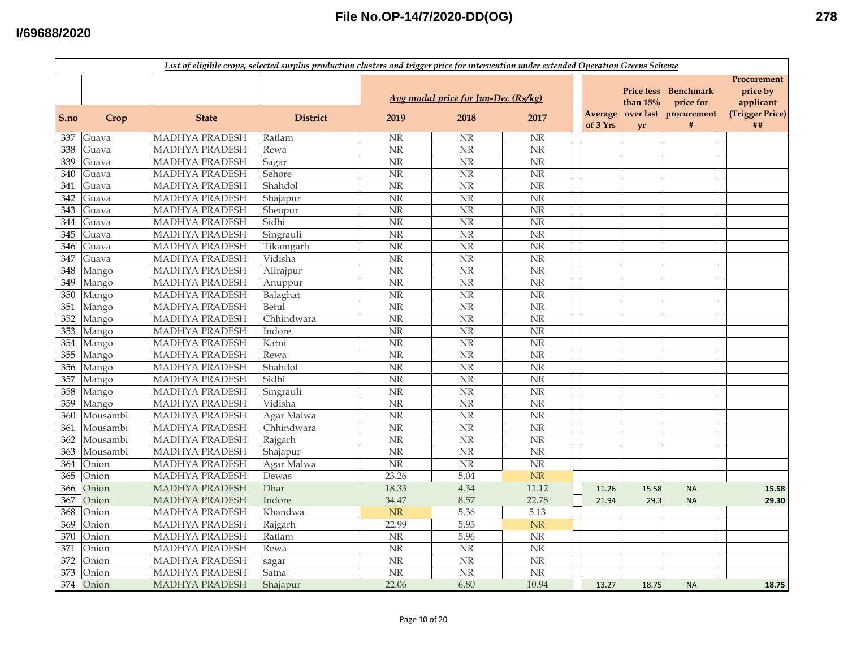|      | List of eligible crops, selected surplus production clusters and trigger price for intervention under extended Operation Greens Scheme |                       |                 |                                     |                        |                        |          |            |                                       |                                      |  |
|------|----------------------------------------------------------------------------------------------------------------------------------------|-----------------------|-----------------|-------------------------------------|------------------------|------------------------|----------|------------|---------------------------------------|--------------------------------------|--|
|      |                                                                                                                                        |                       |                 | Avg modal price for Jun-Dec (Rs/kg) |                        |                        |          | than $15%$ | Price less Benchmark<br>price for     | Procurement<br>price by<br>applicant |  |
| S.no | Crop                                                                                                                                   | <b>State</b>          | <b>District</b> | 2019                                | 2018                   | 2017                   | of 3 Yrs | <b>vr</b>  | Average over last procurement<br>$\#$ | (Trigger Price)<br>##                |  |
| 337  | Guava                                                                                                                                  | <b>MADHYA PRADESH</b> | Ratlam          | <b>NR</b>                           | $\rm{NR}$              | <b>NR</b>              |          |            |                                       |                                      |  |
| 338  | Guava                                                                                                                                  | <b>MADHYA PRADESH</b> | Rewa            | $\overline{\text{NR}}$              | $\overline{\text{NR}}$ | $\overline{\text{NR}}$ |          |            |                                       |                                      |  |
| 339  | Guava                                                                                                                                  | <b>MADHYA PRADESH</b> | Sagar           | $\overline{\text{NR}}$              | $\overline{\text{NR}}$ | N <sub>R</sub>         |          |            |                                       |                                      |  |
| 340  | Guava                                                                                                                                  | MADHYA PRADESH        | Sehore          | $\overline{\text{NR}}$              | $\overline{\text{NR}}$ | <b>NR</b>              |          |            |                                       |                                      |  |
| 341  | Guava                                                                                                                                  | MADHYA PRADESH        | Shahdol         | $\overline{\text{NR}}$              | NR                     | NR                     |          |            |                                       |                                      |  |
| 342  | Guava                                                                                                                                  | MADHYA PRADESH        | Shajapur        | $\rm{NR}$                           | <b>NR</b>              | $\overline{\text{NR}}$ |          |            |                                       |                                      |  |
| 343  | Guava                                                                                                                                  | MADHYA PRADESH        | Sheopur         | $\rm{NR}$                           | NR                     | <b>NR</b>              |          |            |                                       |                                      |  |
| 344  | Guava                                                                                                                                  | MADHYA PRADESH        | Sidhi           | $\rm{NR}$                           | NR                     | <b>NR</b>              |          |            |                                       |                                      |  |
| 345  | Guava                                                                                                                                  | MADHYA PRADESH        | Singrauli       | NR                                  | <b>NR</b>              | <b>NR</b>              |          |            |                                       |                                      |  |
| 346  | Guava                                                                                                                                  | MADHYA PRADESH        | Tikamgarh       | NR                                  | NR                     | <b>NR</b>              |          |            |                                       |                                      |  |
| 347  | Guava                                                                                                                                  | MADHYA PRADESH        | Vidisha         | NR                                  | <b>NR</b>              | NR                     |          |            |                                       |                                      |  |
| 348  | Mango                                                                                                                                  | MADHYA PRADESH        | Alirajpur       | $\overline{\text{NR}}$              | $\overline{\text{NR}}$ | $\overline{\text{NR}}$ |          |            |                                       |                                      |  |
| 349  | Mango                                                                                                                                  | <b>MADHYA PRADESH</b> | Anuppur         | $\rm{NR}$                           | $\overline{\text{NR}}$ | $\overline{\text{NR}}$ |          |            |                                       |                                      |  |
| 350  | Mango                                                                                                                                  | MADHYA PRADESH        | Balaghat        | $\overline{\text{NR}}$              | $\overline{\text{NR}}$ | $\overline{\text{NR}}$ |          |            |                                       |                                      |  |
| 351  | Mango                                                                                                                                  | <b>MADHYA PRADESH</b> | Betul           | $\overline{\text{NR}}$              | $\overline{\text{NR}}$ | N <sub>R</sub>         |          |            |                                       |                                      |  |
| 352  | Mango                                                                                                                                  | <b>MADHYA PRADESH</b> | Chhindwara      | $\overline{\text{NR}}$              | $\overline{\text{NR}}$ | N <sub>R</sub>         |          |            |                                       |                                      |  |
| 353  | Mango                                                                                                                                  | MADHYA PRADESH        | Indore          | NR                                  | <b>NR</b>              | <b>NR</b>              |          |            |                                       |                                      |  |
| 354  | Mango                                                                                                                                  | MADHYA PRADESH        | Katni           | $\rm{NR}$                           | $\overline{\text{NR}}$ | <b>NR</b>              |          |            |                                       |                                      |  |
| 355  | Mango                                                                                                                                  | <b>MADHYA PRADESH</b> | Rewa            | $\rm{NR}$                           | <b>NR</b>              | <b>NR</b>              |          |            |                                       |                                      |  |
| 356  | Mango                                                                                                                                  | MADHYA PRADESH        | Shahdol         | $\rm{NR}$                           | <b>NR</b>              | <b>NR</b>              |          |            |                                       |                                      |  |
| 357  | Mango                                                                                                                                  | MADHYA PRADESH        | Sidhi           | $\rm{NR}$                           | NR                     | <b>NR</b>              |          |            |                                       |                                      |  |
| 358  | Mango                                                                                                                                  | MADHYA PRADESH        | Singrauli       | NR                                  | <b>NR</b>              | <b>NR</b>              |          |            |                                       |                                      |  |
| 359  | Mango                                                                                                                                  | <b>MADHYA PRADESH</b> | Vidisha         | $\rm{NR}$                           | $\overline{\text{NR}}$ | $\overline{\text{NR}}$ |          |            |                                       |                                      |  |
| 360  | Mousambi                                                                                                                               | <b>MADHYA PRADESH</b> | Agar Malwa      | $\overline{\text{NR}}$              | N <sub>R</sub>         | $\overline{\text{NR}}$ |          |            |                                       |                                      |  |
| 361  | Mousambi                                                                                                                               | <b>MADHYA PRADESH</b> | Chhindwara      | $\overline{\text{NR}}$              | $\overline{\text{NR}}$ | $\overline{\text{NR}}$ |          |            |                                       |                                      |  |
| 362  | Mousambi                                                                                                                               | <b>MADHYA PRADESH</b> | Rajgarh         | $\rm{NR}$                           | N <sub>R</sub>         | $\overline{\text{NR}}$ |          |            |                                       |                                      |  |
| 363  | Mousambi                                                                                                                               | MADHYA PRADESH        | Shajapur        | $\rm{NR}$                           | N <sub>R</sub>         | NR                     |          |            |                                       |                                      |  |
| 364  | Onion                                                                                                                                  | MADHYA PRADESH        | Agar Malwa      | $\overline{\text{NR}}$              | $\overline{\text{NR}}$ | $\overline{\text{NR}}$ |          |            |                                       |                                      |  |
| 365  | Onion                                                                                                                                  | <b>MADHYA PRADESH</b> | Dewas           | 23.26                               | 5.04                   | NR                     |          |            |                                       |                                      |  |
| 366  | Onion                                                                                                                                  | <b>MADHYA PRADESH</b> | Dhar            | 18.33                               | 4.34                   | 11.12                  | 11.26    | 15.58      | <b>NA</b>                             | 15.58                                |  |
| 367  | Onion                                                                                                                                  | <b>MADHYA PRADESH</b> | Indore          | 34.47                               | 8.57                   | 22.78                  | 21.94    | 29.3       | <b>NA</b>                             | 29.30                                |  |
| 368  | Onion                                                                                                                                  | <b>MADHYA PRADESH</b> | Khandwa         | $\rm{NR}$                           | 5.36                   | 5.13                   |          |            |                                       |                                      |  |
| 369  | Onion                                                                                                                                  | <b>MADHYA PRADESH</b> | Rajgarh         | 22.99                               | 5.95                   | <b>NR</b>              |          |            |                                       |                                      |  |
| 370  | Onion                                                                                                                                  | MADHYA PRADESH        | Ratlam          | $\rm{NR}$                           | 5.96                   | $\rm{NR}$              |          |            |                                       |                                      |  |
| 371  | Onion                                                                                                                                  | <b>MADHYA PRADESH</b> | Rewa            | $\rm{NR}$                           | NR                     | $\overline{\text{NR}}$ |          |            |                                       |                                      |  |
| 372  | Onion                                                                                                                                  | MADHYA PRADESH        | sagar           | $\rm{NR}$                           | $\overline{\text{NR}}$ | <b>NR</b>              |          |            |                                       |                                      |  |
| 373  | Onion                                                                                                                                  | <b>MADHYA PRADESH</b> | Satna           | $\rm{NR}$                           | N <sub>R</sub>         | $\overline{\text{NR}}$ |          |            |                                       |                                      |  |
|      | 374 Onion                                                                                                                              | MADHYA PRADESH        | Shajapur        | 22.06                               | 6.80                   | 10.94                  | 13.27    | 18.75      | <b>NA</b>                             | 18.75                                |  |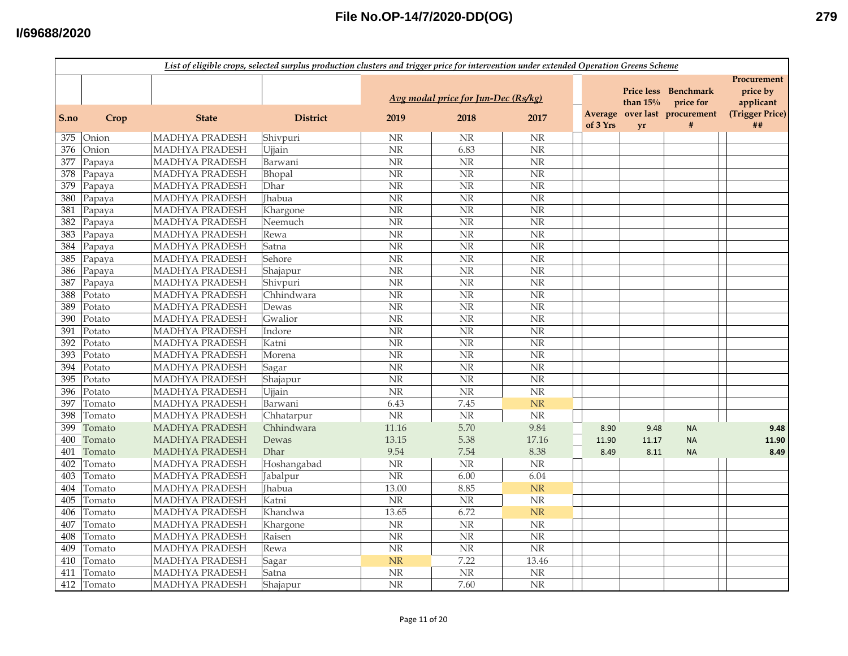|      | List of eligible crops, selected surplus production clusters and trigger price for intervention under extended Operation Greens Scheme |                       |                 |                                 |                                             |                        |          |            |                                                                    |                                                         |
|------|----------------------------------------------------------------------------------------------------------------------------------------|-----------------------|-----------------|---------------------------------|---------------------------------------------|------------------------|----------|------------|--------------------------------------------------------------------|---------------------------------------------------------|
| S.no | Crop                                                                                                                                   | <b>State</b>          | <b>District</b> | 2019                            | Avg modal price for Jun-Dec (Rs/kg)<br>2018 | 2017                   |          | than $15%$ | Price less Benchmark<br>price for<br>Average over last procurement | Procurement<br>price by<br>applicant<br>(Trigger Price) |
|      |                                                                                                                                        |                       |                 |                                 |                                             |                        | of 3 Yrs | <b>vr</b>  | #                                                                  | ##                                                      |
| 375  | Onion                                                                                                                                  | <b>MADHYA PRADESH</b> | Shivpuri        | NR                              | <b>NR</b>                                   | NR                     |          |            |                                                                    |                                                         |
| 376  | Onion                                                                                                                                  | MADHYA PRADESH        | Ujjain          | $\overline{\text{NR}}$          | 6.83                                        | $\overline{\text{NR}}$ |          |            |                                                                    |                                                         |
| 377  | Papaya                                                                                                                                 | MADHYA PRADESH        | Barwani         | $\rm{NR}$                       | $\overline{\text{NR}}$                      | $\overline{\text{NR}}$ |          |            |                                                                    |                                                         |
| 378  | Papaya                                                                                                                                 | <b>MADHYA PRADESH</b> | Bhopal          | $\rm{NR}$                       | $\rm{NR}$                                   | <b>NR</b>              |          |            |                                                                    |                                                         |
| 379  | Papaya                                                                                                                                 | MADHYA PRADESH        | Dhar            | $\rm{NR}$                       | $\overline{\text{NR}}$                      | $\overline{\text{NR}}$ |          |            |                                                                    |                                                         |
| 380  | Papaya                                                                                                                                 | MADHYA PRADESH        | <b>Ihabua</b>   | NR                              | <b>NR</b>                                   | <b>NR</b>              |          |            |                                                                    |                                                         |
| 381  | Papaya                                                                                                                                 | MADHYA PRADESH        | Khargone        | $\rm{NR}$                       | <b>NR</b>                                   | NR                     |          |            |                                                                    |                                                         |
| 382  | Papaya                                                                                                                                 | MADHYA PRADESH        | Neemuch         | $\rm{NR}$                       | <b>NR</b>                                   | NR                     |          |            |                                                                    |                                                         |
| 383  | Papaya                                                                                                                                 | MADHYA PRADESH        | Rewa            | $\rm{NR}$                       | <b>NR</b>                                   | $\overline{\text{NR}}$ |          |            |                                                                    |                                                         |
| 384  | Papaya                                                                                                                                 | MADHYA PRADESH        | Satna           | $\rm{NR}$                       | $\overline{\text{NR}}$                      | <b>NR</b>              |          |            |                                                                    |                                                         |
| 385  | Papaya                                                                                                                                 | MADHYA PRADESH        | Sehore          | NR                              | <b>NR</b>                                   | NR                     |          |            |                                                                    |                                                         |
| 386  | Papaya                                                                                                                                 | MADHYA PRADESH        | Shajapur        | $\rm{NR}$                       | $\overline{\text{NR}}$                      | $\overline{\text{NR}}$ |          |            |                                                                    |                                                         |
| 387  | Papaya                                                                                                                                 | MADHYA PRADESH        | Shivpuri        | NR                              | $\overline{\text{NR}}$                      | <b>NR</b>              |          |            |                                                                    |                                                         |
| 388  | Potato                                                                                                                                 | MADHYA PRADESH        | Chhindwara      | $\rm{NR}$                       | $\overline{\text{NR}}$                      | <b>NR</b>              |          |            |                                                                    |                                                         |
| 389  | Potato                                                                                                                                 | MADHYA PRADESH        | Dewas           | $\rm{NR}$                       | $\overline{\text{NR}}$                      | $\overline{\text{NR}}$ |          |            |                                                                    |                                                         |
| 390  | Potato                                                                                                                                 | MADHYA PRADESH        | Gwalior         | $\overline{\text{NR}}$          | $\overline{\text{NR}}$                      | $\overline{\text{NR}}$ |          |            |                                                                    |                                                         |
| 391  | Potato                                                                                                                                 | <b>MADHYA PRADESH</b> | Indore          | $\rm{NR}$                       | <b>NR</b>                                   | NR                     |          |            |                                                                    |                                                         |
| 392  | Potato                                                                                                                                 | MADHYA PRADESH        | Katni           | $\rm{NR}$                       | NR                                          | $\rm{NR}$              |          |            |                                                                    |                                                         |
| 393  | Potato                                                                                                                                 | MADHYA PRADESH        | Morena          | NR                              | <b>NR</b>                                   | <b>NR</b>              |          |            |                                                                    |                                                         |
| 394  | Potato                                                                                                                                 | MADHYA PRADESH        | Sagar           | $\rm{NR}$                       | NR                                          | $\rm NR$               |          |            |                                                                    |                                                         |
| 395  | Potato                                                                                                                                 | MADHYA PRADESH        | Shajapur        | NR                              | <b>NR</b>                                   | NR                     |          |            |                                                                    |                                                         |
| 396  | Potato                                                                                                                                 | MADHYA PRADESH        | Ujjain          | $\overline{\text{NR}}$          | $\overline{\text{NR}}$                      | $\overline{\text{NR}}$ |          |            |                                                                    |                                                         |
| 397  | Tomato                                                                                                                                 | MADHYA PRADESH        | Barwani         | 6.43                            | 7.45                                        | NR                     |          |            |                                                                    |                                                         |
| 398  | Tomato                                                                                                                                 | MADHYA PRADESH        | Chhatarpur      | NR                              | N <sub>R</sub>                              | $\rm NR$               |          |            |                                                                    |                                                         |
| 399  | Tomato                                                                                                                                 | <b>MADHYA PRADESH</b> | Chhindwara      | 11.16                           | 5.70                                        | 9.84                   | 8.90     | 9.48       | <b>NA</b>                                                          | 9.48                                                    |
| 400  | Tomato                                                                                                                                 | <b>MADHYA PRADESH</b> | Dewas           | 13.15                           | 5.38                                        | 17.16                  | 11.90    | 11.17      | <b>NA</b>                                                          | 11.90                                                   |
| 401  | Tomato                                                                                                                                 | <b>MADHYA PRADESH</b> | Dhar            | 9.54                            | 7.54                                        | 8.38                   | 8.49     | 8.11       | <b>NA</b>                                                          | 8.49                                                    |
| 402  | Tomato                                                                                                                                 | <b>MADHYA PRADESH</b> | Hoshangabad     | $\rm{NR}$                       | $\rm NR$                                    | $\rm{NR}$              |          |            |                                                                    |                                                         |
| 403  | Tomato                                                                                                                                 | MADHYA PRADESH        | Jabalpur        | $\rm{NR}$                       | 6.00                                        | 6.04                   |          |            |                                                                    |                                                         |
| 404  | Tomato                                                                                                                                 | MADHYA PRADESH        | Jhabua          | 13.00                           | 8.85                                        | <b>NR</b>              |          |            |                                                                    |                                                         |
| 405  | Tomato                                                                                                                                 | MADHYA PRADESH        | Katni           | $\ensuremath{\text{NR}}\xspace$ | <b>NR</b>                                   | $\rm NR$               |          |            |                                                                    |                                                         |
| 406  | Tomato                                                                                                                                 | MADHYA PRADESH        | Khandwa         | 13.65                           | 6.72                                        | NR                     |          |            |                                                                    |                                                         |
| 407  | Tomato                                                                                                                                 | MADHYA PRADESH        | Khargone        | $\rm{NR}$                       | <b>NR</b>                                   | NR                     |          |            |                                                                    |                                                         |
| 408  | Tomato                                                                                                                                 | MADHYA PRADESH        | Raisen          | $\rm{NR}$                       | <b>NR</b>                                   | $\overline{\text{NR}}$ |          |            |                                                                    |                                                         |
| 409  | Tomato                                                                                                                                 | MADHYA PRADESH        | Rewa            | $\overline{\text{NR}}$          | <b>NR</b>                                   | $\overline{\text{NR}}$ |          |            |                                                                    |                                                         |
| 410  | Tomato                                                                                                                                 | MADHYA PRADESH        | Sagar           | <b>NR</b>                       | 7.22                                        | 13.46                  |          |            |                                                                    |                                                         |
| 411  | Tomato                                                                                                                                 | <b>MADHYA PRADESH</b> | Satna           | $\rm{NR}$                       | $\overline{\text{NR}}$                      | $\overline{\text{NR}}$ |          |            |                                                                    |                                                         |
| 412  | Tomato                                                                                                                                 | MADHYA PRADESH        | Shajapur        | $\overline{\text{NR}}$          | 7.60                                        | $\overline{\text{NR}}$ |          |            |                                                                    |                                                         |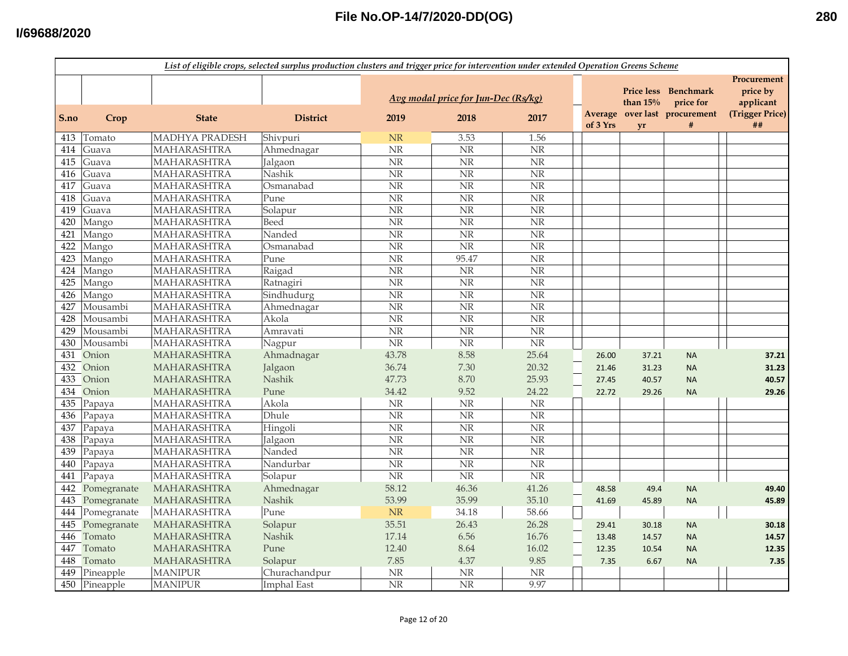|      | List of eligible crops, selected surplus production clusters and trigger price for intervention under extended Operation Greens Scheme |                    |                    |                        |                                     |                        |                     |                                 |                                                        |                                                         |  |
|------|----------------------------------------------------------------------------------------------------------------------------------------|--------------------|--------------------|------------------------|-------------------------------------|------------------------|---------------------|---------------------------------|--------------------------------------------------------|---------------------------------------------------------|--|
|      |                                                                                                                                        |                    |                    |                        | Avg modal price for Jun-Dec (Rs/kg) |                        |                     | <b>Price less</b><br>than $15%$ | <b>Benchmark</b><br>price for<br>over last procurement | Procurement<br>price by<br>applicant<br>(Trigger Price) |  |
| S.no | Crop                                                                                                                                   | <b>State</b>       | <b>District</b>    | 2019                   | 2018                                | 2017                   | Average<br>of 3 Yrs | <b>vr</b>                       | $\#$                                                   | ##                                                      |  |
| 413  | Tomato                                                                                                                                 | MADHYA PRADESH     | Shivpuri           | <b>NR</b>              | 3.53                                | 1.56                   |                     |                                 |                                                        |                                                         |  |
| 414  | Guava                                                                                                                                  | MAHARASHTRA        | Ahmednagar         | $\rm{NR}$              | $\overline{\text{NR}}$              | $\overline{\text{NR}}$ |                     |                                 |                                                        |                                                         |  |
| 415  | Guava                                                                                                                                  | <b>MAHARASHTRA</b> | Jalgaon            | $\overline{\text{NR}}$ | $\overline{\text{NR}}$              | $\overline{\text{NR}}$ |                     |                                 |                                                        |                                                         |  |
| 416  | Guava                                                                                                                                  | MAHARASHTRA        | Nashik             | $\rm{NR}$              | NR                                  | NR                     |                     |                                 |                                                        |                                                         |  |
| 417  | Guava                                                                                                                                  | MAHARASHTRA        | Osmanabad          | $\rm{NR}$              | <b>NR</b>                           | $\overline{\text{NR}}$ |                     |                                 |                                                        |                                                         |  |
| 418  | Guava                                                                                                                                  | <b>MAHARASHTRA</b> | Pune               | NR                     | $\overline{\text{NR}}$              | $\overline{\text{NR}}$ |                     |                                 |                                                        |                                                         |  |
| 419  | Guava                                                                                                                                  | <b>MAHARASHTRA</b> | Solapur            | $\rm{NR}$              | NR                                  | NR                     |                     |                                 |                                                        |                                                         |  |
| 420  | Mango                                                                                                                                  | <b>MAHARASHTRA</b> | Beed               | NR                     | NR                                  | NR                     |                     |                                 |                                                        |                                                         |  |
| 421  | Mango                                                                                                                                  | MAHARASHTRA        | Nanded             | NR                     | <b>NR</b>                           | $\overline{\text{NR}}$ |                     |                                 |                                                        |                                                         |  |
| 422  | Mango                                                                                                                                  | MAHARASHTRA        | Osmanabad          | $\overline{\text{NR}}$ | NR                                  | $\overline{\text{NR}}$ |                     |                                 |                                                        |                                                         |  |
| 423  | Mango                                                                                                                                  | MAHARASHTRA        | Pune               | NR                     | 95.47                               | NR                     |                     |                                 |                                                        |                                                         |  |
| 424  | Mango                                                                                                                                  | MAHARASHTRA        | Raigad             | $\overline{\text{NR}}$ | NR                                  | $\overline{\text{NR}}$ |                     |                                 |                                                        |                                                         |  |
| 425  | Mango                                                                                                                                  | MAHARASHTRA        | Ratnagiri          | $\rm{NR}$              | $\overline{\text{NR}}$              | <b>NR</b>              |                     |                                 |                                                        |                                                         |  |
| 426  | Mango                                                                                                                                  | MAHARASHTRA        | Sindhudurg         | NR                     | $\overline{\text{NR}}$              | $\overline{\text{NR}}$ |                     |                                 |                                                        |                                                         |  |
| 427  | Mousambi                                                                                                                               | <b>MAHARASHTRA</b> | Ahmednagar         | $\overline{\text{NR}}$ | N <sub>R</sub>                      | $\overline{\text{NR}}$ |                     |                                 |                                                        |                                                         |  |
| 428  | Mousambi                                                                                                                               | MAHARASHTRA        | Akola              | $\overline{\text{NR}}$ | $\overline{\text{NR}}$              | $\overline{\text{NR}}$ |                     |                                 |                                                        |                                                         |  |
| 429  | Mousambi                                                                                                                               | <b>MAHARASHTRA</b> | Amravati           | NR                     | $\rm{NR}$                           | $\rm{NR}$              |                     |                                 |                                                        |                                                         |  |
| 430  | Mousambi                                                                                                                               | MAHARASHTRA        | Nagpur             | $\overline{\text{NR}}$ | $\overline{\text{NR}}$              | $\overline{\text{NR}}$ |                     |                                 |                                                        |                                                         |  |
|      | 431 Onion                                                                                                                              | <b>MAHARASHTRA</b> | Ahmadnagar         | 43.78                  | 8.58                                | 25.64                  | 26.00               | 37.21                           | <b>NA</b>                                              | 37.21                                                   |  |
| 432  | Onion                                                                                                                                  | <b>MAHARASHTRA</b> | Jalgaon            | 36.74                  | 7.30                                | 20.32                  | 21.46               | 31.23                           | <b>NA</b>                                              | 31.23                                                   |  |
| 433  | Onion                                                                                                                                  | <b>MAHARASHTRA</b> | <b>Nashik</b>      | 47.73                  | 8.70                                | 25.93                  | 27.45               | 40.57                           | <b>NA</b>                                              | 40.57                                                   |  |
| 434  | Onion                                                                                                                                  | <b>MAHARASHTRA</b> | Pune               | 34.42                  | 9.52                                | 24.22                  | 22.72               | 29.26                           | <b>NA</b>                                              | 29.26                                                   |  |
| 435  | Papaya                                                                                                                                 | <b>MAHARASHTRA</b> | Akola              | $\rm{NR}$              | NR                                  | $\rm{NR}$              |                     |                                 |                                                        |                                                         |  |
| 436  | Papaya                                                                                                                                 | MAHARASHTRA        | Dhule              | $\overline{\text{NR}}$ | <b>NR</b>                           | $\overline{\text{NR}}$ |                     |                                 |                                                        |                                                         |  |
| 437  | Papaya                                                                                                                                 | MAHARASHTRA        | Hingoli            | $\overline{\text{NR}}$ | $\overline{\text{NR}}$              | $\overline{\text{NR}}$ |                     |                                 |                                                        |                                                         |  |
| 438  | Papaya                                                                                                                                 | <b>MAHARASHTRA</b> | Jalgaon            | $\overline{\text{NR}}$ | $\overline{\text{NR}}$              | $\overline{\text{NR}}$ |                     |                                 |                                                        |                                                         |  |
| 439  | Papaya                                                                                                                                 | <b>MAHARASHTRA</b> | Nanded             | $\rm{NR}$              | <b>NR</b>                           | $\overline{\text{NR}}$ |                     |                                 |                                                        |                                                         |  |
| 440  | Papaya                                                                                                                                 | <b>MAHARASHTRA</b> | Nandurbar          | $\overline{\text{NR}}$ | $\overline{\text{NR}}$              | $\overline{\text{NR}}$ |                     |                                 |                                                        |                                                         |  |
| 441  | Papaya                                                                                                                                 | MAHARASHTRA        | Solapur            | NR                     | N <sub>R</sub>                      | $\overline{\text{NR}}$ |                     |                                 |                                                        |                                                         |  |
| 442  | Pomegranate                                                                                                                            | <b>MAHARASHTRA</b> | Ahmednagar         | 58.12                  | 46.36                               | 41.26                  | 48.58               | 49.4                            | <b>NA</b>                                              | 49.40                                                   |  |
| 443  | Pomegranate                                                                                                                            | <b>MAHARASHTRA</b> | Nashik             | 53.99                  | 35.99                               | 35.10                  | 41.69               | 45.89                           | <b>NA</b>                                              | 45.89                                                   |  |
| 444  | Pomegranate                                                                                                                            | <b>MAHARASHTRA</b> | Pune               | NR                     | 34.18                               | 58.66                  |                     |                                 |                                                        |                                                         |  |
| 445  | Pomegranate                                                                                                                            | <b>MAHARASHTRA</b> | Solapur            | 35.51                  | 26.43                               | 26.28                  | 29.41               | 30.18                           | <b>NA</b>                                              | 30.18                                                   |  |
| 446  | Tomato                                                                                                                                 | <b>MAHARASHTRA</b> | Nashik             | 17.14                  | 6.56                                | 16.76                  | 13.48               | 14.57                           | <b>NA</b>                                              | 14.57                                                   |  |
| 447  | Tomato                                                                                                                                 | <b>MAHARASHTRA</b> | Pune               | 12.40                  | 8.64                                | 16.02                  | 12.35               | 10.54                           | <b>NA</b>                                              | 12.35                                                   |  |
| 448  | Tomato                                                                                                                                 | <b>MAHARASHTRA</b> | Solapur            | 7.85                   | 4.37                                | 9.85                   | 7.35                | 6.67                            | <b>NA</b>                                              | 7.35                                                    |  |
| 449  | Pineapple                                                                                                                              | <b>MANIPUR</b>     | Churachandpur      | $\rm{NR}$              | NR                                  | $\rm{NR}$              |                     |                                 |                                                        |                                                         |  |
| 450  | Pineapple                                                                                                                              | <b>MANIPUR</b>     | <b>Imphal East</b> | $\overline{\text{NR}}$ | $\overline{\text{NR}}$              | 9.97                   |                     |                                 |                                                        |                                                         |  |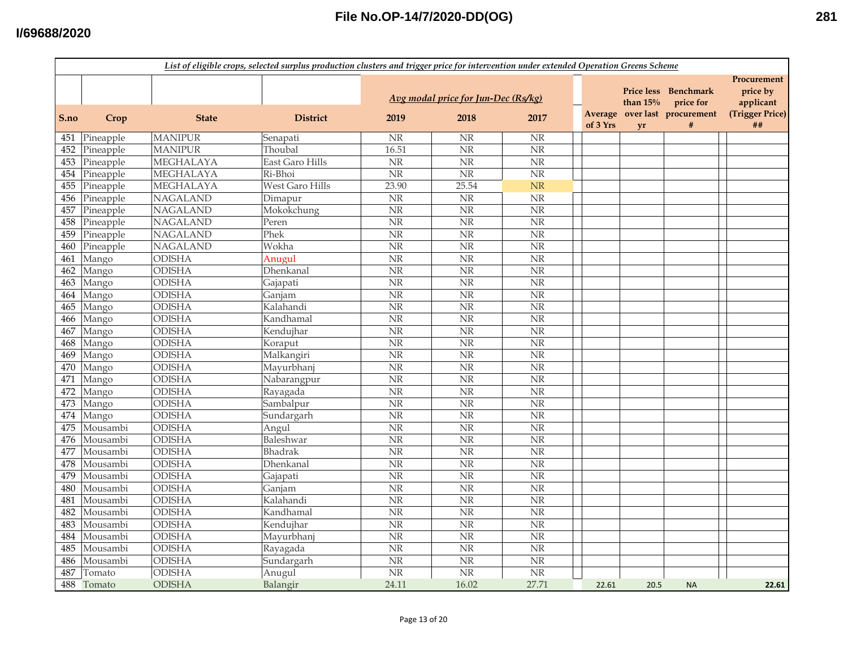| File No.OP-14/7/2020-DD(OG) |  |
|-----------------------------|--|
|-----------------------------|--|

|      | List of eligible crops, selected surplus production clusters and trigger price for intervention under extended Operation Greens Scheme |                  |                 |                        |                                     |                        |          |            |                                                                    |                                                         |  |
|------|----------------------------------------------------------------------------------------------------------------------------------------|------------------|-----------------|------------------------|-------------------------------------|------------------------|----------|------------|--------------------------------------------------------------------|---------------------------------------------------------|--|
|      |                                                                                                                                        |                  |                 |                        | Avg modal price for Jun-Dec (Rs/kg) |                        |          | than $15%$ | Price less Benchmark<br>price for<br>Average over last procurement | Procurement<br>price by<br>applicant<br>(Trigger Price) |  |
| S.no | Crop                                                                                                                                   | <b>State</b>     | <b>District</b> | 2019                   | 2018                                | 2017                   | of 3 Yrs | yr         | #                                                                  | ##                                                      |  |
| 451  | Pineapple                                                                                                                              | <b>MANIPUR</b>   | Senapati        | NR                     | <b>NR</b>                           | <b>NR</b>              |          |            |                                                                    |                                                         |  |
| 452  | Pineapple                                                                                                                              | <b>MANIPUR</b>   | Thoubal         | 16.51                  | $\overline{\text{NR}}$              | $\overline{\text{NR}}$ |          |            |                                                                    |                                                         |  |
| 453  | Pineapple                                                                                                                              | MEGHALAYA        | East Garo Hills | $\overline{\text{NR}}$ | $\overline{\text{NR}}$              | $\overline{\text{NR}}$ |          |            |                                                                    |                                                         |  |
| 454  | Pineapple                                                                                                                              | MEGHALAYA        | Ri-Bhoi         | $\overline{\text{NR}}$ | $\overline{\text{NR}}$              | $\overline{\text{NR}}$ |          |            |                                                                    |                                                         |  |
| 455  | Pineapple                                                                                                                              | <b>MEGHALAYA</b> | West Garo Hills | 23.90                  | 25.54                               | <b>NR</b>              |          |            |                                                                    |                                                         |  |
| 456  | Pineapple                                                                                                                              | <b>NAGALAND</b>  | Dimapur         | NR                     | $\overline{\text{NR}}$              | NR                     |          |            |                                                                    |                                                         |  |
| 457  | Pineapple                                                                                                                              | <b>NAGALAND</b>  | Mokokchung      | $\rm{NR}$              | NR                                  | NR                     |          |            |                                                                    |                                                         |  |
| 458  | Pineapple                                                                                                                              | <b>NAGALAND</b>  | Peren           | <b>NR</b>              | <b>NR</b>                           | <b>NR</b>              |          |            |                                                                    |                                                         |  |
| 459  | Pineapple                                                                                                                              | <b>NAGALAND</b>  | Phek            | NR                     | $\overline{\text{NR}}$              | NR                     |          |            |                                                                    |                                                         |  |
| 460  | Pineapple                                                                                                                              | <b>NAGALAND</b>  | Wokha           | NR                     | $\overline{\text{NR}}$              | <b>NR</b>              |          |            |                                                                    |                                                         |  |
| 461  | Mango                                                                                                                                  | <b>ODISHA</b>    | Anugul          | $\overline{\text{NR}}$ | NR                                  | NR                     |          |            |                                                                    |                                                         |  |
| 462  | Mango                                                                                                                                  | <b>ODISHA</b>    | Dhenkanal       | $\rm{NR}$              | $\overline{\text{NR}}$              | $\overline{\text{NR}}$ |          |            |                                                                    |                                                         |  |
| 463  | Mango                                                                                                                                  | ODISHA           | Gajapati        | $\overline{\text{NR}}$ | $\overline{\text{NR}}$              | $\overline{\text{NR}}$ |          |            |                                                                    |                                                         |  |
| 464  | Mango                                                                                                                                  | <b>ODISHA</b>    | Ganjam          | <b>NR</b>              | $\overline{\text{NR}}$              | NR                     |          |            |                                                                    |                                                         |  |
| 465  | Mango                                                                                                                                  | <b>ODISHA</b>    | Kalahandi       | $\overline{\text{NR}}$ | $\overline{\text{NR}}$              | NR                     |          |            |                                                                    |                                                         |  |
| 466  | Mango                                                                                                                                  | <b>ODISHA</b>    | Kandhamal       | $\overline{\text{NR}}$ | $\overline{\text{NR}}$              | $\overline{\text{NR}}$ |          |            |                                                                    |                                                         |  |
| 467  | Mango                                                                                                                                  | <b>ODISHA</b>    | Kendujhar       | $\rm{NR}$              | NR                                  | NR                     |          |            |                                                                    |                                                         |  |
| 468  | Mango                                                                                                                                  | ODISHA           | Koraput         | $\rm{NR}$              | NR                                  | <b>NR</b>              |          |            |                                                                    |                                                         |  |
| 469  | Mango                                                                                                                                  | <b>ODISHA</b>    | Malkangiri      | <b>NR</b>              | NR                                  | NR                     |          |            |                                                                    |                                                         |  |
| 470  | Mango                                                                                                                                  | <b>ODISHA</b>    | Mayurbhanj      | NR                     | NR                                  | <b>NR</b>              |          |            |                                                                    |                                                         |  |
| 471  | Mango                                                                                                                                  | <b>ODISHA</b>    | Nabarangpur     | NR                     | NR                                  | NR                     |          |            |                                                                    |                                                         |  |
| 472  | Mango                                                                                                                                  | ODISHA           | Rayagada        | $\overline{\text{NR}}$ | $\overline{\text{NR}}$              | $\overline{\text{NR}}$ |          |            |                                                                    |                                                         |  |
| 473  | Mango                                                                                                                                  | <b>ODISHA</b>    | Sambalpur       | $\rm{NR}$              | NR                                  | NR                     |          |            |                                                                    |                                                         |  |
| 474  | Mango                                                                                                                                  | <b>ODISHA</b>    | Sundargarh      | $\rm{NR}$              | $\overline{\text{NR}}$              | $\overline{\text{NR}}$ |          |            |                                                                    |                                                         |  |
| 475  | Mousambi                                                                                                                               | <b>ODISHA</b>    | Angul           | $\overline{\text{NR}}$ | $\overline{\text{NR}}$              | $\overline{\text{NR}}$ |          |            |                                                                    |                                                         |  |
| 476  | Mousambi                                                                                                                               | <b>ODISHA</b>    | Baleshwar       | $\rm{NR}$              | $\overline{\text{NR}}$              | N <sub>R</sub>         |          |            |                                                                    |                                                         |  |
| 477  | Mousambi                                                                                                                               | <b>ODISHA</b>    | <b>Bhadrak</b>  | $\rm{NR}$              | $\overline{\text{NR}}$              | NR                     |          |            |                                                                    |                                                         |  |
| 478  | Mousambi                                                                                                                               | <b>ODISHA</b>    | Dhenkanal       | $\overline{\text{NR}}$ | $\overline{\text{NR}}$              | $\overline{\text{NR}}$ |          |            |                                                                    |                                                         |  |
| 479  | Mousambi                                                                                                                               | ODISHA           | Gajapati        | $\rm{NR}$              | NR                                  | <b>NR</b>              |          |            |                                                                    |                                                         |  |
| 480  | Mousambi                                                                                                                               | ODISHA           | Ganjam          | $\rm{NR}$              | NR                                  | <b>NR</b>              |          |            |                                                                    |                                                         |  |
| 481  | Mousambi                                                                                                                               | ODISHA           | Kalahandi       | $\rm{NR}$              | NR                                  | NR                     |          |            |                                                                    |                                                         |  |
| 482  | Mousambi                                                                                                                               | ODISHA           | Kandhamal       | NR                     | NR                                  | <b>NR</b>              |          |            |                                                                    |                                                         |  |
| 483  | Mousambi                                                                                                                               | <b>ODISHA</b>    | Kendujhar       | <b>NR</b>              | NR                                  | NR                     |          |            |                                                                    |                                                         |  |
| 484  | Mousambi                                                                                                                               | <b>ODISHA</b>    | Mayurbhanj      | NR                     | NR                                  | <b>NR</b>              |          |            |                                                                    |                                                         |  |
| 485  | Mousambi                                                                                                                               | ODISHA           | Rayagada        | $\rm{NR}$              | <b>NR</b>                           | $\overline{\text{NR}}$ |          |            |                                                                    |                                                         |  |
| 486  | Mousambi                                                                                                                               | <b>ODISHA</b>    | Sundargarh      | $\rm{NR}$              | $\overline{\text{NR}}$              | <b>NR</b>              |          |            |                                                                    |                                                         |  |
| 487  | Tomato                                                                                                                                 | <b>ODISHA</b>    | Anugul          | $\rm{NR}$              | $\overline{\text{NR}}$              | $\overline{\text{NR}}$ |          |            |                                                                    |                                                         |  |
| 488  | Tomato                                                                                                                                 | <b>ODISHA</b>    | Balangir        | 24.11                  | 16.02                               | 27.71                  | 22.61    | 20.5       | <b>NA</b>                                                          | 22.61                                                   |  |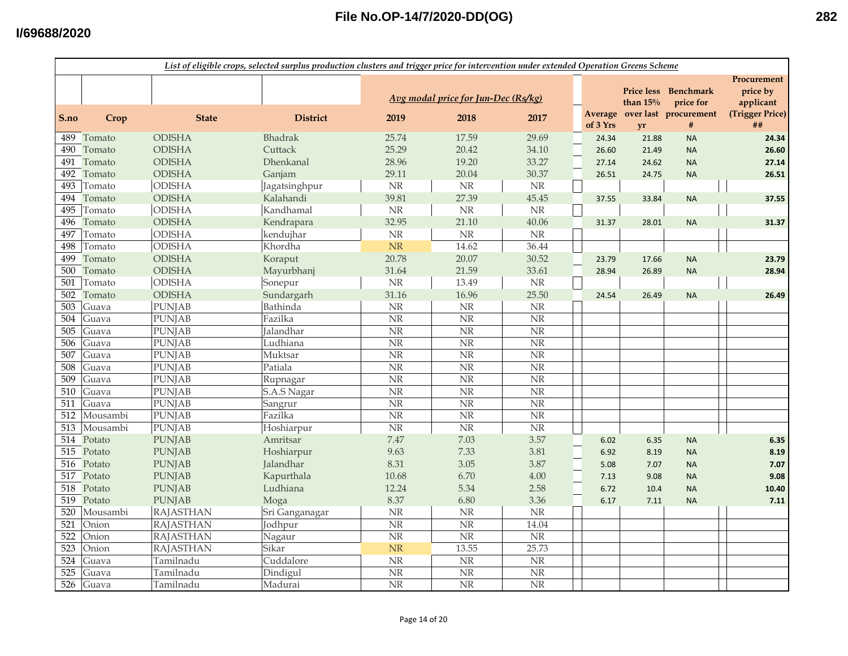|      | List of eligible crops, selected surplus production clusters and trigger price for intervention under extended Operation Greens Scheme |                  |                 |                                 |                                     |                        |  |                     |                                 |                               |                                      |  |
|------|----------------------------------------------------------------------------------------------------------------------------------------|------------------|-----------------|---------------------------------|-------------------------------------|------------------------|--|---------------------|---------------------------------|-------------------------------|--------------------------------------|--|
|      |                                                                                                                                        |                  |                 |                                 | Avg modal price for Jun-Dec (Rs/kg) |                        |  |                     | <b>Price less</b><br>than $15%$ | <b>Benchmark</b><br>price for | Procurement<br>price by<br>applicant |  |
| S.no | Crop                                                                                                                                   | <b>State</b>     | <b>District</b> | 2019                            | 2018                                | 2017                   |  | Average<br>of 3 Yrs | yr                              | over last procurement<br>$\#$ | (Trigger Price)<br>##                |  |
| 489  | Tomato                                                                                                                                 | <b>ODISHA</b>    | <b>Bhadrak</b>  | 25.74                           | 17.59                               | 29.69                  |  | 24.34               | 21.88                           | <b>NA</b>                     | 24.34                                |  |
| 490  | Tomato                                                                                                                                 | <b>ODISHA</b>    | Cuttack         | 25.29                           | 20.42                               | 34.10                  |  | 26.60               | 21.49                           | <b>NA</b>                     | 26.60                                |  |
| 491  | Tomato                                                                                                                                 | <b>ODISHA</b>    | Dhenkanal       | 28.96                           | 19.20                               | 33.27                  |  | 27.14               | 24.62                           | <b>NA</b>                     | 27.14                                |  |
| 492  | Tomato                                                                                                                                 | <b>ODISHA</b>    | Ganjam          | 29.11                           | 20.04                               | 30.37                  |  | 26.51               | 24.75                           | <b>NA</b>                     | 26.51                                |  |
| 493  | Tomato                                                                                                                                 | <b>ODISHA</b>    | Jagatsinghpur   | $\rm{NR}$                       | NR                                  | $\rm NR$               |  |                     |                                 |                               |                                      |  |
| 494  | Tomato                                                                                                                                 | <b>ODISHA</b>    | Kalahandi       | 39.81                           | 27.39                               | 45.45                  |  | 37.55               | 33.84                           | <b>NA</b>                     | 37.55                                |  |
| 495  | Tomato                                                                                                                                 | <b>ODISHA</b>    | Kandhamal       | $\rm{NR}$                       | $\rm{NR}$                           | $\rm{NR}$              |  |                     |                                 |                               |                                      |  |
| 496  | Tomato                                                                                                                                 | <b>ODISHA</b>    | Kendrapara      | 32.95                           | 21.10                               | 40.06                  |  | 31.37               | 28.01                           | <b>NA</b>                     | 31.37                                |  |
| 497  | Tomato                                                                                                                                 | <b>ODISHA</b>    | kendujhar       | $\rm{NR}$                       | <b>NR</b>                           | <b>NR</b>              |  |                     |                                 |                               |                                      |  |
| 498  | Tomato                                                                                                                                 | <b>ODISHA</b>    | Khordha         | <b>NR</b>                       | 14.62                               | 36.44                  |  |                     |                                 |                               |                                      |  |
| 499  | Tomato                                                                                                                                 | <b>ODISHA</b>    | Koraput         | 20.78                           | 20.07                               | 30.52                  |  | 23.79               | 17.66                           | <b>NA</b>                     | 23.79                                |  |
| 500  | Tomato                                                                                                                                 | <b>ODISHA</b>    | Mayurbhanj      | 31.64                           | 21.59                               | 33.61                  |  | 28.94               | 26.89                           | <b>NA</b>                     | 28.94                                |  |
| 501  | Tomato                                                                                                                                 | <b>ODISHA</b>    | Sonepur         | <b>NR</b>                       | 13.49                               | $\rm{NR}$              |  |                     |                                 |                               |                                      |  |
| 502  | Tomato                                                                                                                                 | <b>ODISHA</b>    | Sundargarh      | 31.16                           | 16.96                               | 25.50                  |  | 24.54               | 26.49                           | <b>NA</b>                     | 26.49                                |  |
| 503  | Guava                                                                                                                                  | <b>PUNJAB</b>    | Bathinda        | $\rm{NR}$                       | $\rm{NR}$                           | $\rm{NR}$              |  |                     |                                 |                               |                                      |  |
| 504  | Guava                                                                                                                                  | <b>PUNJAB</b>    | Fazilka         | <b>NR</b>                       | $\overline{\text{NR}}$              | NR                     |  |                     |                                 |                               |                                      |  |
| 505  | Guava                                                                                                                                  | <b>PUNJAB</b>    | Jalandhar       | <b>NR</b>                       | NR                                  | $\rm NR$               |  |                     |                                 |                               |                                      |  |
| 506  | Guava                                                                                                                                  | <b>PUNJAB</b>    | Ludhiana        | $\ensuremath{\text{NR}}\xspace$ | NR                                  | $\rm NR$               |  |                     |                                 |                               |                                      |  |
| 507  | Guava                                                                                                                                  | <b>PUNJAB</b>    | Muktsar         | <b>NR</b>                       | <b>NR</b>                           | NR                     |  |                     |                                 |                               |                                      |  |
| 508  | Guava                                                                                                                                  | <b>PUNJAB</b>    | Patiala         | <b>NR</b>                       | <b>NR</b>                           | $\rm{NR}$              |  |                     |                                 |                               |                                      |  |
| 509  | Guava                                                                                                                                  | <b>PUNJAB</b>    | Rupnagar        | <b>NR</b>                       | $\rm NR$                            | NR                     |  |                     |                                 |                               |                                      |  |
| 510  | Guava                                                                                                                                  | <b>PUNJAB</b>    | S.A.S Nagar     | <b>NR</b>                       | $\overline{\text{NR}}$              | NR                     |  |                     |                                 |                               |                                      |  |
| 511  | Guava                                                                                                                                  | <b>PUNJAB</b>    | Sangrur         | <b>NR</b>                       | NR                                  | $\overline{\text{NR}}$ |  |                     |                                 |                               |                                      |  |
| 512  | Mousambi                                                                                                                               | <b>PUNJAB</b>    | Fazilka         | <b>NR</b>                       | $\overline{\text{NR}}$              | $\rm{NR}$              |  |                     |                                 |                               |                                      |  |
| 513  | Mousambi                                                                                                                               | <b>PUNJAB</b>    | Hoshiarpur      | <b>NR</b>                       | $\overline{\text{NR}}$              | $\rm NR$               |  |                     |                                 |                               |                                      |  |
| 514  | Potato                                                                                                                                 | <b>PUNJAB</b>    | Amritsar        | 7.47                            | 7.03                                | 3.57                   |  | 6.02                | 6.35                            | <b>NA</b>                     | 6.35                                 |  |
| 515  | Potato                                                                                                                                 | <b>PUNJAB</b>    | Hoshiarpur      | 9.63                            | 7.33                                | 3.81                   |  | 6.92                | 8.19                            | <b>NA</b>                     | 8.19                                 |  |
| 516  | Potato                                                                                                                                 | <b>PUNJAB</b>    | Jalandhar       | 8.31                            | 3.05                                | 3.87                   |  | 5.08                | 7.07                            | <b>NA</b>                     | 7.07                                 |  |
| 517  | Potato                                                                                                                                 | <b>PUNJAB</b>    | Kapurthala      | 10.68                           | 6.70                                | 4.00                   |  | 7.13                | 9.08                            | <b>NA</b>                     | 9.08                                 |  |
| 518  | Potato                                                                                                                                 | <b>PUNJAB</b>    | Ludhiana        | 12.24                           | 5.34                                | 2.58                   |  | 6.72                | 10.4                            | <b>NA</b>                     | 10.40                                |  |
| 519  | Potato                                                                                                                                 | <b>PUNJAB</b>    | Moga            | 8.37                            | 6.80                                | 3.36                   |  | 6.17                | 7.11                            | <b>NA</b>                     | 7.11                                 |  |
| 520  | Mousambi                                                                                                                               | <b>RAJASTHAN</b> | Sri Ganganagar  | <b>NR</b>                       | $\rm{NR}$                           | <b>NR</b>              |  |                     |                                 |                               |                                      |  |
| 521  | Onion                                                                                                                                  | <b>RAJASTHAN</b> | Jodhpur         | <b>NR</b>                       | <b>NR</b>                           | 14.04                  |  |                     |                                 |                               |                                      |  |
| 522  | Onion                                                                                                                                  | <b>RAJASTHAN</b> | Nagaur          | <b>NR</b>                       | NR                                  | <b>NR</b>              |  |                     |                                 |                               |                                      |  |
| 523  | Onion                                                                                                                                  | <b>RAJASTHAN</b> | Sikar           | <b>NR</b>                       | 13.55                               | 25.73                  |  |                     |                                 |                               |                                      |  |
| 524  | Guava                                                                                                                                  | Tamilnadu        | Cuddalore       | <b>NR</b>                       | <b>NR</b>                           | $\rm{NR}$              |  |                     |                                 |                               |                                      |  |
| 525  | Guava                                                                                                                                  | Tamilnadu        | Dindigul        | <b>NR</b>                       | <b>NR</b>                           | $\rm NR$               |  |                     |                                 |                               |                                      |  |
| 526  | Guava                                                                                                                                  | Tamilnadu        | Madurai         | <b>NR</b>                       | $\overline{\text{NR}}$              | N <sub>R</sub>         |  |                     |                                 |                               |                                      |  |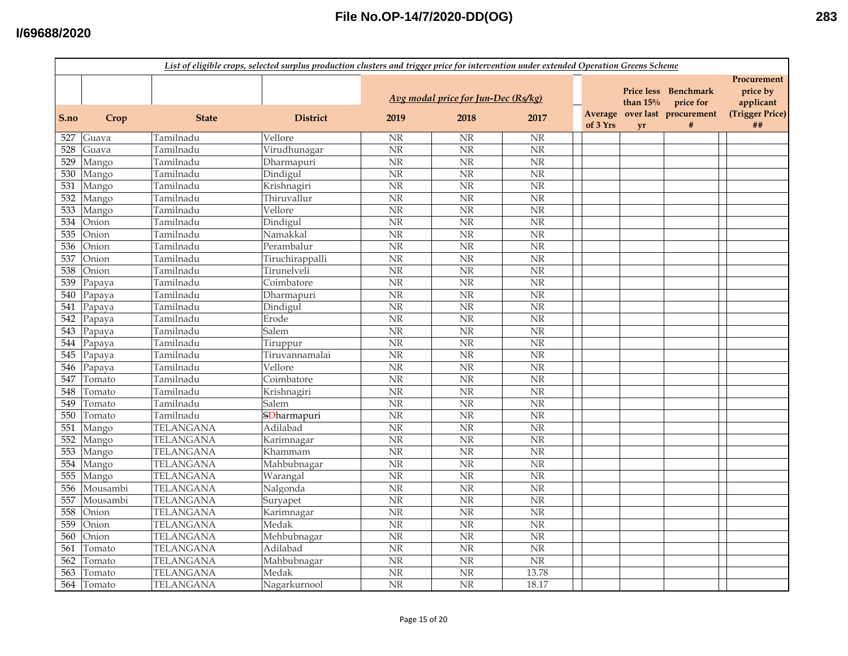|      |            |                  | List of eligible crops, selected surplus production clusters and trigger price for intervention under extended Operation Greens Scheme |                        |                                     |                        |          |                                 |                                                 |                                                         |
|------|------------|------------------|----------------------------------------------------------------------------------------------------------------------------------------|------------------------|-------------------------------------|------------------------|----------|---------------------------------|-------------------------------------------------|---------------------------------------------------------|
|      |            |                  |                                                                                                                                        |                        | Avg modal price for Jun-Dec (Rs/kg) |                        | Average  | <b>Price less</b><br>than $15%$ | Benchmark<br>price for<br>over last procurement | Procurement<br>price by<br>applicant<br>(Trigger Price) |
| S.no | Crop       | <b>State</b>     | <b>District</b>                                                                                                                        | 2019                   | 2018                                | 2017                   | of 3 Yrs | <b>vr</b>                       | $\#$                                            | ##                                                      |
| 527  | Guava      | Tamilnadu        | Vellore                                                                                                                                | $\rm{NR}$              | <b>NR</b>                           | <b>NR</b>              |          |                                 |                                                 |                                                         |
| 528  | Guava      | Tamilnadu        | Virudhunagar                                                                                                                           | $\overline{\text{NR}}$ | N <sub>R</sub>                      | $\overline{\text{NR}}$ |          |                                 |                                                 |                                                         |
| 529  | Mango      | Tamilnadu        | Dharmapuri                                                                                                                             | $\overline{\text{NR}}$ | NR                                  | $\overline{\text{NR}}$ |          |                                 |                                                 |                                                         |
| 530  | Mango      | Tamilnadu        | Dindigul                                                                                                                               | $\overline{\text{NR}}$ | $\overline{\text{NR}}$              | NR                     |          |                                 |                                                 |                                                         |
| 531  | Mango      | Tamilnadu        | Krishnagiri                                                                                                                            | $\overline{\text{NR}}$ | NR                                  | $\overline{\text{NR}}$ |          |                                 |                                                 |                                                         |
| 532  | Mango      | Tamilnadu        | Thiruvallur                                                                                                                            | NR                     | <b>NR</b>                           | <b>NR</b>              |          |                                 |                                                 |                                                         |
| 533  | Mango      | Tamilnadu        | Vellore                                                                                                                                | $\rm{NR}$              | NR                                  | NR                     |          |                                 |                                                 |                                                         |
| 534  | Onion      | Tamilnadu        | Dindigul                                                                                                                               | $\rm{NR}$              | <b>NR</b>                           | NR                     |          |                                 |                                                 |                                                         |
| 535  | Onion      | Tamilnadu        | Namakkal                                                                                                                               | NR                     | NR                                  | $\overline{\text{NR}}$ |          |                                 |                                                 |                                                         |
| 536  | Onion      | Tamilnadu        | Perambalur                                                                                                                             | NR                     | NR                                  | NR                     |          |                                 |                                                 |                                                         |
| 537  | Onion      | Tamilnadu        | Tiruchirappalli                                                                                                                        | NR                     | <b>NR</b>                           | $\overline{\text{NR}}$ |          |                                 |                                                 |                                                         |
| 538  | Onion      | Tamilnadu        | Tirunelveli                                                                                                                            | $\overline{\text{NR}}$ | NR                                  | $\overline{\text{NR}}$ |          |                                 |                                                 |                                                         |
| 539  | Papaya     | Tamilnadu        | Coimbatore                                                                                                                             | $\overline{\text{NR}}$ | $\overline{\text{NR}}$              | $\overline{\text{NR}}$ |          |                                 |                                                 |                                                         |
| 540  | Papaya     | Tamilnadu        | Dharmapuri                                                                                                                             | $\overline{\text{NR}}$ | $\overline{\text{NR}}$              | $\overline{\text{NR}}$ |          |                                 |                                                 |                                                         |
| 541  | Papaya     | Tamilnadu        | Dindigul                                                                                                                               | $\overline{\text{NR}}$ | <b>NR</b>                           | $\overline{\text{NR}}$ |          |                                 |                                                 |                                                         |
| 542  | Papaya     | Tamilnadu        | Erode                                                                                                                                  | $\overline{\text{NR}}$ | $\overline{\text{NR}}$              | $\overline{\text{NR}}$ |          |                                 |                                                 |                                                         |
| 543  | Papaya     | Tamilnadu        | Salem                                                                                                                                  | $\rm{NR}$              | $\overline{\text{NR}}$              | $\rm{NR}$              |          |                                 |                                                 |                                                         |
| 544  | Papaya     | Tamilnadu        | Tiruppur                                                                                                                               | NR                     | NR                                  | NR                     |          |                                 |                                                 |                                                         |
| 545  | Papaya     | Tamilnadu        | Tiruvannamalai                                                                                                                         | NR                     | <b>NR</b>                           | <b>NR</b>              |          |                                 |                                                 |                                                         |
| 546  | Papaya     | Tamilnadu        | Vellore                                                                                                                                | $\rm{NR}$              | NR                                  | $\rm{NR}$              |          |                                 |                                                 |                                                         |
| 547  | Tomato     | Tamilnadu        | Coimbatore                                                                                                                             | NR                     | NR                                  | <b>NR</b>              |          |                                 |                                                 |                                                         |
| 548  | Tomato     | Tamilnadu        | Krishnagiri                                                                                                                            | NR                     | NR                                  | <b>NR</b>              |          |                                 |                                                 |                                                         |
| 549  | Tomato     | Tamilnadu        | Salem                                                                                                                                  | $\overline{\text{NR}}$ | NR                                  | $\overline{\text{NR}}$ |          |                                 |                                                 |                                                         |
| 550  | Tomato     | Tamilnadu        | SDharmapuri                                                                                                                            | $\overline{\text{NR}}$ | $\overline{\text{NR}}$              | $\overline{\text{NR}}$ |          |                                 |                                                 |                                                         |
| 551  | Mango      | TELANGANA        | Adilabad                                                                                                                               | $\overline{\text{NR}}$ | $\overline{\text{NR}}$              | $\overline{\text{NR}}$ |          |                                 |                                                 |                                                         |
| 552  | Mango      | <b>TELANGANA</b> | Karimnagar                                                                                                                             | $\overline{\text{NR}}$ | $\overline{\text{NR}}$              | $\overline{\text{NR}}$ |          |                                 |                                                 |                                                         |
| 553  | Mango      | <b>TELANGANA</b> | Khammam                                                                                                                                | $\overline{\text{NR}}$ | <b>NR</b>                           | $\overline{\text{NR}}$ |          |                                 |                                                 |                                                         |
| 554  | Mango      | TELANGANA        | Mahbubnagar                                                                                                                            | $\overline{\text{NR}}$ | $\overline{\text{NR}}$              | $\overline{\text{NR}}$ |          |                                 |                                                 |                                                         |
| 555  | Mango      | <b>TELANGANA</b> | Warangal                                                                                                                               | $\rm{NR}$              | $\overline{\text{NR}}$              | $\overline{\text{NR}}$ |          |                                 |                                                 |                                                         |
| 556  | Mousambi   | TELANGANA        | Nalgonda                                                                                                                               | NR                     | <b>NR</b>                           | NR                     |          |                                 |                                                 |                                                         |
| 557  | Mousambi   | <b>TELANGANA</b> | Suryapet                                                                                                                               | $\rm{NR}$              | NR                                  | NR                     |          |                                 |                                                 |                                                         |
| 558  | Onion      | <b>TELANGANA</b> | Karimnagar                                                                                                                             | NR                     | <b>NR</b>                           | <b>NR</b>              |          |                                 |                                                 |                                                         |
| 559  | Onion      | <b>TELANGANA</b> | Medak                                                                                                                                  | $\rm{NR}$              | <b>NR</b>                           | $\rm{NR}$              |          |                                 |                                                 |                                                         |
| 560  | Onion      | <b>TELANGANA</b> | Mehbubnagar                                                                                                                            | NR                     | <b>NR</b>                           | NR                     |          |                                 |                                                 |                                                         |
| 561  | Tomato     | TELANGANA        | Adilabad                                                                                                                               | $\overline{\text{NR}}$ | NR                                  | $\overline{\text{NR}}$ |          |                                 |                                                 |                                                         |
| 562  | Tomato     | <b>TELANGANA</b> | Mahbubnagar                                                                                                                            | $\overline{\text{NR}}$ | N <sub>R</sub>                      | $\overline{\text{NR}}$ |          |                                 |                                                 |                                                         |
| 563  | Tomato     | TELANGANA        | Medak                                                                                                                                  | $\overline{\text{NR}}$ | $\overline{\text{NR}}$              | 13.78                  |          |                                 |                                                 |                                                         |
|      | 564 Tomato | TELANGANA        | Nagarkurnool                                                                                                                           | $\overline{\text{NR}}$ | N <sub>R</sub>                      | 18.17                  |          |                                 |                                                 |                                                         |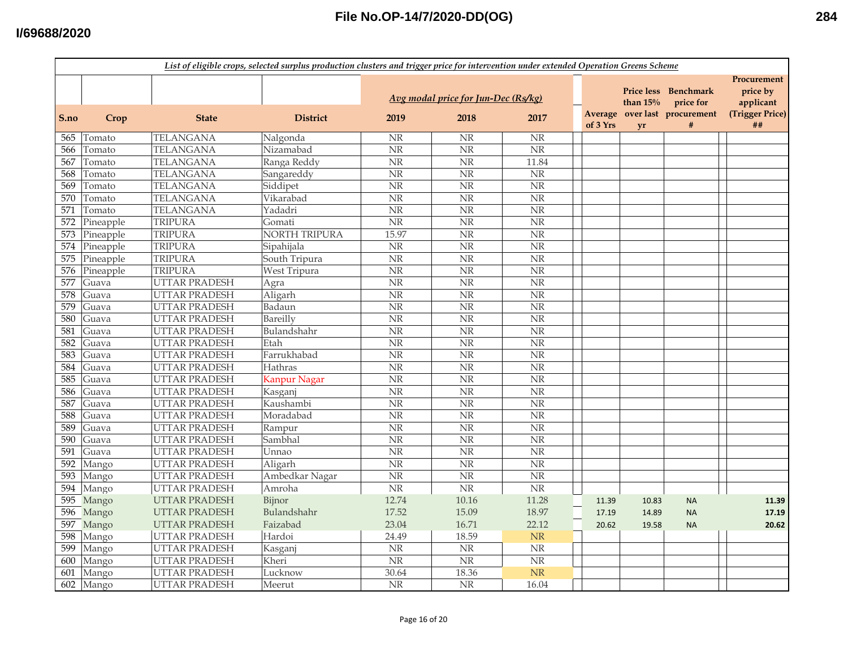|      | List of eligible crops, selected surplus production clusters and trigger price for intervention under extended Operation Greens Scheme |                      |                     |                        |                                             |                        |          |                  |                                                                         |                                                               |  |  |
|------|----------------------------------------------------------------------------------------------------------------------------------------|----------------------|---------------------|------------------------|---------------------------------------------|------------------------|----------|------------------|-------------------------------------------------------------------------|---------------------------------------------------------------|--|--|
| S.no | Crop                                                                                                                                   | <b>State</b>         | <b>District</b>     | 2019                   | Avg modal price for Jun-Dec (Rs/kg)<br>2018 | 2017                   | of 3 Yrs | than $15%$<br>yr | Price less Benchmark<br>price for<br>Average over last procurement<br># | Procurement<br>price by<br>applicant<br>(Trigger Price)<br>## |  |  |
| 565  | Tomato                                                                                                                                 | TELANGANA            | Nalgonda            | $\rm{NR}$              | <b>NR</b>                                   | $\rm NR$               |          |                  |                                                                         |                                                               |  |  |
| 566  | Tomato                                                                                                                                 | <b>TELANGANA</b>     | Nizamabad           | $\overline{\text{NR}}$ | N <sub>R</sub>                              | $\overline{\text{NR}}$ |          |                  |                                                                         |                                                               |  |  |
| 567  | Tomato                                                                                                                                 | <b>TELANGANA</b>     | Ranga Reddy         | $\overline{\text{NR}}$ | $\overline{\text{NR}}$                      | 11.84                  |          |                  |                                                                         |                                                               |  |  |
| 568  | Tomato                                                                                                                                 | <b>TELANGANA</b>     | Sangareddy          | $\rm{NR}$              | $\rm NR$                                    | <b>NR</b>              |          |                  |                                                                         |                                                               |  |  |
| 569  | Tomato                                                                                                                                 | <b>TELANGANA</b>     | Siddipet            | NR                     | $\overline{\text{NR}}$                      | $\overline{\text{NR}}$ |          |                  |                                                                         |                                                               |  |  |
| 570  | Tomato                                                                                                                                 | <b>TELANGANA</b>     | Vikarabad           | $\rm{NR}$              | <b>NR</b>                                   | $\overline{\text{NR}}$ |          |                  |                                                                         |                                                               |  |  |
| 571  | Tomato                                                                                                                                 | <b>TELANGANA</b>     | Yadadri             | $\rm{NR}$              | <b>NR</b>                                   | NR                     |          |                  |                                                                         |                                                               |  |  |
| 572  | Pineapple                                                                                                                              | <b>TRIPURA</b>       | Gomati              | $\rm{NR}$              | NR                                          | NR                     |          |                  |                                                                         |                                                               |  |  |
| 573  | Pineapple                                                                                                                              | <b>TRIPURA</b>       | NORTH TRIPURA       | 15.97                  | $\overline{\text{NR}}$                      | $\overline{\text{NR}}$ |          |                  |                                                                         |                                                               |  |  |
| 574  | Pineapple                                                                                                                              | <b>TRIPURA</b>       | Sipahijala          | $\rm{NR}$              | NR                                          | $\rm{NR}$              |          |                  |                                                                         |                                                               |  |  |
| 575  | Pineapple                                                                                                                              | <b>TRIPURA</b>       | South Tripura       | NR                     | <b>NR</b>                                   | <b>NR</b>              |          |                  |                                                                         |                                                               |  |  |
| 576  | Pineapple                                                                                                                              | <b>TRIPURA</b>       | West Tripura        | $\overline{\text{NR}}$ | N <sub>R</sub>                              | $\overline{\text{NR}}$ |          |                  |                                                                         |                                                               |  |  |
| 577  | Guava                                                                                                                                  | <b>UTTAR PRADESH</b> | Agra                | $\overline{\text{NR}}$ | $\overline{\text{NR}}$                      | $\overline{\text{NR}}$ |          |                  |                                                                         |                                                               |  |  |
| 578  | Guava                                                                                                                                  | <b>UTTAR PRADESH</b> | Aligarh             | $\overline{\text{NR}}$ | $\overline{\text{NR}}$                      | $\overline{\text{NR}}$ |          |                  |                                                                         |                                                               |  |  |
| 579  | Guava                                                                                                                                  | <b>UTTAR PRADESH</b> | Badaun              | $\overline{\text{NR}}$ | <b>NR</b>                                   | $\overline{\text{NR}}$ |          |                  |                                                                         |                                                               |  |  |
| 580  | Guava                                                                                                                                  | <b>UTTAR PRADESH</b> | Bareilly            | $\overline{\text{NR}}$ | $\overline{\text{NR}}$                      | $\overline{\text{NR}}$ |          |                  |                                                                         |                                                               |  |  |
| 581  | Guava                                                                                                                                  | <b>UTTAR PRADESH</b> | Bulandshahr         | $\rm{NR}$              | $\rm{NR}$                                   | <b>NR</b>              |          |                  |                                                                         |                                                               |  |  |
| 582  | Guava                                                                                                                                  | <b>UTTAR PRADESH</b> | Etah                | $\rm{NR}$              | NR                                          | NR                     |          |                  |                                                                         |                                                               |  |  |
| 583  | Guava                                                                                                                                  | <b>UTTAR PRADESH</b> | Farrukhabad         | <b>NR</b>              | <b>NR</b>                                   | NR                     |          |                  |                                                                         |                                                               |  |  |
| 584  | Guava                                                                                                                                  | <b>UTTAR PRADESH</b> | Hathras             | $\rm{NR}$              | NR                                          | NR                     |          |                  |                                                                         |                                                               |  |  |
| 585  | Guava                                                                                                                                  | <b>UTTAR PRADESH</b> | <b>Kanpur Nagar</b> | NR                     | <b>NR</b>                                   | NR                     |          |                  |                                                                         |                                                               |  |  |
| 586  | Guava                                                                                                                                  | <b>UTTAR PRADESH</b> | Kasganj             | NR                     | <b>NR</b>                                   | $\overline{\text{NR}}$ |          |                  |                                                                         |                                                               |  |  |
| 587  | Guava                                                                                                                                  | <b>UTTAR PRADESH</b> | Kaushambi           | $\overline{\text{NR}}$ | <b>NR</b>                                   | <b>NR</b>              |          |                  |                                                                         |                                                               |  |  |
| 588  | Guava                                                                                                                                  | <b>UTTAR PRADESH</b> | Moradabad           | $\overline{\text{NR}}$ | NR                                          | $\overline{\text{NR}}$ |          |                  |                                                                         |                                                               |  |  |
| 589  | Guava                                                                                                                                  | <b>UTTAR PRADESH</b> | Rampur              | $\overline{\text{NR}}$ | $\overline{\text{NR}}$                      | $\overline{\text{NR}}$ |          |                  |                                                                         |                                                               |  |  |
| 590  | Guava                                                                                                                                  | <b>UTTAR PRADESH</b> | Sambhal             | $\rm{NR}$              | $\overline{\text{NR}}$                      | <b>NR</b>              |          |                  |                                                                         |                                                               |  |  |
| 591  | Guava                                                                                                                                  | <b>UTTAR PRADESH</b> | Unnao               | $\rm{NR}$              | <b>NR</b>                                   | $\overline{\text{NR}}$ |          |                  |                                                                         |                                                               |  |  |
| 592  | Mango                                                                                                                                  | <b>UTTAR PRADESH</b> | Aligarh             | $\overline{\text{NR}}$ | $\overline{\text{NR}}$                      | $\overline{\text{NR}}$ |          |                  |                                                                         |                                                               |  |  |
| 593  | Mango                                                                                                                                  | <b>UTTAR PRADESH</b> | Ambedkar Nagar      | $\rm{NR}$              | NR                                          | $\rm{NR}$              |          |                  |                                                                         |                                                               |  |  |
| 594  | Mango                                                                                                                                  | <b>UTTAR PRADESH</b> | Amroha              | $\rm{NR}$              | N <sub>R</sub>                              | NR                     |          |                  |                                                                         |                                                               |  |  |
| 595  | Mango                                                                                                                                  | <b>UTTAR PRADESH</b> | Bijnor              | 12.74                  | 10.16                                       | 11.28                  | 11.39    | 10.83            | <b>NA</b>                                                               | 11.39                                                         |  |  |
| 596  | Mango                                                                                                                                  | <b>UTTAR PRADESH</b> | Bulandshahr         | 17.52                  | 15.09                                       | 18.97                  | 17.19    | 14.89            | <b>NA</b>                                                               | 17.19                                                         |  |  |
|      | 597 Mango                                                                                                                              | <b>UTTAR PRADESH</b> | Faizabad            | 23.04                  | 16.71                                       | 22.12                  | 20.62    | 19.58            | <b>NA</b>                                                               | 20.62                                                         |  |  |
| 598  | Mango                                                                                                                                  | <b>UTTAR PRADESH</b> | Hardoi              | 24.49                  | 18.59                                       | NR                     |          |                  |                                                                         |                                                               |  |  |
| 599  | Mango                                                                                                                                  | <b>UTTAR PRADESH</b> | Kasganj             | NR                     | NR                                          | NR                     |          |                  |                                                                         |                                                               |  |  |
| 600  | Mango                                                                                                                                  | <b>UTTAR PRADESH</b> | Kheri               | $\rm{NR}$              | <b>NR</b>                                   | $\overline{\text{NR}}$ |          |                  |                                                                         |                                                               |  |  |
| 601  | Mango                                                                                                                                  | <b>UTTAR PRADESH</b> | Lucknow             | 30.64                  | 18.36                                       | NR                     |          |                  |                                                                         |                                                               |  |  |
|      | 602 Mango                                                                                                                              | <b>UTTAR PRADESH</b> | Meerut              | NR                     | $\overline{\text{NR}}$                      | 16.04                  |          |                  |                                                                         |                                                               |  |  |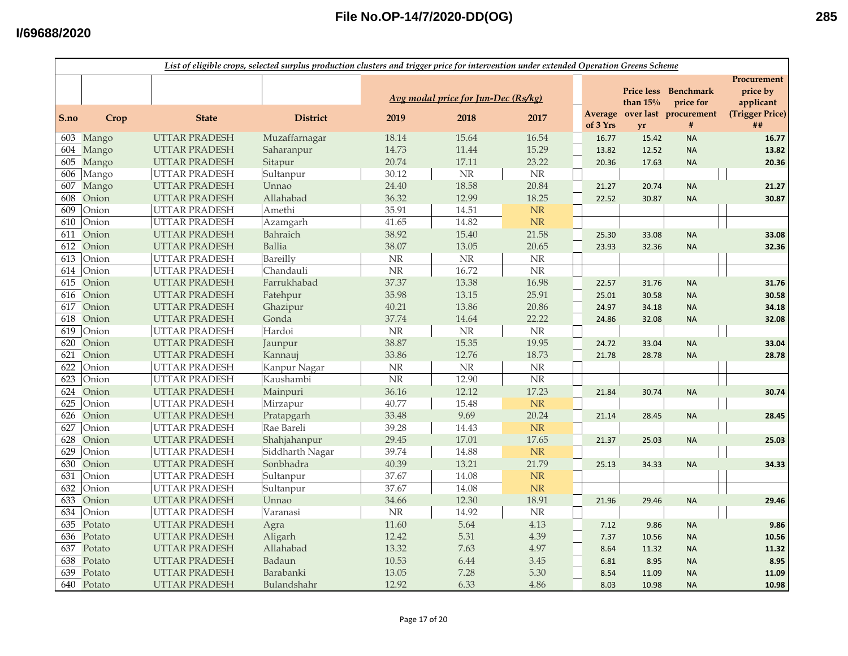|      | List of eligible crops, selected surplus production clusters and trigger price for intervention under extended Operation Greens Scheme |                      |                 |           |                                     |                        |                     |                                 |                               |                                      |  |
|------|----------------------------------------------------------------------------------------------------------------------------------------|----------------------|-----------------|-----------|-------------------------------------|------------------------|---------------------|---------------------------------|-------------------------------|--------------------------------------|--|
|      |                                                                                                                                        |                      |                 |           | Avg modal price for Jun-Dec (Rs/kg) |                        |                     | <b>Price less</b><br>than $15%$ | <b>Benchmark</b><br>price for | Procurement<br>price by<br>applicant |  |
| S.no | Crop                                                                                                                                   | <b>State</b>         | <b>District</b> | 2019      | 2018                                | 2017                   | Average<br>of 3 Yrs | vr                              | over last procurement<br>#    | (Trigger Price)<br>##                |  |
|      | 603 Mango                                                                                                                              | <b>UTTAR PRADESH</b> | Muzaffarnagar   | 18.14     | 15.64                               | 16.54                  | 16.77               | 15.42                           | <b>NA</b>                     | 16.77                                |  |
| 604  | Mango                                                                                                                                  | <b>UTTAR PRADESH</b> | Saharanpur      | 14.73     | 11.44                               | 15.29                  | 13.82               | 12.52                           | <b>NA</b>                     | 13.82                                |  |
| 605  | Mango                                                                                                                                  | <b>UTTAR PRADESH</b> | Sitapur         | 20.74     | 17.11                               | 23.22                  | 20.36               | 17.63                           | <b>NA</b>                     | 20.36                                |  |
| 606  | Mango                                                                                                                                  | UTTAR PRADESH        | Sultanpur       | 30.12     | NR                                  | NR                     |                     |                                 |                               |                                      |  |
| 607  | Mango                                                                                                                                  | <b>UTTAR PRADESH</b> | Unnao           | 24.40     | 18.58                               | 20.84                  | 21.27               | 20.74                           | <b>NA</b>                     | 21.27                                |  |
| 608  | Onion                                                                                                                                  | <b>UTTAR PRADESH</b> | Allahabad       | 36.32     | 12.99                               | 18.25                  | 22.52               | 30.87                           | <b>NA</b>                     | 30.87                                |  |
| 609  | Onion                                                                                                                                  | <b>UTTAR PRADESH</b> | Amethi          | 35.91     | 14.51                               | NR                     |                     |                                 |                               |                                      |  |
| 610  | Onion                                                                                                                                  | <b>UTTAR PRADESH</b> | Azamgarh        | 41.65     | 14.82                               | NR                     |                     |                                 |                               |                                      |  |
| 611  | Onion                                                                                                                                  | <b>UTTAR PRADESH</b> | Bahraich        | 38.92     | 15.40                               | 21.58                  | 25.30               | 33.08                           | <b>NA</b>                     | 33.08                                |  |
| 612  | Onion                                                                                                                                  | <b>UTTAR PRADESH</b> | Ballia          | 38.07     | 13.05                               | 20.65                  | 23.93               | 32.36                           | <b>NA</b>                     | 32.36                                |  |
| 613  | Onion                                                                                                                                  | <b>UTTAR PRADESH</b> | Bareilly        | NR        | NR                                  | $\rm NR$               |                     |                                 |                               |                                      |  |
| 614  | Onion                                                                                                                                  | <b>UTTAR PRADESH</b> | Chandauli       | $\rm{NR}$ | 16.72                               | $\overline{\text{NR}}$ |                     |                                 |                               |                                      |  |
| 615  | Onion                                                                                                                                  | <b>UTTAR PRADESH</b> | Farrukhabad     | 37.37     | 13.38                               | 16.98                  | 22.57               | 31.76                           | <b>NA</b>                     | 31.76                                |  |
| 616  | Onion                                                                                                                                  | <b>UTTAR PRADESH</b> | Fatehpur        | 35.98     | 13.15                               | 25.91                  | 25.01               | 30.58                           | <b>NA</b>                     | 30.58                                |  |
| 617  | Onion                                                                                                                                  | <b>UTTAR PRADESH</b> | Ghazipur        | 40.21     | 13.86                               | 20.86                  | 24.97               | 34.18                           | <b>NA</b>                     | 34.18                                |  |
| 618  | Onion                                                                                                                                  | <b>UTTAR PRADESH</b> | Gonda           | 37.74     | 14.64                               | 22.22                  | 24.86               | 32.08                           | <b>NA</b>                     | 32.08                                |  |
| 619  | Onion                                                                                                                                  | <b>UTTAR PRADESH</b> | Hardoi          | $\rm{NR}$ | $\rm NR$                            | $\rm{NR}$              |                     |                                 |                               |                                      |  |
| 620  | Onion                                                                                                                                  | <b>UTTAR PRADESH</b> | Jaunpur         | 38.87     | 15.35                               | 19.95                  | 24.72               | 33.04                           | <b>NA</b>                     | 33.04                                |  |
| 621  | Onion                                                                                                                                  | <b>UTTAR PRADESH</b> | Kannauj         | 33.86     | 12.76                               | 18.73                  | 21.78               | 28.78                           | <b>NA</b>                     | 28.78                                |  |
| 622  | Onion                                                                                                                                  | <b>UTTAR PRADESH</b> | Kanpur Nagar    | <b>NR</b> | NR                                  | <b>NR</b>              |                     |                                 |                               |                                      |  |
| 623  | Onion                                                                                                                                  | <b>UTTAR PRADESH</b> | Kaushambi       | NR        | 12.90                               | $\rm{NR}$              |                     |                                 |                               |                                      |  |
| 624  | Onion                                                                                                                                  | <b>UTTAR PRADESH</b> | Mainpuri        | 36.16     | 12.12                               | 17.23                  | 21.84               | 30.74                           | <b>NA</b>                     | 30.74                                |  |
| 625  | Onion                                                                                                                                  | <b>UTTAR PRADESH</b> | Mirzapur        | 40.77     | 15.48                               | NR                     |                     |                                 |                               |                                      |  |
| 626  | Onion                                                                                                                                  | <b>UTTAR PRADESH</b> | Pratapgarh      | 33.48     | 9.69                                | 20.24                  | 21.14               | 28.45                           | <b>NA</b>                     | 28.45                                |  |
| 627  | Onion                                                                                                                                  | <b>UTTAR PRADESH</b> | Rae Bareli      | 39.28     | 14.43                               | NR                     |                     |                                 |                               |                                      |  |
| 628  | Onion                                                                                                                                  | <b>UTTAR PRADESH</b> | Shahjahanpur    | 29.45     | 17.01                               | 17.65                  | 21.37               | 25.03                           | <b>NA</b>                     | 25.03                                |  |
| 629  | Onion                                                                                                                                  | <b>UTTAR PRADESH</b> | Siddharth Nagar | 39.74     | 14.88                               | NR                     |                     |                                 |                               |                                      |  |
| 630  | Onion                                                                                                                                  | <b>UTTAR PRADESH</b> | Sonbhadra       | 40.39     | 13.21                               | 21.79                  | 25.13               | 34.33                           | <b>NA</b>                     | 34.33                                |  |
| 631  | Onion                                                                                                                                  | <b>UTTAR PRADESH</b> | Sultanpur       | 37.67     | 14.08                               | NR                     |                     |                                 |                               |                                      |  |
| 632  | Onion                                                                                                                                  | <b>UTTAR PRADESH</b> | Sultanpur       | 37.67     | 14.08                               | NR                     |                     |                                 |                               |                                      |  |
| 633  | Onion                                                                                                                                  | <b>UTTAR PRADESH</b> | Unnao           | 34.66     | 12.30                               | 18.91                  | 21.96               | 29.46                           | <b>NA</b>                     | 29.46                                |  |
| 634  | Onion                                                                                                                                  | UTTAR PRADESH        | Varanasi        | $\rm{NR}$ | 14.92                               | $\rm{NR}$              |                     |                                 |                               |                                      |  |
| 635  | Potato                                                                                                                                 | <b>UTTAR PRADESH</b> | Agra            | 11.60     | 5.64                                | 4.13                   | 7.12                | 9.86                            | <b>NA</b>                     | 9.86                                 |  |
| 636  | Potato                                                                                                                                 | <b>UTTAR PRADESH</b> | Aligarh         | 12.42     | 5.31                                | 4.39                   | 7.37                | 10.56                           | <b>NA</b>                     | 10.56                                |  |
| 637  | Potato                                                                                                                                 | <b>UTTAR PRADESH</b> | Allahabad       | 13.32     | 7.63                                | 4.97                   | 8.64                | 11.32                           | <b>NA</b>                     | 11.32                                |  |
| 638  | Potato                                                                                                                                 | <b>UTTAR PRADESH</b> | Badaun          | 10.53     | 6.44                                | 3.45                   | 6.81                | 8.95                            | <b>NA</b>                     | 8.95                                 |  |
| 639  | Potato                                                                                                                                 | <b>UTTAR PRADESH</b> | Barabanki       | 13.05     | 7.28                                | 5.30                   | 8.54                | 11.09                           | <b>NA</b>                     | 11.09                                |  |
|      | $\overline{640}$ Potato                                                                                                                | <b>UTTAR PRADESH</b> | Bulandshahr     | 12.92     | 6.33                                | 4.86                   | 8.03                | 10.98                           | <b>NA</b>                     | 10.98                                |  |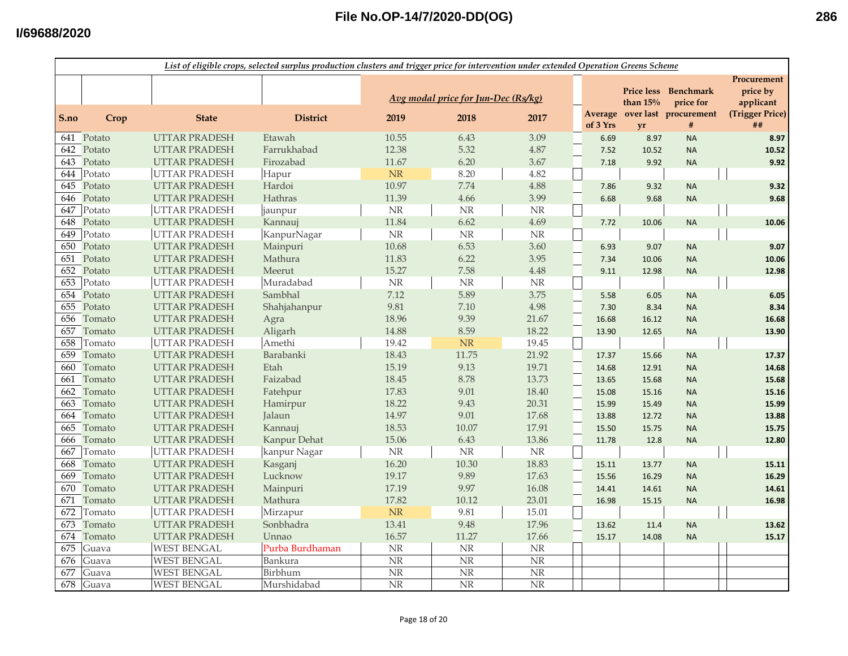|      | List of eligible crops, selected surplus production clusters and trigger price for intervention under extended Operation Greens Scheme |                      |                 |                        |                                     |                        |          |                                 |                                                        |                                                         |  |
|------|----------------------------------------------------------------------------------------------------------------------------------------|----------------------|-----------------|------------------------|-------------------------------------|------------------------|----------|---------------------------------|--------------------------------------------------------|---------------------------------------------------------|--|
|      |                                                                                                                                        |                      |                 |                        | Avg modal price for Jun-Dec (Rs/kg) |                        | Average  | <b>Price less</b><br>than $15%$ | <b>Benchmark</b><br>price for<br>over last procurement | Procurement<br>price by<br>applicant<br>(Trigger Price) |  |
| S.no | Crop                                                                                                                                   | <b>State</b>         | <b>District</b> | 2019                   | 2018                                | 2017                   | of 3 Yrs | <b>vr</b>                       | #                                                      | ##                                                      |  |
|      | 641 Potato                                                                                                                             | <b>UTTAR PRADESH</b> | Etawah          | 10.55                  | 6.43                                | 3.09                   | 6.69     | 8.97                            | <b>NA</b>                                              | 8.97                                                    |  |
| 642  | Potato                                                                                                                                 | <b>UTTAR PRADESH</b> | Farrukhabad     | 12.38                  | 5.32                                | 4.87                   | 7.52     | 10.52                           | <b>NA</b>                                              | 10.52                                                   |  |
| 643  | Potato                                                                                                                                 | <b>UTTAR PRADESH</b> | Firozabad       | 11.67                  | 6.20                                | 3.67                   | 7.18     | 9.92                            | <b>NA</b>                                              | 9.92                                                    |  |
| 644  | Potato                                                                                                                                 | <b>UTTAR PRADESH</b> | Hapur           | NR                     | 8.20                                | 4.82                   |          |                                 |                                                        |                                                         |  |
| 645  | Potato                                                                                                                                 | <b>UTTAR PRADESH</b> | Hardoi          | 10.97                  | 7.74                                | 4.88                   | 7.86     | 9.32                            | <b>NA</b>                                              | 9.32                                                    |  |
| 646  | Potato                                                                                                                                 | <b>UTTAR PRADESH</b> | Hathras         | 11.39                  | 4.66                                | 3.99                   | 6.68     | 9.68                            | <b>NA</b>                                              | 9.68                                                    |  |
| 647  | Potato                                                                                                                                 | <b>UTTAR PRADESH</b> | jaunpur         | $\rm{NR}$              | NR                                  | $\rm NR$               |          |                                 |                                                        |                                                         |  |
| 648  | Potato                                                                                                                                 | <b>UTTAR PRADESH</b> | Kannauj         | 11.84                  | 6.62                                | 4.69                   | 7.72     | 10.06                           | <b>NA</b>                                              | 10.06                                                   |  |
| 649  | Potato                                                                                                                                 | <b>UTTAR PRADESH</b> | KanpurNagar     | $\rm{NR}$              | NR                                  | <b>NR</b>              |          |                                 |                                                        |                                                         |  |
| 650  | Potato                                                                                                                                 | <b>UTTAR PRADESH</b> | Mainpuri        | 10.68                  | 6.53                                | 3.60                   | 6.93     | 9.07                            | <b>NA</b>                                              | 9.07                                                    |  |
| 651  | Potato                                                                                                                                 | <b>UTTAR PRADESH</b> | Mathura         | 11.83                  | 6.22                                | 3.95                   | 7.34     | 10.06                           | <b>NA</b>                                              | 10.06                                                   |  |
| 652  | Potato                                                                                                                                 | <b>UTTAR PRADESH</b> | Meerut          | 15.27                  | 7.58                                | 4.48                   | 9.11     | 12.98                           | <b>NA</b>                                              | 12.98                                                   |  |
| 653  | Potato                                                                                                                                 | <b>UTTAR PRADESH</b> | Muradabad       | $\rm{NR}$              | $\rm{NR}$                           | <b>NR</b>              |          |                                 |                                                        |                                                         |  |
| 654  | Potato                                                                                                                                 | <b>UTTAR PRADESH</b> | Sambhal         | 7.12                   | 5.89                                | 3.75                   | 5.58     | 6.05                            | <b>NA</b>                                              | 6.05                                                    |  |
| 655  | Potato                                                                                                                                 | <b>UTTAR PRADESH</b> | Shahjahanpur    | 9.81                   | 7.10                                | 4.98                   | 7.30     | 8.34                            | <b>NA</b>                                              | 8.34                                                    |  |
| 656  | Tomato                                                                                                                                 | <b>UTTAR PRADESH</b> | Agra            | 18.96                  | 9.39                                | 21.67                  | 16.68    | 16.12                           | <b>NA</b>                                              | 16.68                                                   |  |
| 657  | Tomato                                                                                                                                 | <b>UTTAR PRADESH</b> | Aligarh         | 14.88                  | 8.59                                | 18.22                  | 13.90    | 12.65                           | <b>NA</b>                                              | 13.90                                                   |  |
| 658  | Tomato                                                                                                                                 | <b>UTTAR PRADESH</b> | Amethi          | 19.42                  | <b>NR</b>                           | 19.45                  |          |                                 |                                                        |                                                         |  |
| 659  | Tomato                                                                                                                                 | <b>UTTAR PRADESH</b> | Barabanki       | 18.43                  | 11.75                               | 21.92                  | 17.37    | 15.66                           | <b>NA</b>                                              | 17.37                                                   |  |
| 660  | Tomato                                                                                                                                 | <b>UTTAR PRADESH</b> | Etah            | 15.19                  | 9.13                                | 19.71                  | 14.68    | 12.91                           | <b>NA</b>                                              | 14.68                                                   |  |
| 661  | Tomato                                                                                                                                 | <b>UTTAR PRADESH</b> | Faizabad        | 18.45                  | 8.78                                | 13.73                  | 13.65    | 15.68                           | <b>NA</b>                                              | 15.68                                                   |  |
| 662  | Tomato                                                                                                                                 | <b>UTTAR PRADESH</b> | Fatehpur        | 17.83                  | 9.01                                | 18.40                  | 15.08    | 15.16                           | <b>NA</b>                                              | 15.16                                                   |  |
| 663  | Tomato                                                                                                                                 | <b>UTTAR PRADESH</b> | Hamirpur        | 18.22                  | 9.43                                | 20.31                  | 15.99    | 15.49                           | <b>NA</b>                                              | 15.99                                                   |  |
| 664  | Tomato                                                                                                                                 | <b>UTTAR PRADESH</b> | Jalaun          | 14.97                  | 9.01                                | 17.68                  | 13.88    | 12.72                           | <b>NA</b>                                              | 13.88                                                   |  |
| 665  | Tomato                                                                                                                                 | <b>UTTAR PRADESH</b> | Kannauj         | 18.53                  | 10.07                               | 17.91                  | 15.50    | 15.75                           | <b>NA</b>                                              | 15.75                                                   |  |
| 666  | Tomato                                                                                                                                 | <b>UTTAR PRADESH</b> | Kanpur Dehat    | 15.06                  | 6.43                                | 13.86                  | 11.78    | 12.8                            | <b>NA</b>                                              | 12.80                                                   |  |
| 667  | Tomato                                                                                                                                 | <b>UTTAR PRADESH</b> | kanpur Nagar    | $\rm{NR}$              | $\rm{NR}$                           | $\rm NR$               |          |                                 |                                                        |                                                         |  |
| 668  | Tomato                                                                                                                                 | <b>UTTAR PRADESH</b> | Kasganj         | 16.20                  | 10.30                               | 18.83                  | 15.11    | 13.77                           | <b>NA</b>                                              | 15.11                                                   |  |
| 669  | Tomato                                                                                                                                 | <b>UTTAR PRADESH</b> | Lucknow         | 19.17                  | 9.89                                | 17.63                  | 15.56    | 16.29                           | <b>NA</b>                                              | 16.29                                                   |  |
| 670  | Tomato                                                                                                                                 | <b>UTTAR PRADESH</b> | Mainpuri        | 17.19                  | 9.97                                | 16.08                  | 14.41    | 14.61                           | <b>NA</b>                                              | 14.61                                                   |  |
| 671  | Tomato                                                                                                                                 | <b>UTTAR PRADESH</b> | Mathura         | 17.82                  | 10.12                               | 23.01                  | 16.98    | 15.15                           | <b>NA</b>                                              | 16.98                                                   |  |
| 672  | Tomato                                                                                                                                 | <b>UTTAR PRADESH</b> | Mirzapur        | <b>NR</b>              | 9.81                                | 15.01                  |          |                                 |                                                        |                                                         |  |
| 673  | Tomato                                                                                                                                 | <b>UTTAR PRADESH</b> | Sonbhadra       | 13.41                  | 9.48                                | 17.96                  | 13.62    | 11.4                            | <b>NA</b>                                              | 13.62                                                   |  |
| 674  | Tomato                                                                                                                                 | <b>UTTAR PRADESH</b> | Unnao           | 16.57                  | 11.27                               | 17.66                  | 15.17    | 14.08                           | <b>NA</b>                                              | 15.17                                                   |  |
| 675  | Guava                                                                                                                                  | <b>WEST BENGAL</b>   | Purba Burdhaman | <b>NR</b>              | <b>NR</b>                           | NR                     |          |                                 |                                                        |                                                         |  |
| 676  | Guava                                                                                                                                  | <b>WEST BENGAL</b>   | Bankura         | $\overline{\text{NR}}$ | N <sub>R</sub>                      | $\overline{\text{NR}}$ |          |                                 |                                                        |                                                         |  |
| 677  | Guava                                                                                                                                  | <b>WEST BENGAL</b>   | Birbhum         | NR                     | NR                                  | $\overline{\text{NR}}$ |          |                                 |                                                        |                                                         |  |
| 678  | Guava                                                                                                                                  | WEST BENGAL          | Murshidabad     | $\overline{\text{NR}}$ | N <sub>R</sub>                      | $\overline{\text{NR}}$ |          |                                 |                                                        |                                                         |  |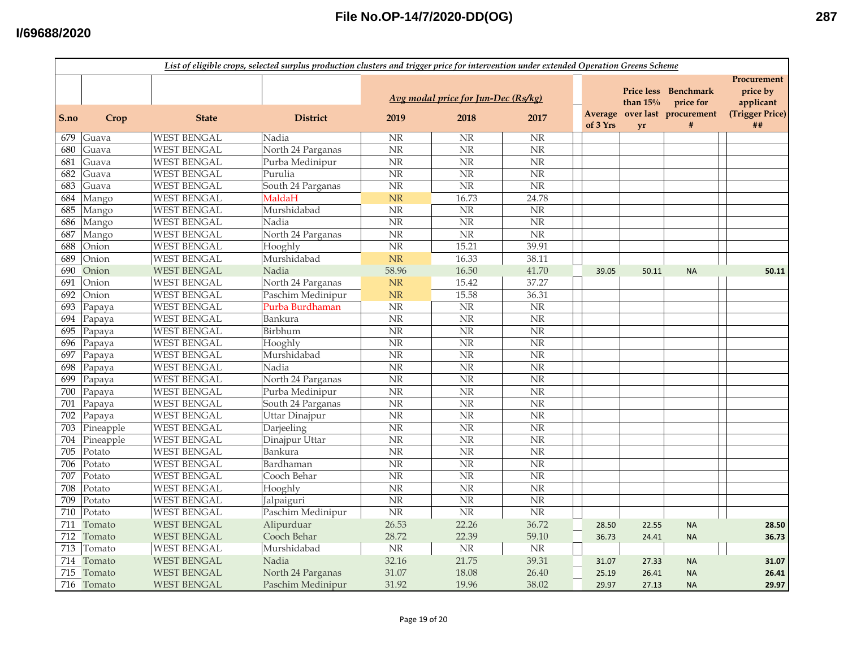|      |            |                    | List of eligible crops, selected surplus production clusters and trigger price for intervention under extended Operation Greens Scheme |                        |                                     |                        |          |                                 |                                    |                                      |
|------|------------|--------------------|----------------------------------------------------------------------------------------------------------------------------------------|------------------------|-------------------------------------|------------------------|----------|---------------------------------|------------------------------------|--------------------------------------|
|      |            |                    |                                                                                                                                        |                        | Avg modal price for Jun-Dec (Rs/kg) |                        |          | <b>Price less</b><br>than $15%$ | <b>Benchmark</b><br>price for      | Procurement<br>price by<br>applicant |
| S.no | Crop       | <b>State</b>       | <b>District</b>                                                                                                                        | 2019                   | 2018                                | 2017                   | of 3 Yrs | <b>vr</b>                       | Average over last procurement<br># | (Trigger Price)<br>##                |
| 679  | Guava      | <b>WEST BENGAL</b> | Nadia                                                                                                                                  | NR                     | $\rm NR$                            | NR                     |          |                                 |                                    |                                      |
| 680  | Guava      | <b>WEST BENGAL</b> | North 24 Parganas                                                                                                                      | $\overline{\text{NR}}$ | $\overline{\text{NR}}$              | $\overline{\text{NR}}$ |          |                                 |                                    |                                      |
| 681  | Guava      | <b>WEST BENGAL</b> | Purba Medinipur                                                                                                                        | $\overline{\text{NR}}$ | $\overline{\text{NR}}$              | $\overline{\text{NR}}$ |          |                                 |                                    |                                      |
| 682  | Guava      | <b>WEST BENGAL</b> | Purulia                                                                                                                                | <b>NR</b>              | $\rm{NR}$                           | $\rm NR$               |          |                                 |                                    |                                      |
| 683  | Guava      | <b>WEST BENGAL</b> | South 24 Parganas                                                                                                                      | <b>NR</b>              | $\overline{\text{NR}}$              | $\overline{\text{NR}}$ |          |                                 |                                    |                                      |
| 684  | Mango      | <b>WEST BENGAL</b> | MaldaH                                                                                                                                 | <b>NR</b>              | 16.73                               | 24.78                  |          |                                 |                                    |                                      |
| 685  | Mango      | <b>WEST BENGAL</b> | Murshidabad                                                                                                                            | NR                     | <b>NR</b>                           | <b>NR</b>              |          |                                 |                                    |                                      |
| 686  | Mango      | <b>WEST BENGAL</b> | Nadia                                                                                                                                  | <b>NR</b>              | NR                                  | $\rm NR$               |          |                                 |                                    |                                      |
| 687  | Mango      | <b>WEST BENGAL</b> | North 24 Parganas                                                                                                                      | $\rm{NR}$              | NR                                  | NR                     |          |                                 |                                    |                                      |
| 688  | Onion      | <b>WEST BENGAL</b> | Hooghly                                                                                                                                | <b>NR</b>              | 15.21                               | 39.91                  |          |                                 |                                    |                                      |
| 689  | Onion      | <b>WEST BENGAL</b> | Murshidabad                                                                                                                            | <b>NR</b>              | 16.33                               | 38.11                  |          |                                 |                                    |                                      |
| 690  | Onion      | <b>WEST BENGAL</b> | Nadia                                                                                                                                  | 58.96                  | 16.50                               | 41.70                  | 39.05    | 50.11                           | <b>NA</b>                          | 50.11                                |
| 691  | Onion      | <b>WEST BENGAL</b> | North 24 Parganas                                                                                                                      | NR                     | 15.42                               | 37.27                  |          |                                 |                                    |                                      |
| 692  | Onion      | <b>WEST BENGAL</b> | Paschim Medinipur                                                                                                                      | NR                     | 15.58                               | 36.31                  |          |                                 |                                    |                                      |
| 693  | Papaya     | <b>WEST BENGAL</b> | Purba Burdhaman                                                                                                                        | $\rm{NR}$              | $\overline{\text{NR}}$              | $\rm{NR}$              |          |                                 |                                    |                                      |
| 694  | Papaya     | <b>WEST BENGAL</b> | Bankura                                                                                                                                | <b>NR</b>              | $\overline{\text{NR}}$              | $\overline{\text{NR}}$ |          |                                 |                                    |                                      |
| 695  | Papaya     | <b>WEST BENGAL</b> | Birbhum                                                                                                                                | <b>NR</b>              | NR                                  | $\rm NR$               |          |                                 |                                    |                                      |
| 696  | Papaya     | <b>WEST BENGAL</b> | Hooghly                                                                                                                                | <b>NR</b>              | NR                                  | $\rm{NR}$              |          |                                 |                                    |                                      |
| 697  | Papaya     | <b>WEST BENGAL</b> | Murshidabad                                                                                                                            | NR                     | $\overline{\text{NR}}$              | NR                     |          |                                 |                                    |                                      |
| 698  | Papaya     | <b>WEST BENGAL</b> | Nadia                                                                                                                                  | <b>NR</b>              | NR                                  | $\rm{NR}$              |          |                                 |                                    |                                      |
| 699  | Papaya     | <b>WEST BENGAL</b> | North 24 Parganas                                                                                                                      | <b>NR</b>              | <b>NR</b>                           | NR                     |          |                                 |                                    |                                      |
| 700  | Papaya     | <b>WEST BENGAL</b> | Purba Medinipur                                                                                                                        | <b>NR</b>              | NR                                  | NR                     |          |                                 |                                    |                                      |
| 701  | Papaya     | <b>WEST BENGAL</b> | South 24 Parganas                                                                                                                      | <b>NR</b>              | $\overline{\text{NR}}$              | NR                     |          |                                 |                                    |                                      |
| 702  | Papaya     | <b>WEST BENGAL</b> | Uttar Dinajpur                                                                                                                         | <b>NR</b>              | NR                                  | $\overline{\text{NR}}$ |          |                                 |                                    |                                      |
| 703  | Pineapple  | <b>WEST BENGAL</b> | Darjeeling                                                                                                                             | <b>NR</b>              | $\overline{\text{NR}}$              | $\overline{\text{NR}}$ |          |                                 |                                    |                                      |
| 704  | Pineapple  | <b>WEST BENGAL</b> | Dinajpur Uttar                                                                                                                         | $\overline{\text{NR}}$ | $\overline{\text{NR}}$              | $\overline{\text{NR}}$ |          |                                 |                                    |                                      |
| 705  | Potato     | <b>WEST BENGAL</b> | Bankura                                                                                                                                | <b>NR</b>              | <b>NR</b>                           | $\rm NR$               |          |                                 |                                    |                                      |
| 706  | Potato     | <b>WEST BENGAL</b> | Bardhaman                                                                                                                              | $\overline{\text{NR}}$ | $\overline{\text{NR}}$              | $\overline{\text{NR}}$ |          |                                 |                                    |                                      |
| 707  | Potato     | <b>WEST BENGAL</b> | Cooch Behar                                                                                                                            | <b>NR</b>              | <b>NR</b>                           | $\rm{NR}$              |          |                                 |                                    |                                      |
| 708  | Potato     | <b>WEST BENGAL</b> | Hooghly                                                                                                                                | NR                     | NR                                  | $\rm{NR}$              |          |                                 |                                    |                                      |
| 709  | Potato     | <b>WEST BENGAL</b> | Jalpaiguri                                                                                                                             | $\rm{NR}$              | $\rm NR$                            | $\rm NR$               |          |                                 |                                    |                                      |
| 710  | Potato     | <b>WEST BENGAL</b> | Paschim Medinipur                                                                                                                      | $\rm{NR}$              | $\overline{\text{NR}}$              | NR                     |          |                                 |                                    |                                      |
| 711  | Tomato     | <b>WEST BENGAL</b> | Alipurduar                                                                                                                             | 26.53                  | 22.26                               | 36.72                  | 28.50    | 22.55                           | <b>NA</b>                          | 28.50                                |
| 712  | Tomato     | <b>WEST BENGAL</b> | Cooch Behar                                                                                                                            | 28.72                  | 22.39                               | 59.10                  | 36.73    | 24.41                           | <b>NA</b>                          | 36.73                                |
| 713  | Tomato     | <b>WEST BENGAL</b> | Murshidabad                                                                                                                            | $\rm{NR}$              | NR                                  | $\rm NR$               |          |                                 |                                    |                                      |
| 714  | Tomato     | <b>WEST BENGAL</b> | Nadia                                                                                                                                  | 32.16                  | 21.75                               | 39.31                  | 31.07    | 27.33                           | <b>NA</b>                          | 31.07                                |
|      | 715 Tomato | <b>WEST BENGAL</b> | North 24 Parganas                                                                                                                      | 31.07                  | 18.08                               | 26.40                  | 25.19    | 26.41                           | <b>NA</b>                          | 26.41                                |
|      | 716 Tomato | <b>WEST BENGAL</b> | Paschim Medinipur                                                                                                                      | 31.92                  | 19.96                               | 38.02                  | 29.97    | 27.13                           | <b>NA</b>                          | 29.97                                |